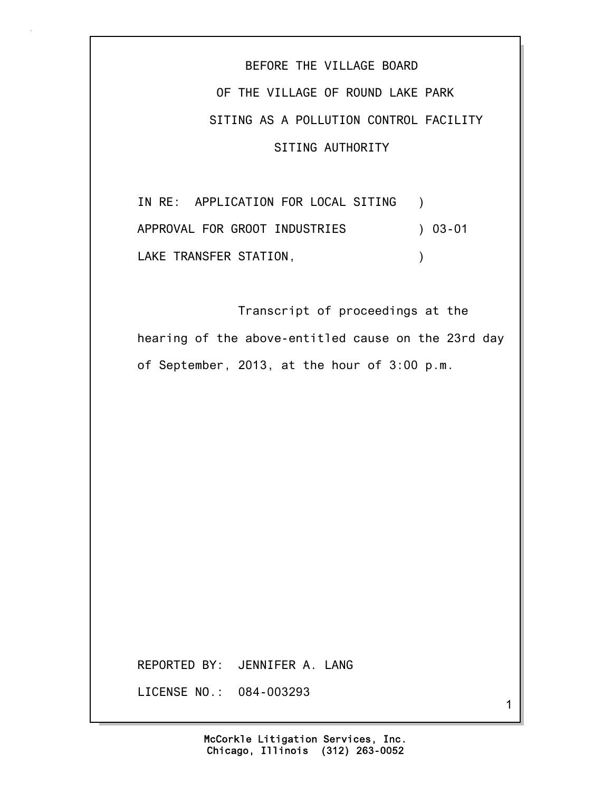BEFORE THE VILLAGE BOARD OF THE VILLAGE OF ROUND LAKE PARK SITING AS A POLLUTION CONTROL FACILITY SITING AUTHORITY

IN RE: APPLICATION FOR LOCAL SITING ) APPROVAL FOR GROOT INDUSTRIES ) 03-01 LAKE TRANSFER STATION, THE RESERVE OF STATION

 Transcript of proceedings at the hearing of the above-entitled cause on the 23rd day of September, 2013, at the hour of 3:00 p.m.

REPORTED BY: JENNIFER A. LANG

LICENSE NO.: 084-003293

1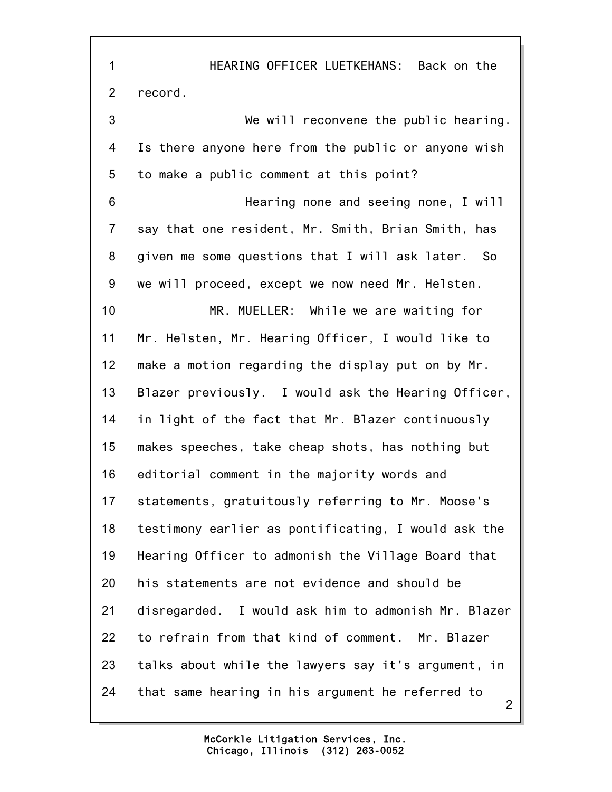2 1 HEARING OFFICER LUETKEHANS: Back on the 2 record. 3 We will reconvene the public hearing. 4 Is there anyone here from the public or anyone wish 5 to make a public comment at this point? 6 Hearing none and seeing none, I will 7 say that one resident, Mr. Smith, Brian Smith, has 8 given me some questions that I will ask later. So 9 we will proceed, except we now need Mr. Helsten. 10 MR. MUELLER: While we are waiting for 11 Mr. Helsten, Mr. Hearing Officer, I would like to 12 make a motion regarding the display put on by Mr. 13 Blazer previously. I would ask the Hearing Officer, 14 in light of the fact that Mr. Blazer continuously 15 makes speeches, take cheap shots, has nothing but 16 editorial comment in the majority words and 17 statements, gratuitously referring to Mr. Moose's 18 testimony earlier as pontificating, I would ask the 19 Hearing Officer to admonish the Village Board that 20 his statements are not evidence and should be 21 disregarded. I would ask him to admonish Mr. Blazer 22 to refrain from that kind of comment. Mr. Blazer 23 talks about while the lawyers say it's argument, in 24 that same hearing in his argument he referred to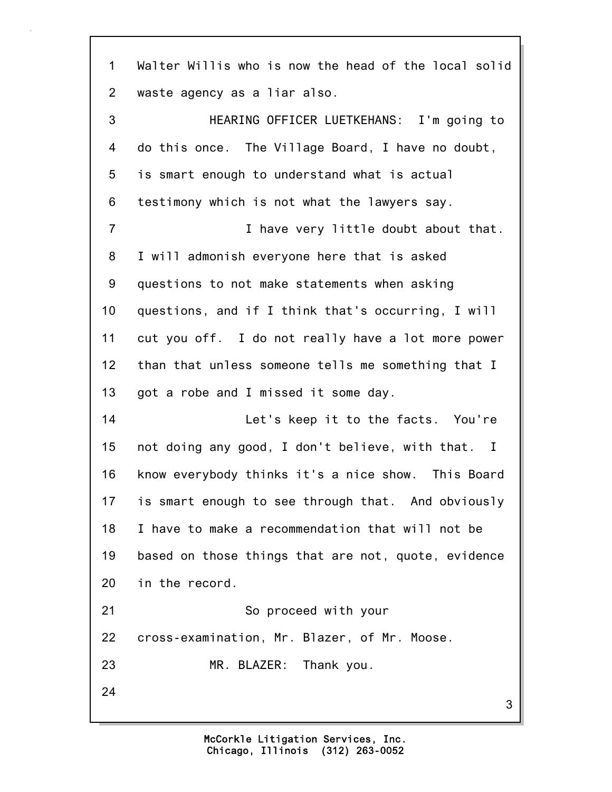3 1 Walter Willis who is now the head of the local solid 2 waste agency as a liar also. 3 HEARING OFFICER LUETKEHANS: I'm going to 4 do this once. The Village Board, I have no doubt, 5 is smart enough to understand what is actual 6 testimony which is not what the lawyers say. 7 I have very little doubt about that. 8 I will admonish everyone here that is asked 9 questions to not make statements when asking 10 questions, and if I think that's occurring, I will 11 cut you off. I do not really have a lot more power 12 than that unless someone tells me something that I 13 got a robe and I missed it some day. 14 Let's keep it to the facts. You're 15 not doing any good, I don't believe, with that. I 16 know everybody thinks it's a nice show. This Board 17 is smart enough to see through that. And obviously 18 I have to make a recommendation that will not be 19 based on those things that are not, quote, evidence 20 in the record. 21 So proceed with your 22 cross-examination, Mr. Blazer, of Mr. Moose. 23 MR. BLAZER: Thank you. 24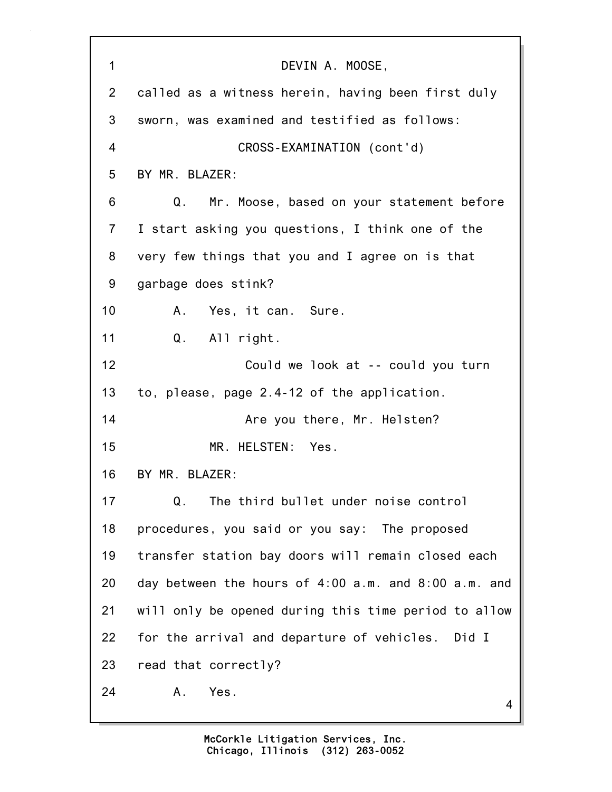| $\mathbf 1$    | DEVIN A. MOOSE,                                      |
|----------------|------------------------------------------------------|
| 2              | called as a witness herein, having been first duly   |
| 3              | sworn, was examined and testified as follows:        |
| 4              | CROSS-EXAMINATION (cont'd)                           |
| 5              | BY MR. BLAZER:                                       |
| 6              | Q.<br>Mr. Moose, based on your statement before      |
| $\overline{7}$ | I start asking you questions, I think one of the     |
| 8              | very few things that you and I agree on is that      |
| 9              | garbage does stink?                                  |
| 10             | Yes, it can. Sure.<br>A.                             |
| 11             | Q. All right.                                        |
| 12             | Could we look at -- could you turn                   |
| 13             | to, please, page 2.4-12 of the application.          |
| 14             | Are you there, Mr. Helsten?                          |
| 15             | MR. HELSTEN: Yes.                                    |
| 16             | BY MR. BLAZER:                                       |
| 17             | The third bullet under noise control<br>Q.           |
| 18             | procedures, you said or you say: The proposed        |
| 19             | transfer station bay doors will remain closed each   |
| 20             | day between the hours of 4:00 a.m. and 8:00 a.m. and |
| 21             | will only be opened during this time period to allow |
| 22             | for the arrival and departure of vehicles. Did I     |
| 23             | read that correctly?                                 |
| 24             | Yes.<br>A.<br>4                                      |

٦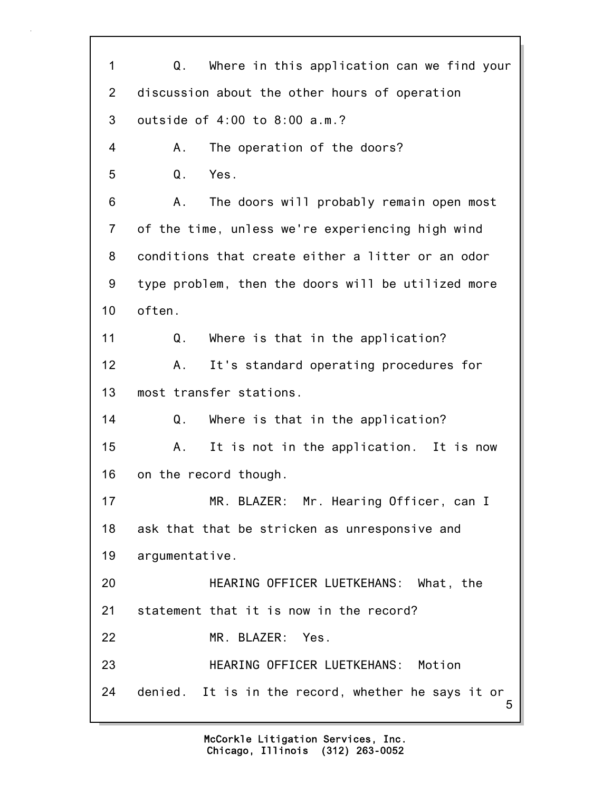5 1 Q. Where in this application can we find your 2 discussion about the other hours of operation 3 outside of 4:00 to 8:00 a.m.? 4 A. The operation of the doors? 5 Q. Yes. 6 A. The doors will probably remain open most 7 of the time, unless we're experiencing high wind 8 conditions that create either a litter or an odor 9 type problem, then the doors will be utilized more 10 often. 11 Q. Where is that in the application? 12 A. It's standard operating procedures for 13 most transfer stations. 14 Q. Where is that in the application? 15 A. It is not in the application. It is now 16 on the record though. 17 MR. BLAZER: Mr. Hearing Officer, can I 18 ask that that be stricken as unresponsive and 19 argumentative. 20 HEARING OFFICER LUETKEHANS: What, the 21 statement that it is now in the record? 22 MR. BLAZER: Yes. 23 HEARING OFFICER LUETKEHANS: Motion 24 denied. It is in the record, whether he says it or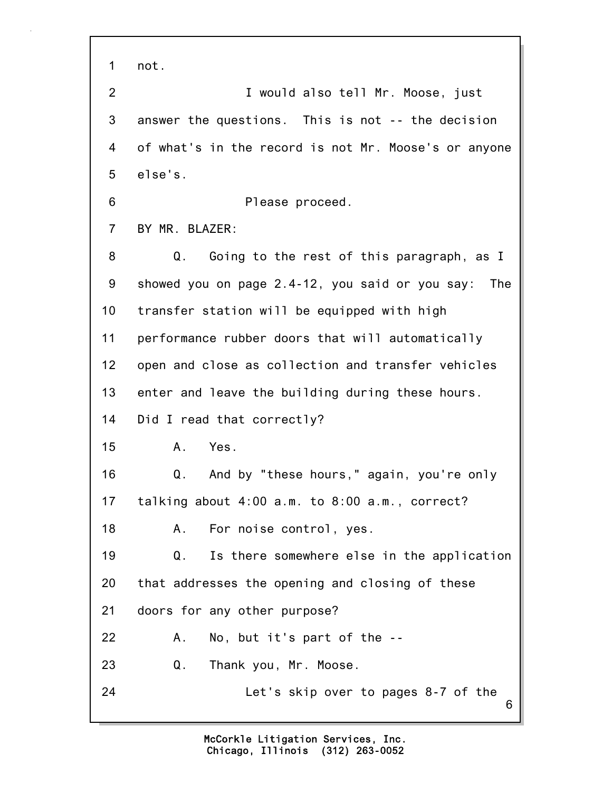6 1 not. 2 I would also tell Mr. Moose, just 3 answer the questions. This is not -- the decision 4 of what's in the record is not Mr. Moose's or anyone 5 else's. 6 Please proceed. 7 BY MR. BLAZER: 8 Q. Going to the rest of this paragraph, as I 9 showed you on page 2.4-12, you said or you say: The 10 transfer station will be equipped with high 11 performance rubber doors that will automatically 12 open and close as collection and transfer vehicles 13 enter and leave the building during these hours. 14 Did I read that correctly? 15 A. Yes. 16 Q. And by "these hours," again, you're only 17 talking about 4:00 a.m. to 8:00 a.m., correct? 18 A. For noise control, yes. 19 Q. Is there somewhere else in the application 20 that addresses the opening and closing of these 21 doors for any other purpose? 22 A. No, but it's part of the -- 23 Q. Thank you, Mr. Moose. 24 Let's skip over to pages 8-7 of the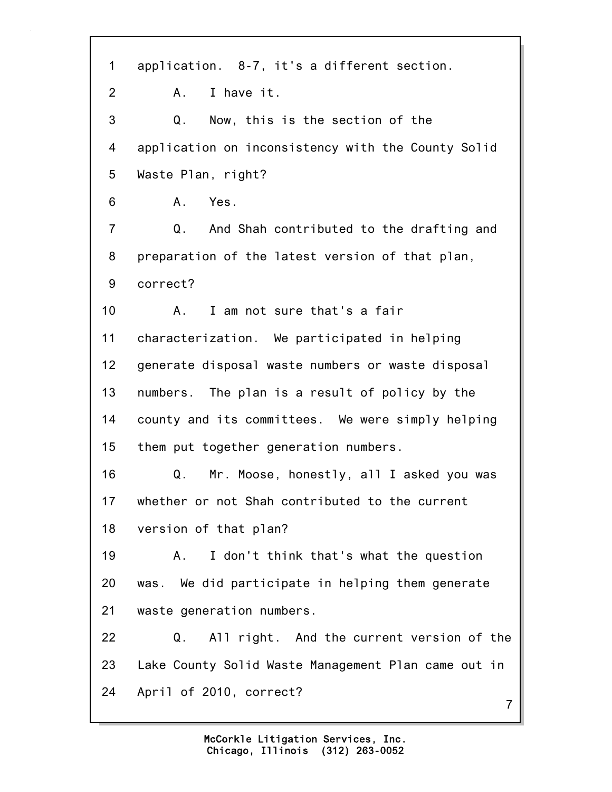7 1 application. 8-7, it's a different section. 2 A. I have it. 3 Q. Now, this is the section of the 4 application on inconsistency with the County Solid 5 Waste Plan, right? 6 A. Yes. 7 Q. And Shah contributed to the drafting and 8 preparation of the latest version of that plan, 9 correct? 10 A. I am not sure that's a fair 11 characterization. We participated in helping 12 generate disposal waste numbers or waste disposal 13 numbers. The plan is a result of policy by the 14 county and its committees. We were simply helping 15 them put together generation numbers. 16 Q. Mr. Moose, honestly, all I asked you was 17 whether or not Shah contributed to the current 18 version of that plan? 19 A. I don't think that's what the question 20 was. We did participate in helping them generate 21 waste generation numbers. 22 Q. All right. And the current version of the 23 Lake County Solid Waste Management Plan came out in 24 April of 2010, correct?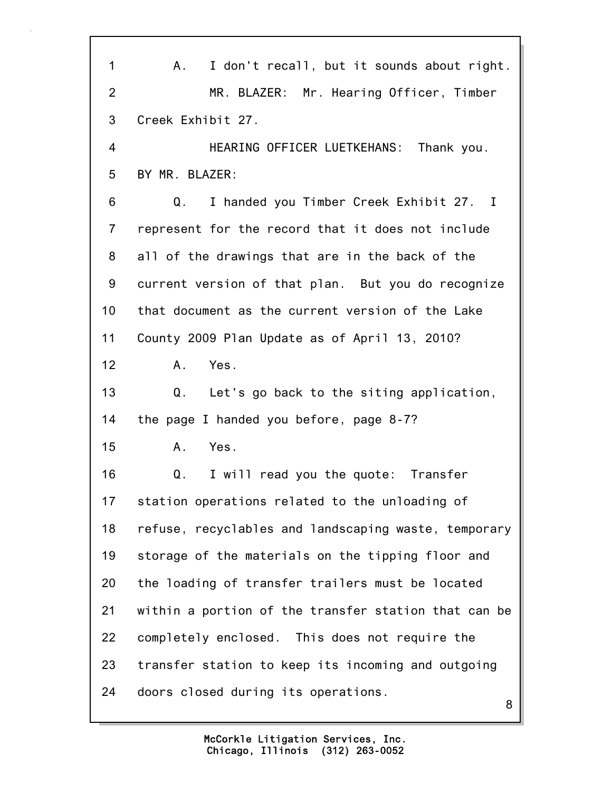8 1 A. I don't recall, but it sounds about right. 2 MR. BLAZER: Mr. Hearing Officer, Timber 3 Creek Exhibit 27. 4 HEARING OFFICER LUETKEHANS: Thank you. 5 BY MR. BLAZER: 6 Q. I handed you Timber Creek Exhibit 27. I 7 represent for the record that it does not include 8 all of the drawings that are in the back of the 9 current version of that plan. But you do recognize 10 that document as the current version of the Lake 11 County 2009 Plan Update as of April 13, 2010? 12 A. Yes. 13 Q. Let's go back to the siting application, 14 the page I handed you before, page 8-7? 15 A. Yes. 16 Q. I will read you the quote: Transfer 17 station operations related to the unloading of 18 refuse, recyclables and landscaping waste, temporary 19 storage of the materials on the tipping floor and 20 the loading of transfer trailers must be located 21 within a portion of the transfer station that can be 22 completely enclosed. This does not require the 23 transfer station to keep its incoming and outgoing 24 doors closed during its operations.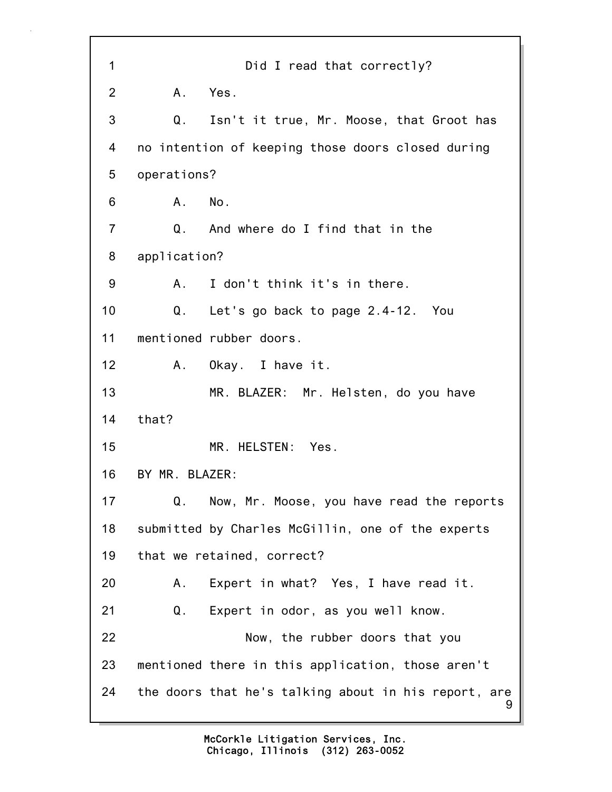9 1 Did I read that correctly? 2 A. Yes. 3 Q. Isn't it true, Mr. Moose, that Groot has 4 no intention of keeping those doors closed during 5 operations? 6 A. No. 7 Q. And where do I find that in the 8 application? 9 A. I don't think it's in there. 10 Q. Let's go back to page 2.4-12. You 11 mentioned rubber doors. 12 A. Okay. I have it. 13 MR. BLAZER: Mr. Helsten, do you have 14 that? 15 MR. HELSTEN: Yes. 16 BY MR. BLAZER: 17 Q. Now, Mr. Moose, you have read the reports 18 submitted by Charles McGillin, one of the experts 19 that we retained, correct? 20 A. Expert in what? Yes, I have read it. 21 Q. Expert in odor, as you well know. 22 Now, the rubber doors that you 23 mentioned there in this application, those aren't 24 the doors that he's talking about in his report, are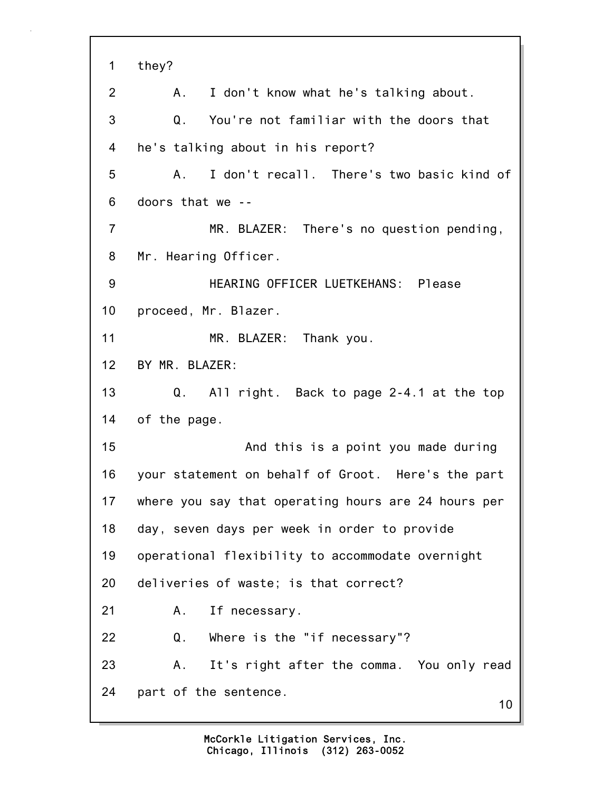10 1 they? 2 A. I don't know what he's talking about. 3 Q. You're not familiar with the doors that 4 he's talking about in his report? 5 A. I don't recall. There's two basic kind of 6 doors that we -- 7 MR. BLAZER: There's no question pending, 8 Mr. Hearing Officer. 9 HEARING OFFICER LUETKEHANS: Please 10 proceed, Mr. Blazer. 11 MR. BLAZER: Thank you. 12 BY MR. BLAZER: 13 Q. All right. Back to page 2-4.1 at the top 14 of the page. 15 And this is a point you made during 16 your statement on behalf of Groot. Here's the part 17 where you say that operating hours are 24 hours per 18 day, seven days per week in order to provide 19 operational flexibility to accommodate overnight 20 deliveries of waste; is that correct? 21 A. If necessary. 22 Q. Where is the "if necessary"? 23 A. It's right after the comma. You only read 24 part of the sentence.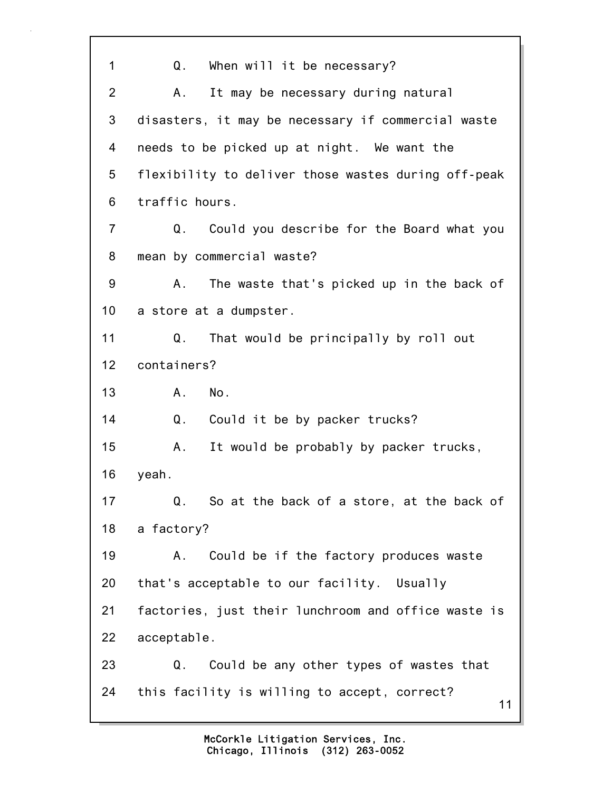11 1 Q. When will it be necessary? 2 A. It may be necessary during natural 3 disasters, it may be necessary if commercial waste 4 needs to be picked up at night. We want the 5 flexibility to deliver those wastes during off-peak 6 traffic hours. 7 Q. Could you describe for the Board what you 8 mean by commercial waste? 9 A. The waste that's picked up in the back of 10 a store at a dumpster. 11 Q. That would be principally by roll out 12 containers? 13 A. No. 14 Q. Could it be by packer trucks? 15 A. It would be probably by packer trucks, 16 yeah. 17 Q. So at the back of a store, at the back of 18 a factory? 19 A. Could be if the factory produces waste 20 that's acceptable to our facility. Usually 21 factories, just their lunchroom and office waste is 22 acceptable. 23 Q. Could be any other types of wastes that 24 this facility is willing to accept, correct?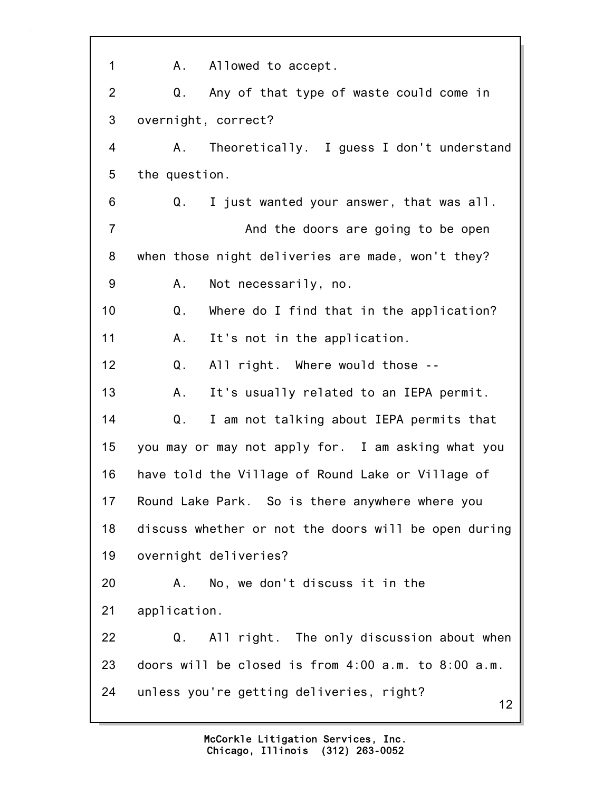12 1 A. Allowed to accept. 2 Q. Any of that type of waste could come in 3 overnight, correct? 4 A. Theoretically. I guess I don't understand 5 the question. 6 Q. I just wanted your answer, that was all. 7 And the doors are going to be open 8 when those night deliveries are made, won't they? 9 A. Not necessarily, no. 10 Q. Where do I find that in the application? 11 A. It's not in the application. 12 Q. All right. Where would those -- 13 A. It's usually related to an IEPA permit. 14 Q. I am not talking about IEPA permits that 15 you may or may not apply for. I am asking what you 16 have told the Village of Round Lake or Village of 17 Round Lake Park. So is there anywhere where you 18 discuss whether or not the doors will be open during 19 overnight deliveries? 20 A. No, we don't discuss it in the 21 application. 22 Q. All right. The only discussion about when 23 doors will be closed is from 4:00 a.m. to 8:00 a.m. 24 unless you're getting deliveries, right?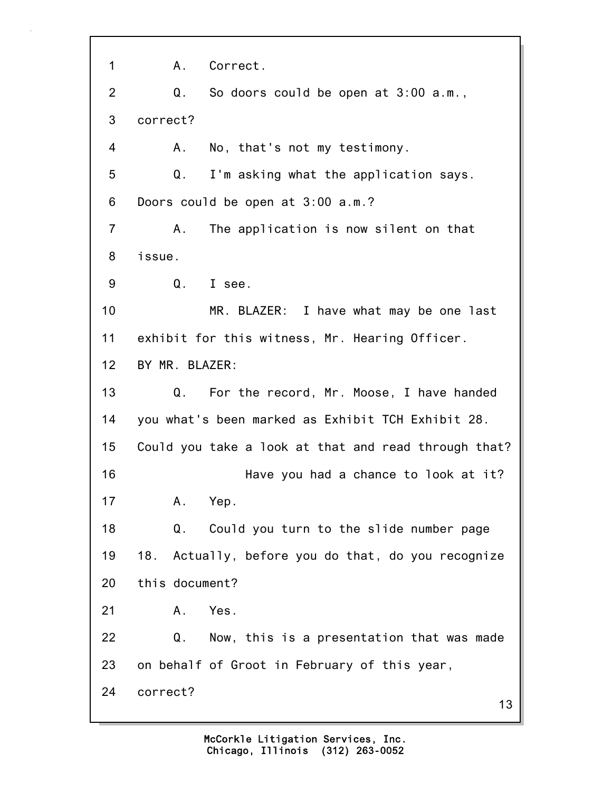13 1 A. Correct. 2 Q. So doors could be open at 3:00 a.m., 3 correct? 4 A. No, that's not my testimony. 5 Q. I'm asking what the application says. 6 Doors could be open at 3:00 a.m.? 7 A. The application is now silent on that 8 issue. 9 Q. I see. 10 MR. BLAZER: I have what may be one last 11 exhibit for this witness, Mr. Hearing Officer. 12 BY MR. BLAZER: 13 Q. For the record, Mr. Moose, I have handed 14 you what's been marked as Exhibit TCH Exhibit 28. 15 Could you take a look at that and read through that? 16 Have you had a chance to look at it? 17 A. Yep. 18 Q. Could you turn to the slide number page 19 18. Actually, before you do that, do you recognize 20 this document? 21 A. Yes. 22 Q. Now, this is a presentation that was made 23 on behalf of Groot in February of this year, 24 correct?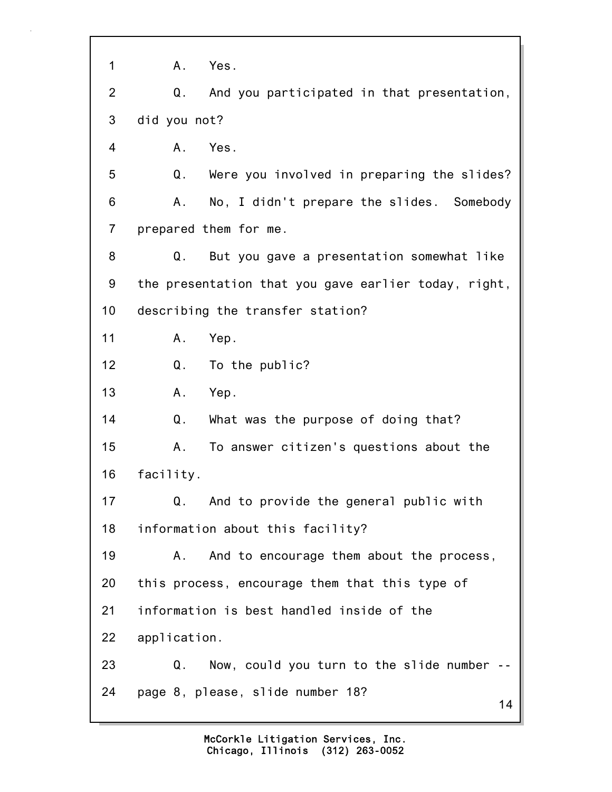| 1              | Yes.<br>$A_{-}$                                      |
|----------------|------------------------------------------------------|
| $\overline{2}$ | Q.<br>And you participated in that presentation,     |
| 3              | did you not?                                         |
| 4              | Yes.<br>A.                                           |
| 5              | Were you involved in preparing the slides?<br>Q.     |
| 6              | No, I didn't prepare the slides. Somebody<br>Α.      |
| $\overline{7}$ | prepared them for me.                                |
| 8              | But you gave a presentation somewhat like<br>Q.      |
| 9              | the presentation that you gave earlier today, right, |
| 10             | describing the transfer station?                     |
| 11             | Α.<br>Yep.                                           |
| 12             | Q.<br>To the public?                                 |
| 13             | Yep.<br>Α.                                           |
| 14             | Q.<br>What was the purpose of doing that?            |
| 15             | To answer citizen's questions about the<br>Α.        |
| 16             | facility.                                            |
| 17             | And to provide the general public with<br>Q.         |
| 18             | information about this facility?                     |
| 19             | And to encourage them about the process,<br>Α.       |
| 20             | this process, encourage them that this type of       |
| 21             | information is best handled inside of the            |
| 22             | application.                                         |
| 23             | Now, could you turn to the slide number --<br>Q.     |
| 24             | page 8, please, slide number 18?<br>14               |
|                |                                                      |

1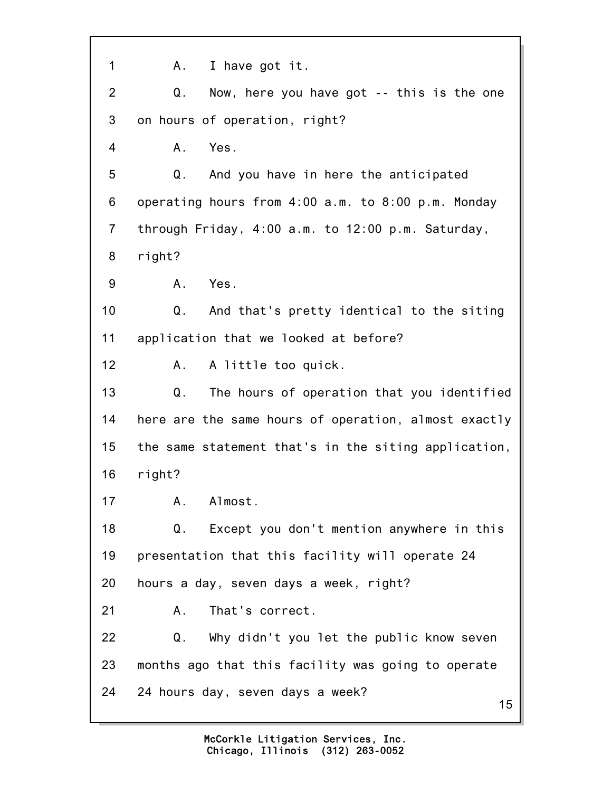15 1 A. I have got it. 2 Q. Now, here you have got -- this is the one 3 on hours of operation, right? 4 A. Yes. 5 Q. And you have in here the anticipated 6 operating hours from 4:00 a.m. to 8:00 p.m. Monday 7 through Friday, 4:00 a.m. to 12:00 p.m. Saturday, 8 right? 9 A. Yes. 10 Q. And that's pretty identical to the siting 11 application that we looked at before? 12 A. A little too quick. 13 Q. The hours of operation that you identified 14 here are the same hours of operation, almost exactly 15 the same statement that's in the siting application, 16 right? 17 A. Almost. 18 Q. Except you don't mention anywhere in this 19 presentation that this facility will operate 24 20 hours a day, seven days a week, right? 21 A. That's correct. 22 Q. Why didn't you let the public know seven 23 months ago that this facility was going to operate 24 24 hours day, seven days a week?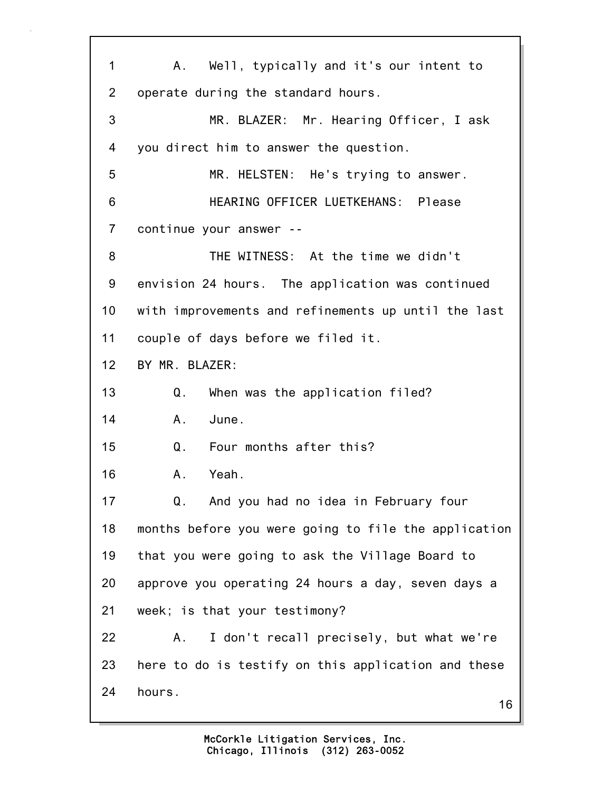16 1 A. Well, typically and it's our intent to 2 operate during the standard hours. 3 MR. BLAZER: Mr. Hearing Officer, I ask 4 you direct him to answer the question. 5 MR. HELSTEN: He's trying to answer. 6 HEARING OFFICER LUETKEHANS: Please 7 continue your answer -- 8 THE WITNESS: At the time we didn't 9 envision 24 hours. The application was continued 10 with improvements and refinements up until the last 11 couple of days before we filed it. 12 BY MR. BLAZER: 13 Q. When was the application filed? 14 A. June. 15 Q. Four months after this? 16 A. Yeah. 17 Q. And you had no idea in February four 18 months before you were going to file the application 19 that you were going to ask the Village Board to 20 approve you operating 24 hours a day, seven days a 21 week; is that your testimony? 22 A. I don't recall precisely, but what we're 23 here to do is testify on this application and these 24 hours.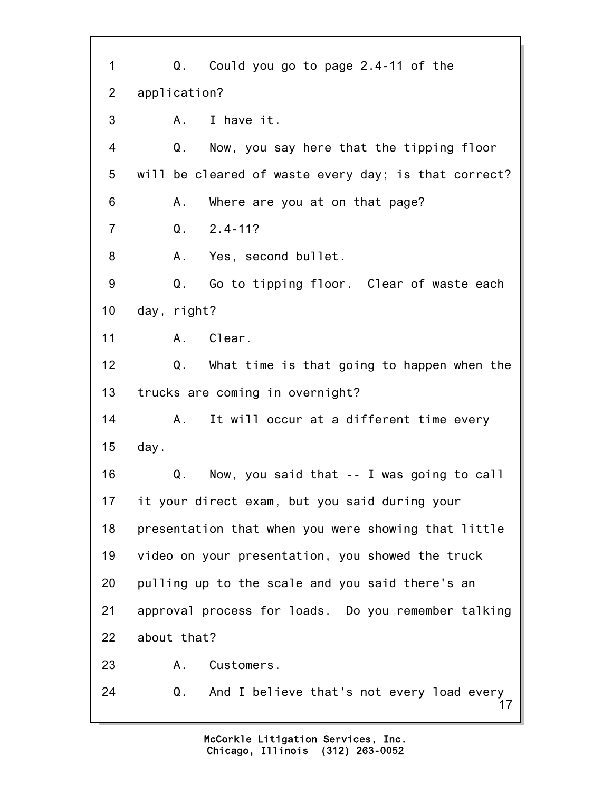17 1 Q. Could you go to page 2.4-11 of the 2 application? 3 A. I have it. 4 Q. Now, you say here that the tipping floor 5 will be cleared of waste every day; is that correct? 6 A. Where are you at on that page? 7 Q. 2.4-11? 8 A. Yes, second bullet. 9 Q. Go to tipping floor. Clear of waste each 10 day, right? 11 A. Clear. 12 Q. What time is that going to happen when the 13 trucks are coming in overnight? 14 A. It will occur at a different time every 15 day. 16 Q. Now, you said that -- I was going to call 17 it your direct exam, but you said during your 18 presentation that when you were showing that little 19 video on your presentation, you showed the truck 20 pulling up to the scale and you said there's an 21 approval process for loads. Do you remember talking 22 about that? 23 A. Customers. 24 Q. And I believe that's not every load every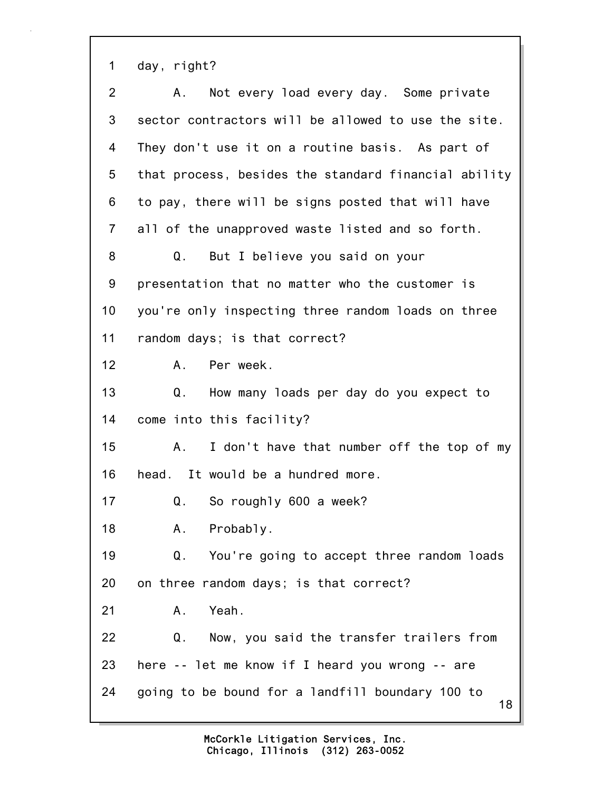1 day, right?

| $\overline{2}$ | Not every load every day. Some private<br>A.           |
|----------------|--------------------------------------------------------|
| 3              | sector contractors will be allowed to use the site.    |
| 4              | They don't use it on a routine basis. As part of       |
| 5              | that process, besides the standard financial ability   |
| 6              | to pay, there will be signs posted that will have      |
| $\overline{7}$ | all of the unapproved waste listed and so forth.       |
| 8              | But I believe you said on your<br>Q.                   |
| 9              | presentation that no matter who the customer is        |
| 10             | you're only inspecting three random loads on three     |
| 11             | random days; is that correct?                          |
| 12             | Per week.<br>A.,                                       |
| 13             | How many loads per day do you expect to<br>Q.          |
| 14             | come into this facility?                               |
| 15             | I don't have that number off the top of my<br>A.       |
| 16             | head. It would be a hundred more.                      |
| 17             | $Q$ .<br>So roughly 600 a week?                        |
| 18             | A. Probably.                                           |
| 19             | You're going to accept three random loads<br>Q.        |
| 20             | on three random days; is that correct?                 |
| 21             | Yeah.<br>Α.                                            |
| 22             | Now, you said the transfer trailers from<br>Q.         |
| 23             | here -- let me know if I heard you wrong -- are        |
| 24             | going to be bound for a landfill boundary 100 to<br>18 |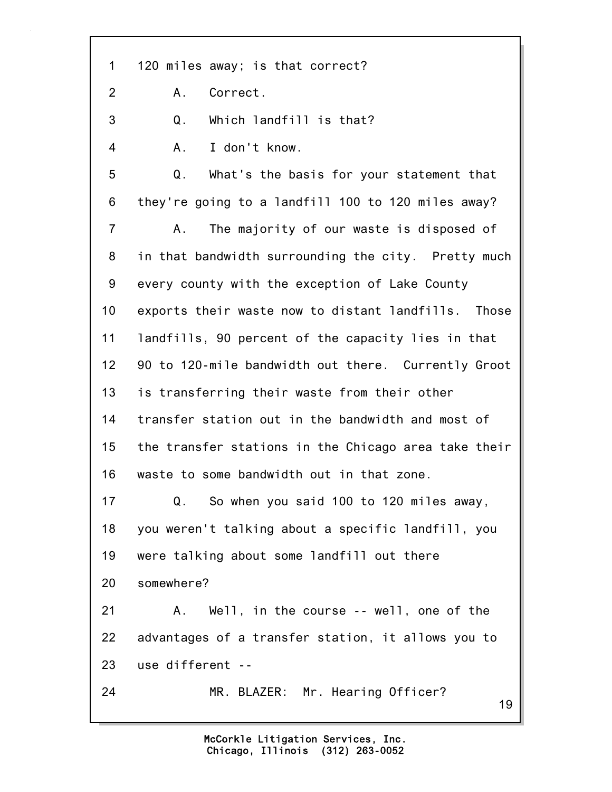19 1 120 miles away; is that correct? 2 A. Correct. 3 Q. Which landfill is that? 4 A. I don't know. 5 Q. What's the basis for your statement that 6 they're going to a landfill 100 to 120 miles away? 7 A. The majority of our waste is disposed of 8 in that bandwidth surrounding the city. Pretty much 9 every county with the exception of Lake County 10 exports their waste now to distant landfills. Those 11 landfills, 90 percent of the capacity lies in that 12 90 to 120-mile bandwidth out there. Currently Groot 13 is transferring their waste from their other 14 transfer station out in the bandwidth and most of 15 the transfer stations in the Chicago area take their 16 waste to some bandwidth out in that zone. 17 Q. So when you said 100 to 120 miles away, 18 you weren't talking about a specific landfill, you 19 were talking about some landfill out there 20 somewhere? 21 A. Well, in the course -- well, one of the 22 advantages of a transfer station, it allows you to 23 use different -- 24 MR. BLAZER: Mr. Hearing Officer?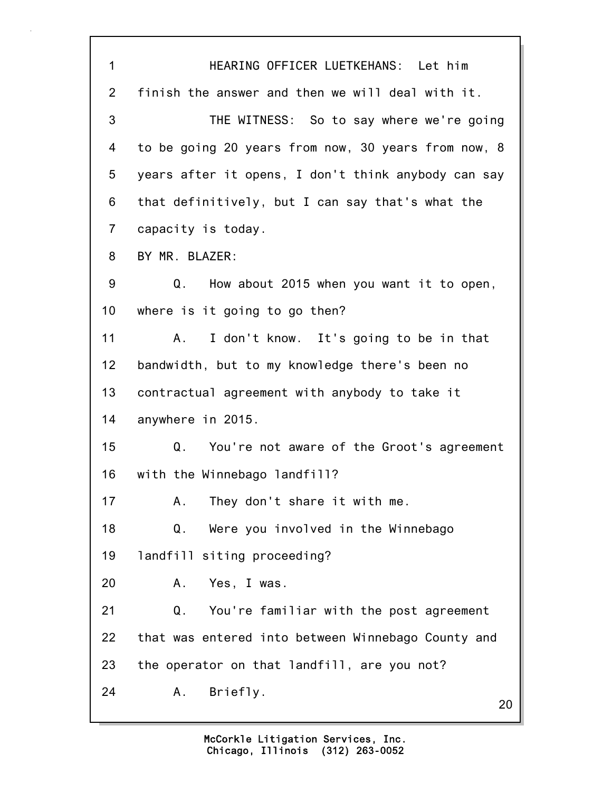20 1 HEARING OFFICER LUETKEHANS: Let him 2 finish the answer and then we will deal with it. 3 THE WITNESS: So to say where we're going 4 to be going 20 years from now, 30 years from now, 8 5 years after it opens, I don't think anybody can say 6 that definitively, but I can say that's what the 7 capacity is today. 8 BY MR. BLAZER: 9 Q. How about 2015 when you want it to open, 10 where is it going to go then? 11 A. I don't know. It's going to be in that 12 bandwidth, but to my knowledge there's been no 13 contractual agreement with anybody to take it 14 anywhere in 2015. 15 Q. You're not aware of the Groot's agreement 16 with the Winnebago landfill? 17 A. They don't share it with me. 18 Q. Were you involved in the Winnebago 19 landfill siting proceeding? 20 A. Yes, I was. 21 Q. You're familiar with the post agreement 22 that was entered into between Winnebago County and 23 the operator on that landfill, are you not? 24 A. Briefly.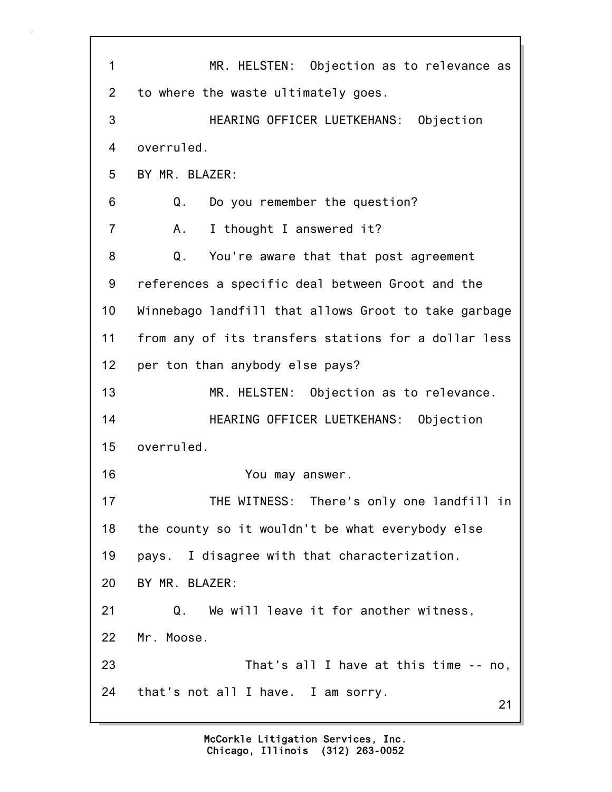21 1 MR. HELSTEN: Objection as to relevance as 2 to where the waste ultimately goes. 3 HEARING OFFICER LUETKEHANS: Objection 4 overruled. 5 BY MR. BLAZER: 6 Q. Do you remember the question? 7 A. I thought I answered it? 8 Q. You're aware that that post agreement 9 references a specific deal between Groot and the 10 Winnebago landfill that allows Groot to take garbage 11 from any of its transfers stations for a dollar less 12 per ton than anybody else pays? 13 MR. HELSTEN: Objection as to relevance. 14 HEARING OFFICER LUETKEHANS: Objection 15 overruled. 16 You may answer. 17 THE WITNESS: There's only one landfill in 18 the county so it wouldn't be what everybody else 19 pays. I disagree with that characterization. 20 BY MR. BLAZER: 21 Q. We will leave it for another witness, 22 Mr. Moose. 23 That's all I have at this time -- no, 24 that's not all I have. I am sorry.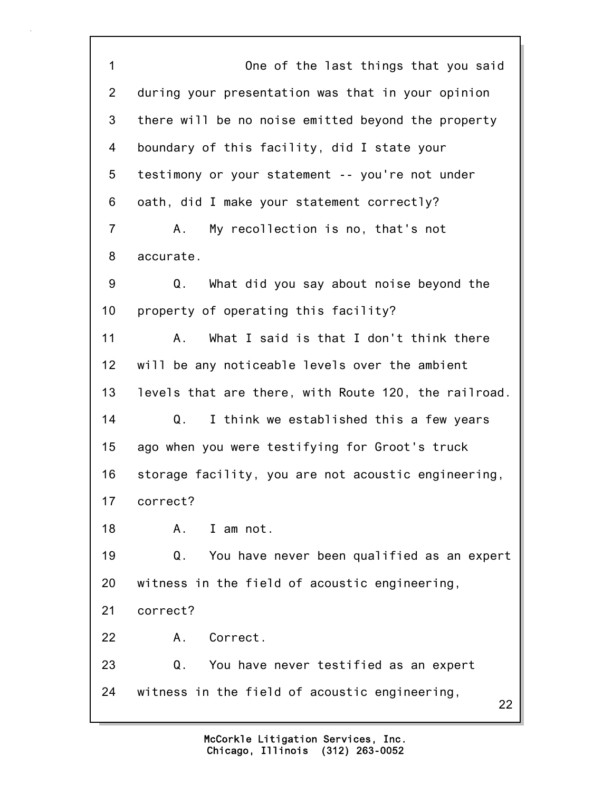22 1 One of the last things that you said 2 during your presentation was that in your opinion 3 there will be no noise emitted beyond the property 4 boundary of this facility, did I state your 5 testimony or your statement -- you're not under 6 oath, did I make your statement correctly? 7 A. My recollection is no, that's not 8 accurate. 9 Q. What did you say about noise beyond the 10 property of operating this facility? 11 A. What I said is that I don't think there 12 will be any noticeable levels over the ambient 13 levels that are there, with Route 120, the railroad. 14 Q. I think we established this a few years 15 ago when you were testifying for Groot's truck 16 storage facility, you are not acoustic engineering, 17 correct? 18 A. I am not. 19 Q. You have never been qualified as an expert 20 witness in the field of acoustic engineering, 21 correct? 22 A. Correct. 23 Q. You have never testified as an expert 24 witness in the field of acoustic engineering,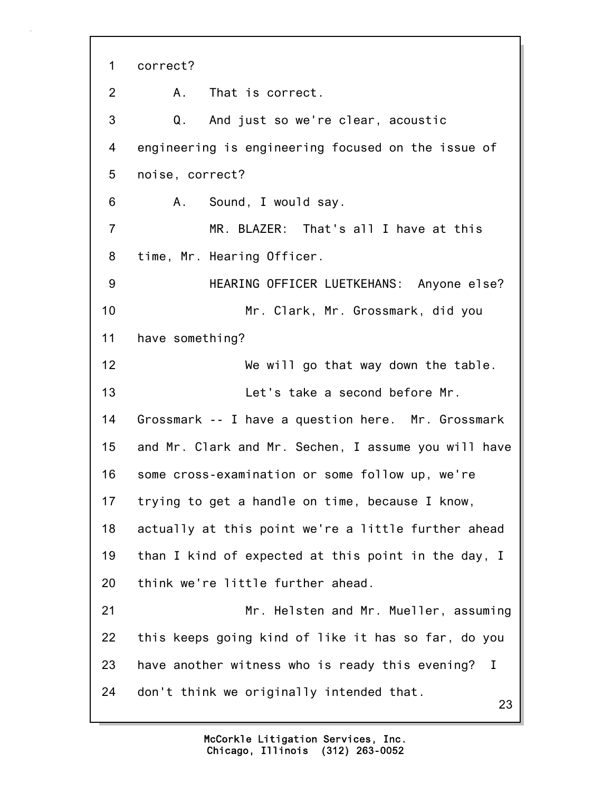23 1 correct? 2 A. That is correct. 3 Q. And just so we're clear, acoustic 4 engineering is engineering focused on the issue of 5 noise, correct? 6 A. Sound, I would say. 7 MR. BLAZER: That's all I have at this 8 time, Mr. Hearing Officer. 9 HEARING OFFICER LUETKEHANS: Anyone else? 10 Mr. Clark, Mr. Grossmark, did you 11 have something? 12 We will go that way down the table. 13 Let's take a second before Mr. 14 Grossmark -- I have a question here. Mr. Grossmark 15 and Mr. Clark and Mr. Sechen, I assume you will have 16 some cross-examination or some follow up, we're 17 trying to get a handle on time, because I know, 18 actually at this point we're a little further ahead 19 than I kind of expected at this point in the day, I 20 think we're little further ahead. 21 Mr. Helsten and Mr. Mueller, assuming 22 this keeps going kind of like it has so far, do you 23 have another witness who is ready this evening? I 24 don't think we originally intended that.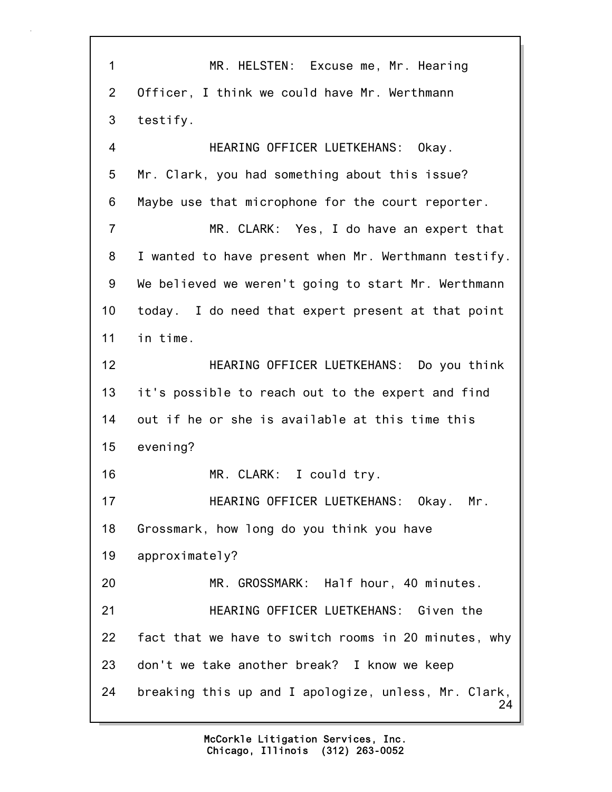24 1 MR. HELSTEN: Excuse me, Mr. Hearing 2 Officer, I think we could have Mr. Werthmann 3 testify. 4 HEARING OFFICER LUETKEHANS: Okay. 5 Mr. Clark, you had something about this issue? 6 Maybe use that microphone for the court reporter. 7 MR. CLARK: Yes, I do have an expert that 8 I wanted to have present when Mr. Werthmann testify. 9 We believed we weren't going to start Mr. Werthmann 10 today. I do need that expert present at that point 11 in time. 12 HEARING OFFICER LUETKEHANS: Do you think 13 it's possible to reach out to the expert and find 14 out if he or she is available at this time this 15 evening? 16 MR. CLARK: I could try. 17 HEARING OFFICER LUETKEHANS: Okay. Mr. 18 Grossmark, how long do you think you have 19 approximately? 20 MR. GROSSMARK: Half hour, 40 minutes. 21 HEARING OFFICER LUETKEHANS: Given the 22 fact that we have to switch rooms in 20 minutes, why 23 don't we take another break? I know we keep 24 breaking this up and I apologize, unless, Mr. Clark,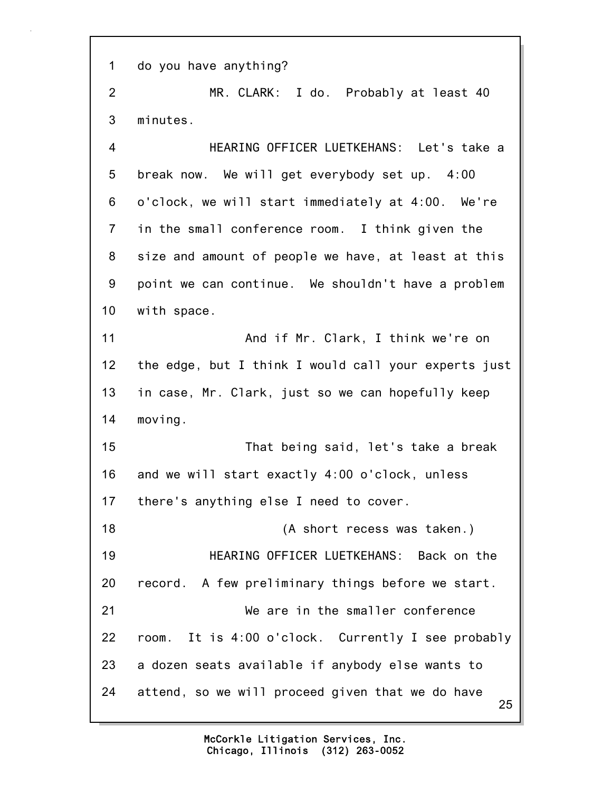1 do you have anything?

2 MR. CLARK: I do. Probably at least 40 3 minutes.

4 HEARING OFFICER LUETKEHANS: Let's take a 5 break now. We will get everybody set up. 4:00 6 o'clock, we will start immediately at 4:00. We're 7 in the small conference room. I think given the 8 size and amount of people we have, at least at this 9 point we can continue. We shouldn't have a problem 10 with space. 11 And if Mr. Clark, I think we're on 12 the edge, but I think I would call your experts just

13 in case, Mr. Clark, just so we can hopefully keep 14 moving.

15 That being said, let's take a break 16 and we will start exactly 4:00 o'clock, unless 17 there's anything else I need to cover.

25 18 (A short recess was taken.) 19 HEARING OFFICER LUETKEHANS: Back on the 20 record. A few preliminary things before we start. 21 We are in the smaller conference 22 room. It is 4:00 o'clock. Currently I see probably 23 a dozen seats available if anybody else wants to 24 attend, so we will proceed given that we do have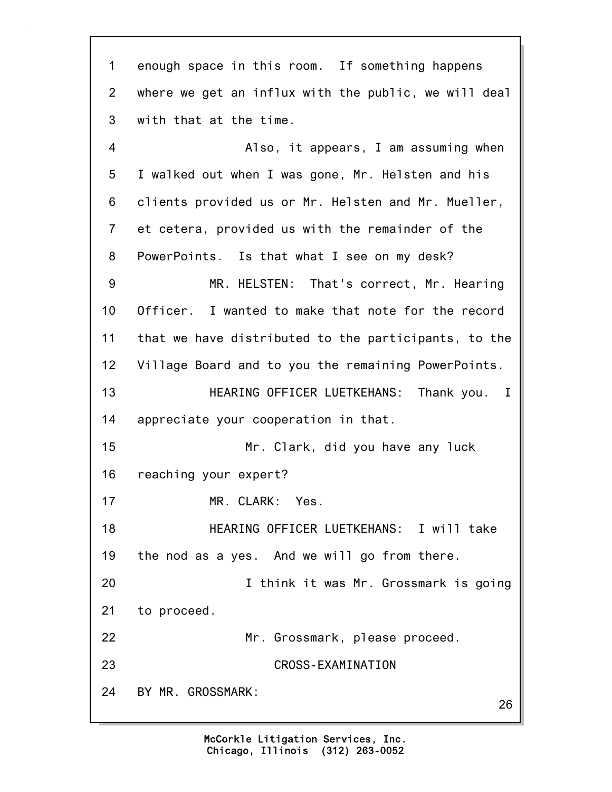26 1 enough space in this room. If something happens 2 where we get an influx with the public, we will deal 3 with that at the time. 4 Also, it appears, I am assuming when 5 I walked out when I was gone, Mr. Helsten and his 6 clients provided us or Mr. Helsten and Mr. Mueller, 7 et cetera, provided us with the remainder of the 8 PowerPoints. Is that what I see on my desk? 9 MR. HELSTEN: That's correct, Mr. Hearing 10 Officer. I wanted to make that note for the record 11 that we have distributed to the participants, to the 12 Village Board and to you the remaining PowerPoints. 13 HEARING OFFICER LUETKEHANS: Thank you. I 14 appreciate your cooperation in that. 15 Mr. Clark, did you have any luck 16 reaching your expert? 17 MR. CLARK: Yes. 18 HEARING OFFICER LUETKEHANS: I will take 19 the nod as a yes. And we will go from there. 20 I think it was Mr. Grossmark is going 21 to proceed. 22 Mr. Grossmark, please proceed. 23 CROSS-EXAMINATION 24 BY MR. GROSSMARK: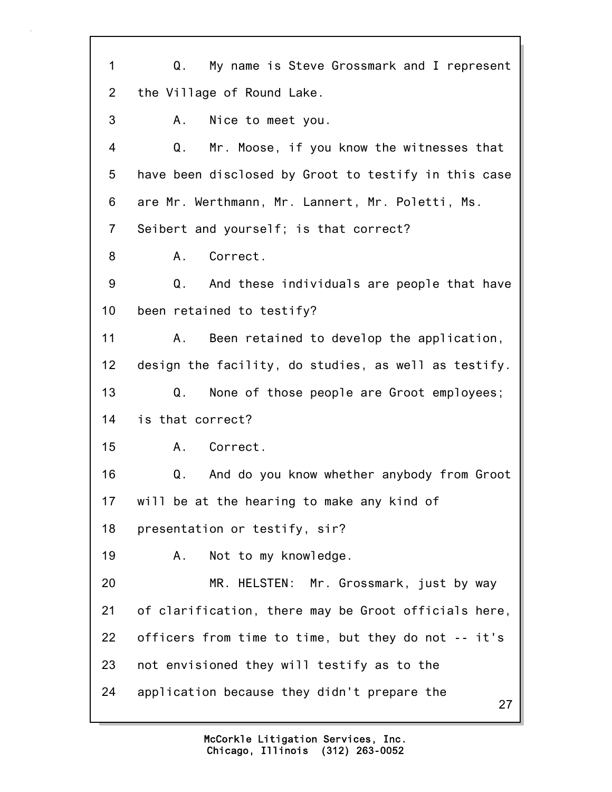27 1 Q. My name is Steve Grossmark and I represent 2 the Village of Round Lake. 3 A. Nice to meet you. 4 Q. Mr. Moose, if you know the witnesses that 5 have been disclosed by Groot to testify in this case 6 are Mr. Werthmann, Mr. Lannert, Mr. Poletti, Ms. 7 Seibert and yourself; is that correct? 8 A. Correct. 9 Q. And these individuals are people that have 10 been retained to testify? 11 A. Been retained to develop the application, 12 design the facility, do studies, as well as testify. 13 Q. None of those people are Groot employees; 14 is that correct? 15 A. Correct. 16 Q. And do you know whether anybody from Groot 17 will be at the hearing to make any kind of 18 presentation or testify, sir? 19 A. Not to my knowledge. 20 MR. HELSTEN: Mr. Grossmark, just by way 21 of clarification, there may be Groot officials here, 22 officers from time to time, but they do not -- it's 23 not envisioned they will testify as to the 24 application because they didn't prepare the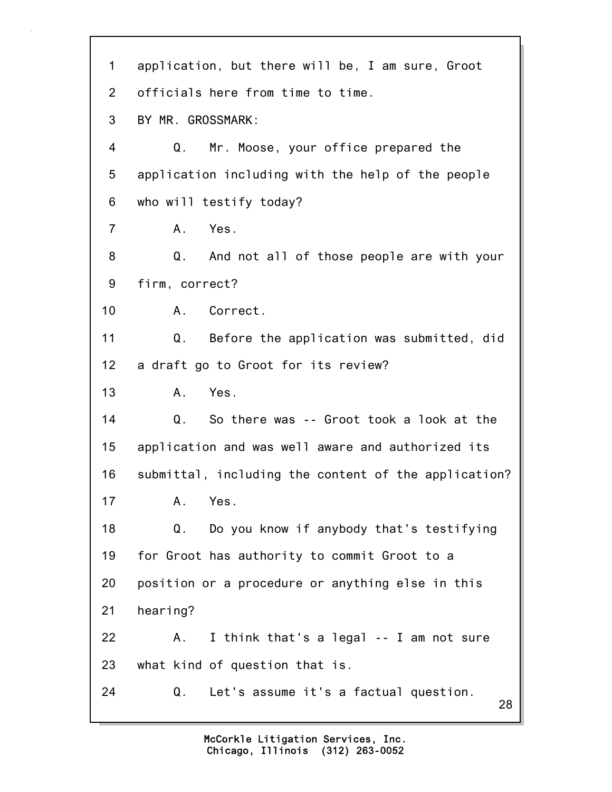| 1              | application, but there will be, I am sure, Groot     |
|----------------|------------------------------------------------------|
|                |                                                      |
| $\overline{2}$ | officials here from time to time.                    |
| 3              | BY MR. GROSSMARK:                                    |
| 4              | Q.<br>Mr. Moose, your office prepared the            |
| 5              | application including with the help of the people    |
| 6              | who will testify today?                              |
| $\overline{7}$ | Yes.<br>A.                                           |
| 8              | Q.<br>And not all of those people are with your      |
| 9              | firm, correct?                                       |
| 10             | A. Correct.                                          |
| 11             | Q.<br>Before the application was submitted, did      |
| 12             | a draft go to Groot for its review?                  |
| 13             | Yes.<br>Α.                                           |
| 14             | So there was -- Groot took a look at the<br>Q.       |
| 15             | application and was well aware and authorized its    |
| 16             | submittal, including the content of the application? |
| 17             | Α.<br>Yes.                                           |
| 18             | Do you know if anybody that's testifying<br>Q.       |
| 19             | for Groot has authority to commit Groot to a         |
| 20             | position or a procedure or anything else in this     |
| 21             | hearing?                                             |
| 22             | I think that's a legal -- I am not sure<br>А.        |
| 23             | what kind of question that is.                       |
| 24             | Q.<br>Let's assume it's a factual question.<br>28    |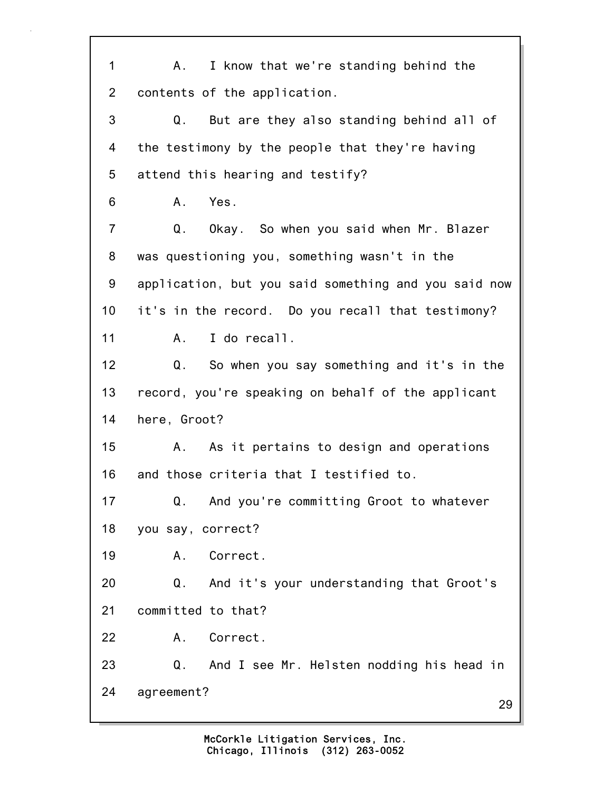29 1 A. I know that we're standing behind the 2 contents of the application. 3 Q. But are they also standing behind all of 4 the testimony by the people that they're having 5 attend this hearing and testify? 6 A. Yes. 7 Q. Okay. So when you said when Mr. Blazer 8 was questioning you, something wasn't in the 9 application, but you said something and you said now 10 it's in the record. Do you recall that testimony? 11 A. I do recall. 12 Q. So when you say something and it's in the 13 record, you're speaking on behalf of the applicant 14 here, Groot? 15 A. As it pertains to design and operations 16 and those criteria that I testified to. 17 Q. And you're committing Groot to whatever 18 you say, correct? 19 A. Correct. 20 Q. And it's your understanding that Groot's 21 committed to that? 22 A. Correct. 23 Q. And I see Mr. Helsten nodding his head in 24 agreement?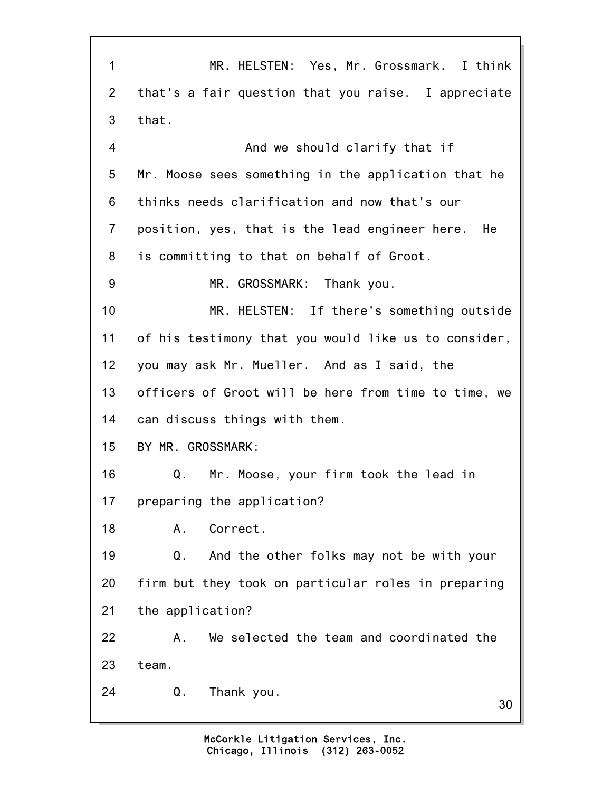30 1 MR. HELSTEN: Yes, Mr. Grossmark. I think 2 that's a fair question that you raise. I appreciate 3 that. 4 And we should clarify that if 5 Mr. Moose sees something in the application that he 6 thinks needs clarification and now that's our 7 position, yes, that is the lead engineer here. He 8 is committing to that on behalf of Groot. 9 MR. GROSSMARK: Thank you. 10 MR. HELSTEN: If there's something outside 11 of his testimony that you would like us to consider, 12 you may ask Mr. Mueller. And as I said, the 13 officers of Groot will be here from time to time, we 14 can discuss things with them. 15 BY MR. GROSSMARK: 16 Q. Mr. Moose, your firm took the lead in 17 preparing the application? 18 A. Correct. 19 Q. And the other folks may not be with your 20 firm but they took on particular roles in preparing 21 the application? 22 A. We selected the team and coordinated the 23 team. 24 Q. Thank you.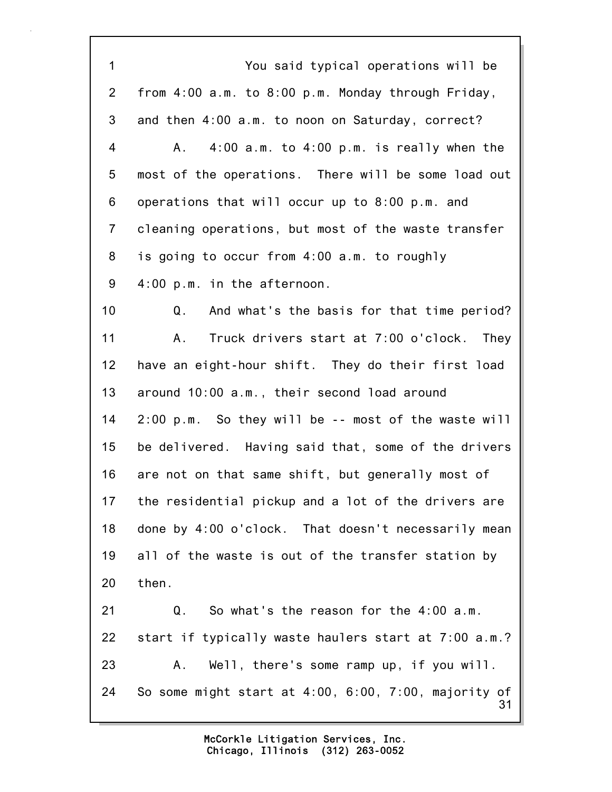31 1 You said typical operations will be 2 from 4:00 a.m. to 8:00 p.m. Monday through Friday, 3 and then 4:00 a.m. to noon on Saturday, correct? 4 A. 4:00 a.m. to 4:00 p.m. is really when the 5 most of the operations. There will be some load out 6 operations that will occur up to 8:00 p.m. and 7 cleaning operations, but most of the waste transfer 8 is going to occur from 4:00 a.m. to roughly 9 4:00 p.m. in the afternoon. 10 Q. And what's the basis for that time period? 11 A. Truck drivers start at 7:00 o'clock. They 12 have an eight-hour shift. They do their first load 13 around 10:00 a.m., their second load around 14 2:00 p.m. So they will be -- most of the waste will 15 be delivered. Having said that, some of the drivers 16 are not on that same shift, but generally most of 17 the residential pickup and a lot of the drivers are 18 done by 4:00 o'clock. That doesn't necessarily mean 19 all of the waste is out of the transfer station by 20 then. 21 Q. So what's the reason for the 4:00 a.m. 22 start if typically waste haulers start at 7:00 a.m.? 23 A. Well, there's some ramp up, if you will. 24 So some might start at 4:00, 6:00, 7:00, majority of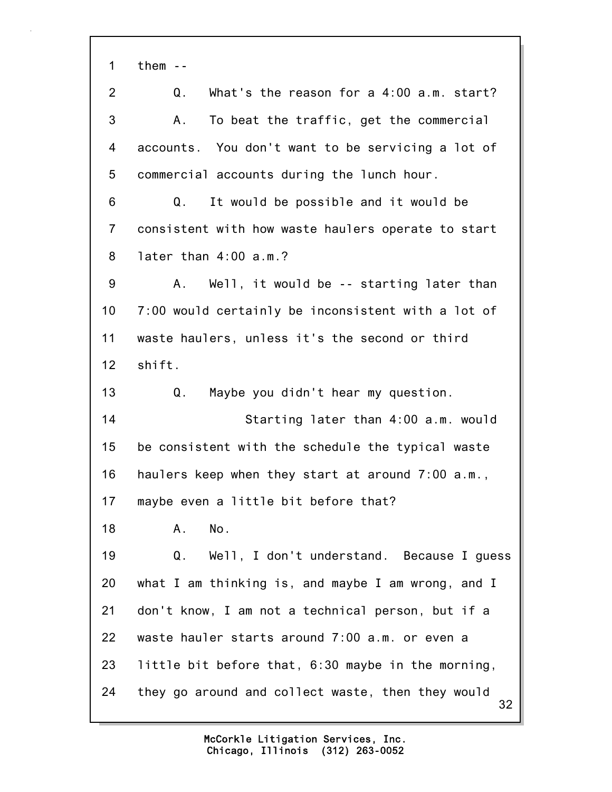1 them --

| $\overline{2}$ | What's the reason for a 4:00 a.m. start?<br>Q.          |
|----------------|---------------------------------------------------------|
| 3              | To beat the traffic, get the commercial<br>Α.           |
| 4              | accounts. You don't want to be servicing a lot of       |
| 5              | commercial accounts during the lunch hour.              |
| 6              | Q.<br>It would be possible and it would be              |
| $\overline{7}$ | consistent with how waste haulers operate to start      |
| 8              | later than $4:00$ a.m.?                                 |
| 9              | Well, it would be -- starting later than<br>A.          |
| 10             | 7:00 would certainly be inconsistent with a lot of      |
| 11             | waste haulers, unless it's the second or third          |
| 12             | shift.                                                  |
| 13             | Maybe you didn't hear my question.<br>Q.                |
| 14             | Starting later than 4:00 a.m. would                     |
| 15             | be consistent with the schedule the typical waste       |
| 16             | haulers keep when they start at around 7:00 a.m.,       |
| 17             | maybe even a little bit before that?                    |
| 18             | Α.<br>No.                                               |
| 19             | Q.<br>Well, I don't understand. Because I guess         |
| 20             | what I am thinking is, and maybe I am wrong, and I      |
| 21             | don't know, I am not a technical person, but if a       |
| 22             | waste hauler starts around 7:00 a.m. or even a          |
| 23             | little bit before that, 6:30 maybe in the morning,      |
| 24             | they go around and collect waste, then they would<br>32 |
|                |                                                         |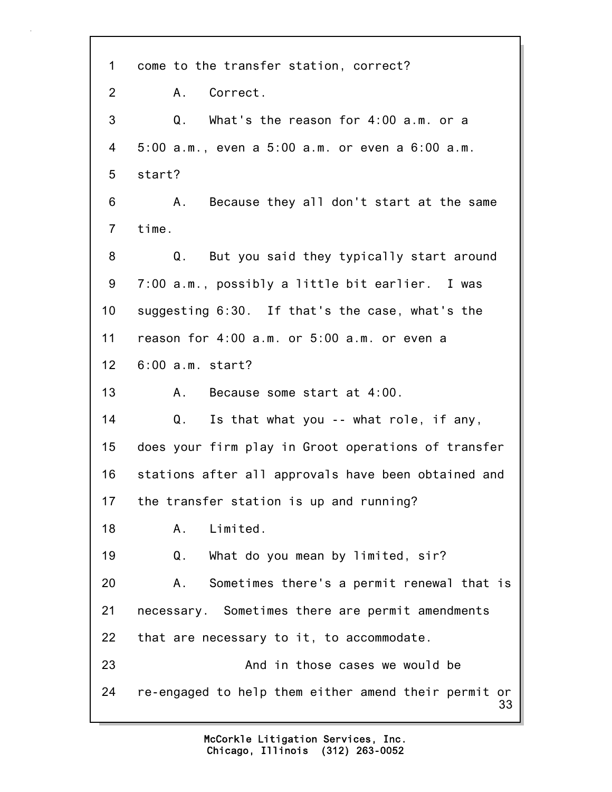33 1 come to the transfer station, correct? 2 A. Correct. 3 Q. What's the reason for 4:00 a.m. or a 4 5:00 a.m., even a 5:00 a.m. or even a 6:00 a.m. 5 start? 6 A. Because they all don't start at the same 7 time. 8 Q. But you said they typically start around 9 7:00 a.m., possibly a little bit earlier. I was 10 suggesting 6:30. If that's the case, what's the 11 reason for 4:00 a.m. or 5:00 a.m. or even a 12 6:00 a.m. start? 13 A. Because some start at 4:00. 14 Q. Is that what you -- what role, if any, 15 does your firm play in Groot operations of transfer 16 stations after all approvals have been obtained and 17 the transfer station is up and running? 18 A. Limited. 19 Q. What do you mean by limited, sir? 20 A. Sometimes there's a permit renewal that is 21 necessary. Sometimes there are permit amendments 22 that are necessary to it, to accommodate. 23 And in those cases we would be 24 re-engaged to help them either amend their permit or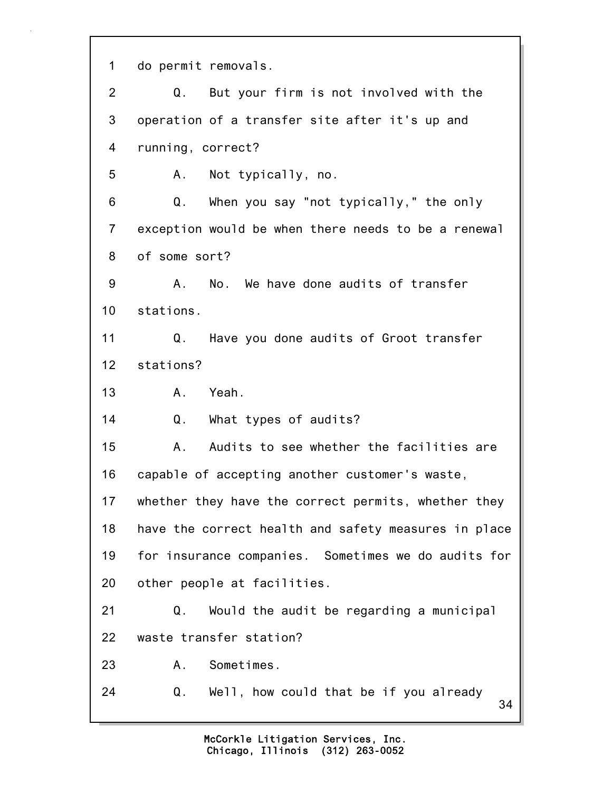34 1 do permit removals. 2 Q. But your firm is not involved with the 3 operation of a transfer site after it's up and 4 running, correct? 5 A. Not typically, no. 6 Q. When you say "not typically," the only 7 exception would be when there needs to be a renewal 8 of some sort? 9 A. No. We have done audits of transfer 10 stations. 11 Q. Have you done audits of Groot transfer 12 stations? 13 A. Yeah. 14 Q. What types of audits? 15 A. Audits to see whether the facilities are 16 capable of accepting another customer's waste, 17 whether they have the correct permits, whether they 18 have the correct health and safety measures in place 19 for insurance companies. Sometimes we do audits for 20 other people at facilities. 21 Q. Would the audit be regarding a municipal 22 waste transfer station? 23 A. Sometimes. 24 Q. Well, how could that be if you already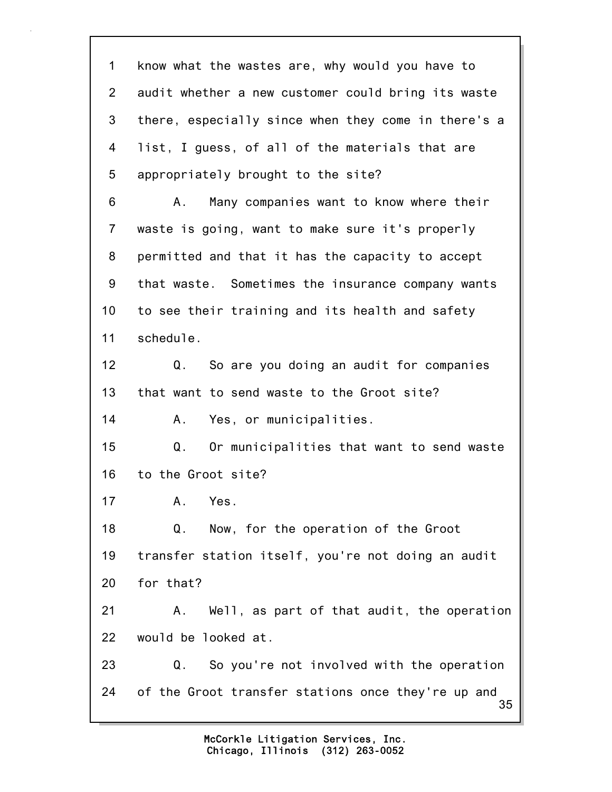35 1 know what the wastes are, why would you have to 2 audit whether a new customer could bring its waste 3 there, especially since when they come in there's a 4 list, I guess, of all of the materials that are 5 appropriately brought to the site? 6 A. Many companies want to know where their 7 waste is going, want to make sure it's properly 8 permitted and that it has the capacity to accept 9 that waste. Sometimes the insurance company wants 10 to see their training and its health and safety 11 schedule. 12 Q. So are you doing an audit for companies 13 that want to send waste to the Groot site? 14 A. Yes, or municipalities. 15 Q. Or municipalities that want to send waste 16 to the Groot site? 17 A. Yes. 18 Q. Now, for the operation of the Groot 19 transfer station itself, you're not doing an audit 20 for that? 21 A. Well, as part of that audit, the operation 22 would be looked at. 23 Q. So you're not involved with the operation 24 of the Groot transfer stations once they're up and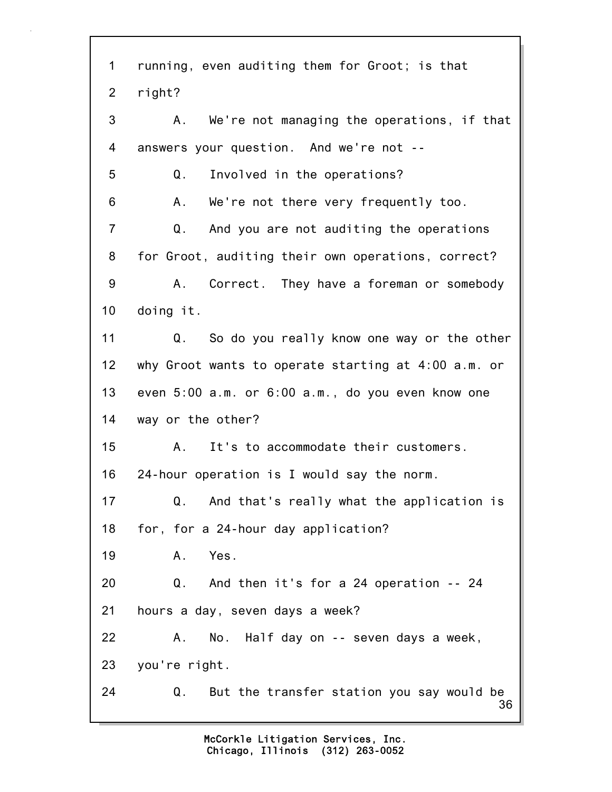36 1 running, even auditing them for Groot; is that 2 right? 3 A. We're not managing the operations, if that 4 answers your question. And we're not -- 5 Q. Involved in the operations? 6 A. We're not there very frequently too. 7 Q. And you are not auditing the operations 8 for Groot, auditing their own operations, correct? 9 A. Correct. They have a foreman or somebody 10 doing it. 11 Q. So do you really know one way or the other 12 why Groot wants to operate starting at 4:00 a.m. or 13 even 5:00 a.m. or 6:00 a.m., do you even know one 14 way or the other? 15 A. It's to accommodate their customers. 16 24-hour operation is I would say the norm. 17 Q. And that's really what the application is 18 for, for a 24-hour day application? 19 A. Yes. 20 Q. And then it's for a 24 operation -- 24 21 hours a day, seven days a week? 22 A. No. Half day on -- seven days a week, 23 you're right. 24 Q. But the transfer station you say would be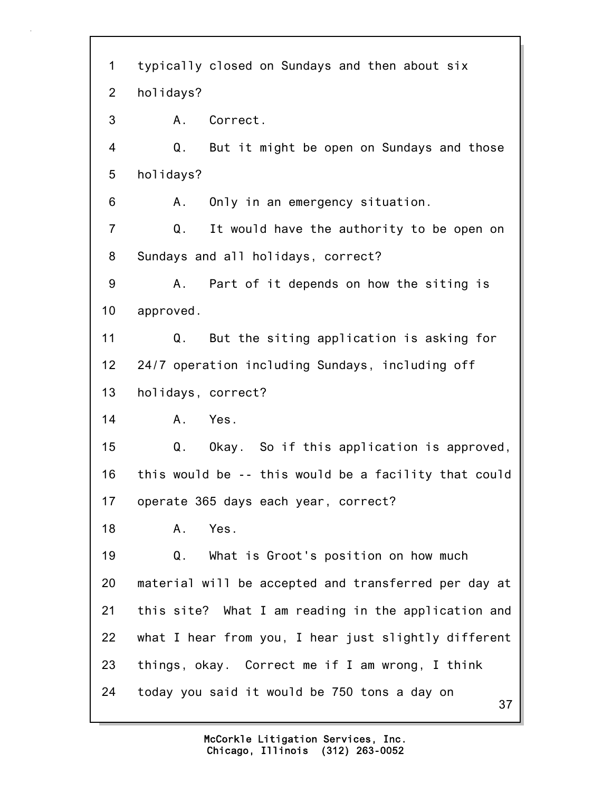37 1 typically closed on Sundays and then about six 2 holidays? 3 A. Correct. 4 Q. But it might be open on Sundays and those 5 holidays? 6 A. Only in an emergency situation. 7 Q. It would have the authority to be open on 8 Sundays and all holidays, correct? 9 A. Part of it depends on how the siting is 10 approved. 11 Q. But the siting application is asking for 12 24/7 operation including Sundays, including off 13 holidays, correct? 14 A. Yes. 15 Q. Okay. So if this application is approved, 16 this would be -- this would be a facility that could 17 operate 365 days each year, correct? 18 A. Yes. 19 Q. What is Groot's position on how much 20 material will be accepted and transferred per day at 21 this site? What I am reading in the application and 22 what I hear from you, I hear just slightly different 23 things, okay. Correct me if I am wrong, I think 24 today you said it would be 750 tons a day on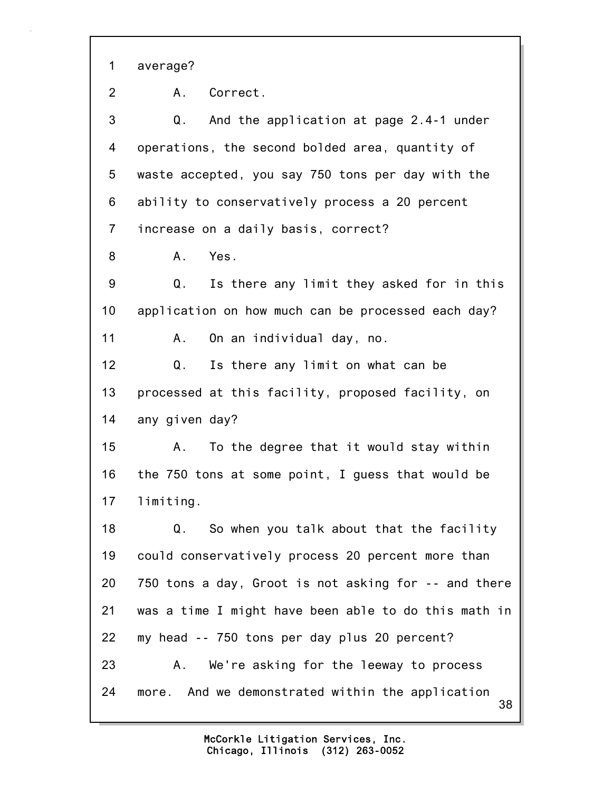1 average?

2 A. Correct.

38 3 Q. And the application at page 2.4-1 under 4 operations, the second bolded area, quantity of 5 waste accepted, you say 750 tons per day with the 6 ability to conservatively process a 20 percent 7 increase on a daily basis, correct? 8 A. Yes. 9 Q. Is there any limit they asked for in this 10 application on how much can be processed each day? 11 A. On an individual day, no. 12 Q. Is there any limit on what can be 13 processed at this facility, proposed facility, on 14 any given day? 15 A. To the degree that it would stay within 16 the 750 tons at some point, I guess that would be 17 limiting. 18 Q. So when you talk about that the facility 19 could conservatively process 20 percent more than 20 750 tons a day, Groot is not asking for -- and there 21 was a time I might have been able to do this math in 22 my head -- 750 tons per day plus 20 percent? 23 A. We're asking for the leeway to process 24 more. And we demonstrated within the application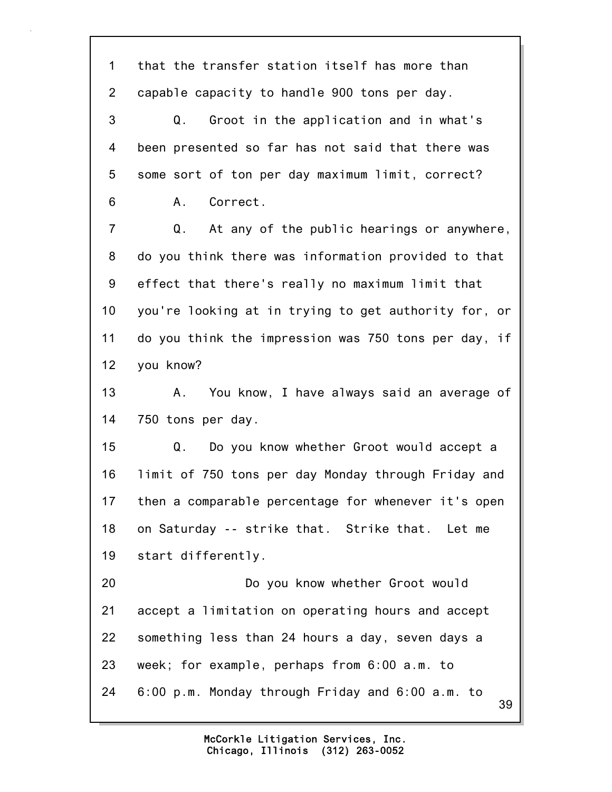39 1 that the transfer station itself has more than 2 capable capacity to handle 900 tons per day. 3 Q. Groot in the application and in what's 4 been presented so far has not said that there was 5 some sort of ton per day maximum limit, correct? 6 A. Correct. 7 Q. At any of the public hearings or anywhere, 8 do you think there was information provided to that 9 effect that there's really no maximum limit that 10 you're looking at in trying to get authority for, or 11 do you think the impression was 750 tons per day, if 12 you know? 13 A. You know, I have always said an average of 14 750 tons per day. 15 Q. Do you know whether Groot would accept a 16 limit of 750 tons per day Monday through Friday and 17 then a comparable percentage for whenever it's open 18 on Saturday -- strike that. Strike that. Let me 19 start differently. 20 Do you know whether Groot would 21 accept a limitation on operating hours and accept 22 something less than 24 hours a day, seven days a 23 week; for example, perhaps from 6:00 a.m. to 24 6:00 p.m. Monday through Friday and 6:00 a.m. to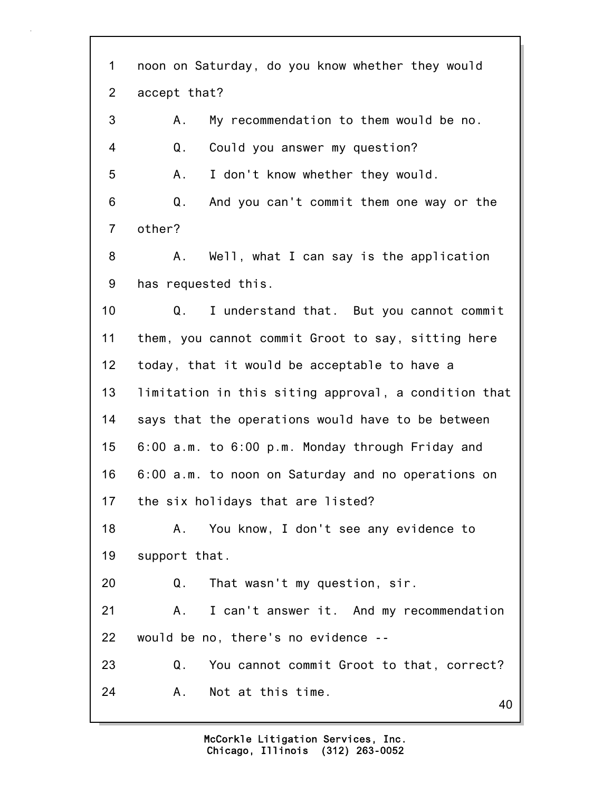40 1 noon on Saturday, do you know whether they would 2 accept that? 3 A. My recommendation to them would be no. 4 Q. Could you answer my question? 5 A. I don't know whether they would. 6 Q. And you can't commit them one way or the 7 other? 8 A. Well, what I can say is the application 9 has requested this. 10 Q. I understand that. But you cannot commit 11 them, you cannot commit Groot to say, sitting here 12 today, that it would be acceptable to have a 13 limitation in this siting approval, a condition that 14 says that the operations would have to be between 15 6:00 a.m. to 6:00 p.m. Monday through Friday and 16 6:00 a.m. to noon on Saturday and no operations on 17 the six holidays that are listed? 18 A. You know, I don't see any evidence to 19 support that. 20 Q. That wasn't my question, sir. 21 A. I can't answer it. And my recommendation 22 would be no, there's no evidence -- 23 Q. You cannot commit Groot to that, correct? 24 A. Not at this time.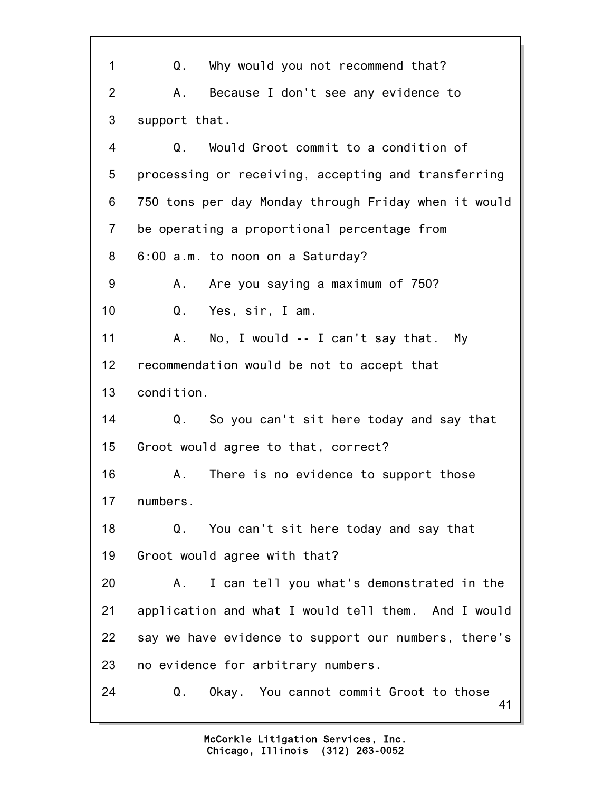41 1 Q. Why would you not recommend that? 2 A. Because I don't see any evidence to 3 support that. 4 Q. Would Groot commit to a condition of 5 processing or receiving, accepting and transferring 6 750 tons per day Monday through Friday when it would 7 be operating a proportional percentage from 8 6:00 a.m. to noon on a Saturday? 9 A. Are you saying a maximum of 750? 10 Q. Yes, sir, I am. 11 A. No, I would -- I can't say that. My 12 recommendation would be not to accept that 13 condition. 14 Q. So you can't sit here today and say that 15 Groot would agree to that, correct? 16 A. There is no evidence to support those 17 numbers. 18 Q. You can't sit here today and say that 19 Groot would agree with that? 20 A. I can tell you what's demonstrated in the 21 application and what I would tell them. And I would 22 say we have evidence to support our numbers, there's 23 no evidence for arbitrary numbers. 24 Q. Okay. You cannot commit Groot to those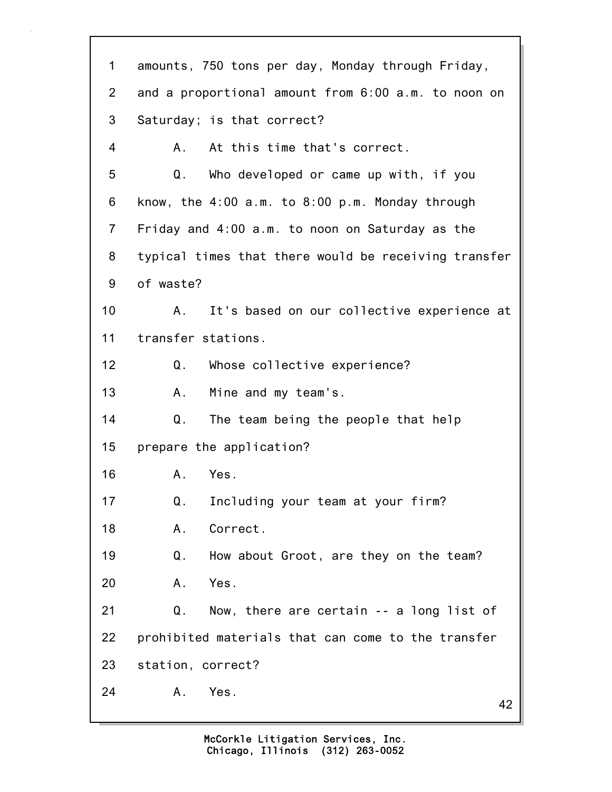42 1 amounts, 750 tons per day, Monday through Friday, 2 and a proportional amount from 6:00 a.m. to noon on 3 Saturday; is that correct? 4 A. At this time that's correct. 5 Q. Who developed or came up with, if you 6 know, the 4:00 a.m. to 8:00 p.m. Monday through 7 Friday and 4:00 a.m. to noon on Saturday as the 8 typical times that there would be receiving transfer 9 of waste? 10 A. It's based on our collective experience at 11 transfer stations. 12 Q. Whose collective experience? 13 A. Mine and my team's. 14 Q. The team being the people that help 15 prepare the application? 16 A. Yes. 17 Q. Including your team at your firm? 18 A. Correct. 19 Q. How about Groot, are they on the team? 20 A. Yes. 21 Q. Now, there are certain -- a long list of 22 prohibited materials that can come to the transfer 23 station, correct? 24 A. Yes.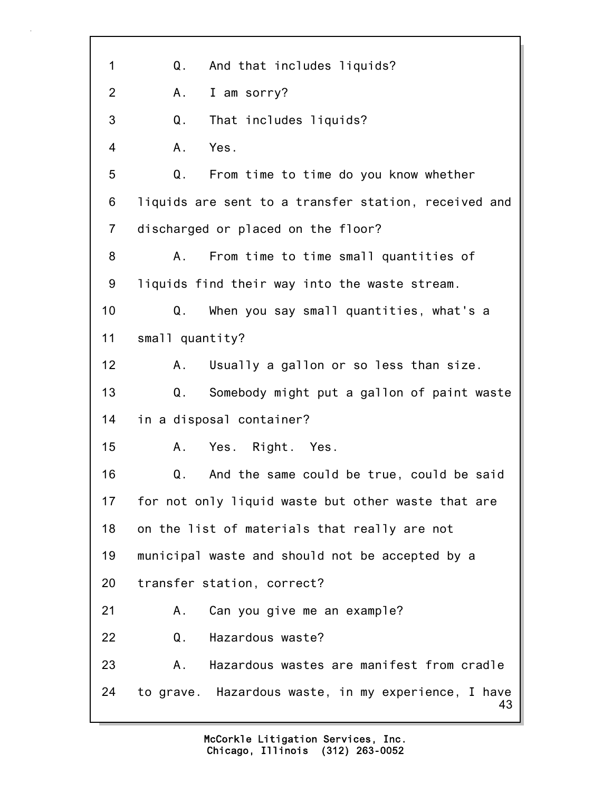43 1 Q. And that includes liquids? 2 A. I am sorry? 3 Q. That includes liquids? 4 A. Yes. 5 Q. From time to time do you know whether 6 liquids are sent to a transfer station, received and 7 discharged or placed on the floor? 8 A. From time to time small quantities of 9 liquids find their way into the waste stream. 10 Q. When you say small quantities, what's a 11 small quantity? 12 A. Usually a gallon or so less than size. 13 Q. Somebody might put a gallon of paint waste 14 in a disposal container? 15 A. Yes. Right. Yes. 16 Q. And the same could be true, could be said 17 for not only liquid waste but other waste that are 18 on the list of materials that really are not 19 municipal waste and should not be accepted by a 20 transfer station, correct? 21 A. Can you give me an example? 22 Q. Hazardous waste? 23 A. Hazardous wastes are manifest from cradle 24 to grave. Hazardous waste, in my experience, I have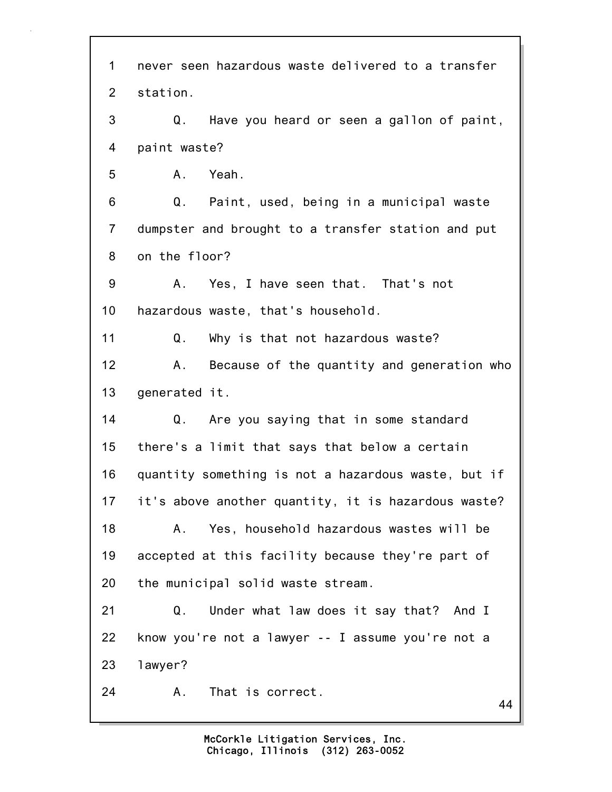44 1 never seen hazardous waste delivered to a transfer 2 station. 3 Q. Have you heard or seen a gallon of paint, 4 paint waste? 5 A. Yeah. 6 Q. Paint, used, being in a municipal waste 7 dumpster and brought to a transfer station and put 8 on the floor? 9 A. Yes, I have seen that. That's not 10 hazardous waste, that's household. 11 Q. Why is that not hazardous waste? 12 A. Because of the quantity and generation who 13 generated it. 14 Q. Are you saying that in some standard 15 there's a limit that says that below a certain 16 quantity something is not a hazardous waste, but if 17 it's above another quantity, it is hazardous waste? 18 A. Yes, household hazardous wastes will be 19 accepted at this facility because they're part of 20 the municipal solid waste stream. 21 Q. Under what law does it say that? And I 22 know you're not a lawyer -- I assume you're not a 23 lawyer? 24 A. That is correct.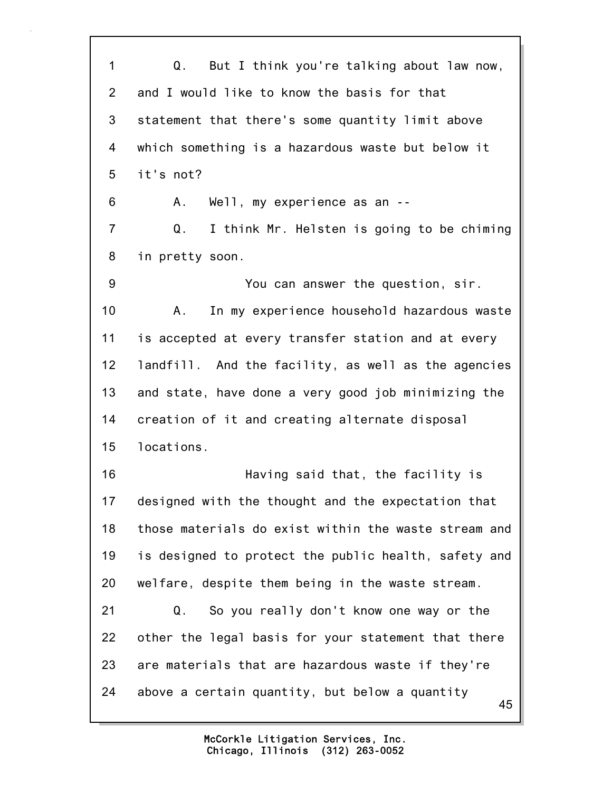45 1 Q. But I think you're talking about law now, 2 and I would like to know the basis for that 3 statement that there's some quantity limit above 4 which something is a hazardous waste but below it 5 it's not? 6 A. Well, my experience as an -- 7 Q. I think Mr. Helsten is going to be chiming 8 in pretty soon. 9 You can answer the question, sir. 10 A. In my experience household hazardous waste 11 is accepted at every transfer station and at every 12 landfill. And the facility, as well as the agencies 13 and state, have done a very good job minimizing the 14 creation of it and creating alternate disposal 15 locations. 16 Having said that, the facility is 17 designed with the thought and the expectation that 18 those materials do exist within the waste stream and 19 is designed to protect the public health, safety and 20 welfare, despite them being in the waste stream. 21 Q. So you really don't know one way or the 22 other the legal basis for your statement that there 23 are materials that are hazardous waste if they're 24 above a certain quantity, but below a quantity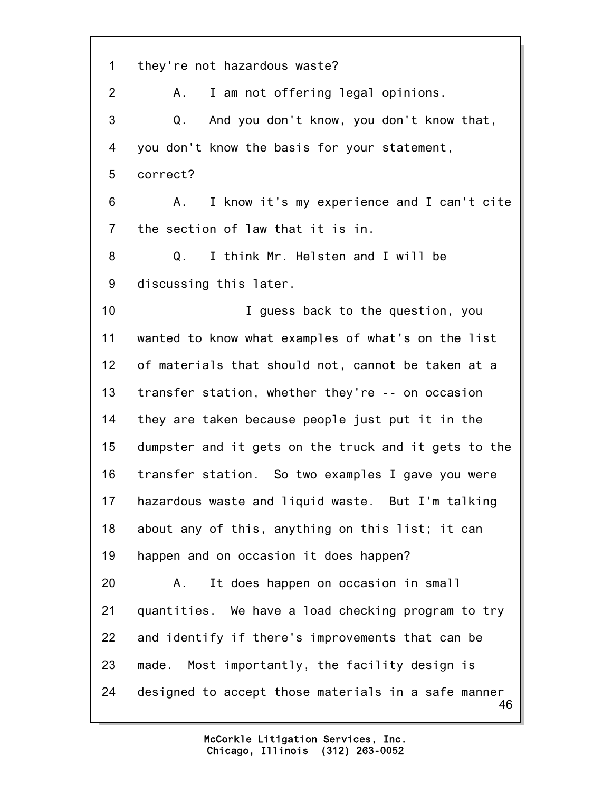46 1 they're not hazardous waste? 2 A. I am not offering legal opinions. 3 Q. And you don't know, you don't know that, 4 you don't know the basis for your statement, 5 correct? 6 A. I know it's my experience and I can't cite 7 the section of law that it is in. 8 Q. I think Mr. Helsten and I will be 9 discussing this later. 10 I guess back to the question, you 11 wanted to know what examples of what's on the list 12 of materials that should not, cannot be taken at a 13 transfer station, whether they're -- on occasion 14 they are taken because people just put it in the 15 dumpster and it gets on the truck and it gets to the 16 transfer station. So two examples I gave you were 17 hazardous waste and liquid waste. But I'm talking 18 about any of this, anything on this list; it can 19 happen and on occasion it does happen? 20 A. It does happen on occasion in small 21 quantities. We have a load checking program to try 22 and identify if there's improvements that can be 23 made. Most importantly, the facility design is 24 designed to accept those materials in a safe manner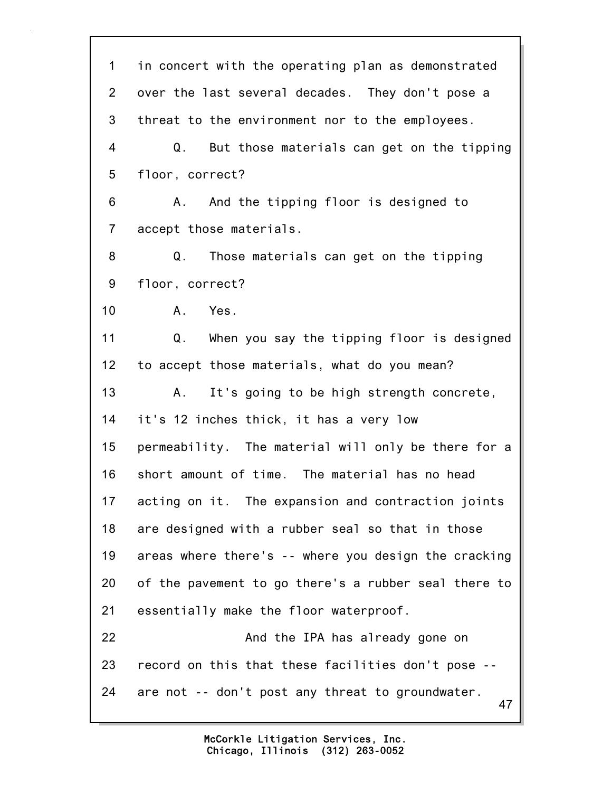47 1 in concert with the operating plan as demonstrated 2 over the last several decades. They don't pose a 3 threat to the environment nor to the employees. 4 Q. But those materials can get on the tipping 5 floor, correct? 6 A. And the tipping floor is designed to 7 accept those materials. 8 Q. Those materials can get on the tipping 9 floor, correct? 10 A. Yes. 11 Q. When you say the tipping floor is designed 12 to accept those materials, what do you mean? 13 A. It's going to be high strength concrete, 14 it's 12 inches thick, it has a very low 15 permeability. The material will only be there for a 16 short amount of time. The material has no head 17 acting on it. The expansion and contraction joints 18 are designed with a rubber seal so that in those 19 areas where there's -- where you design the cracking 20 of the pavement to go there's a rubber seal there to 21 essentially make the floor waterproof. 22 And the IPA has already gone on 23 record on this that these facilities don't pose -- 24 are not -- don't post any threat to groundwater.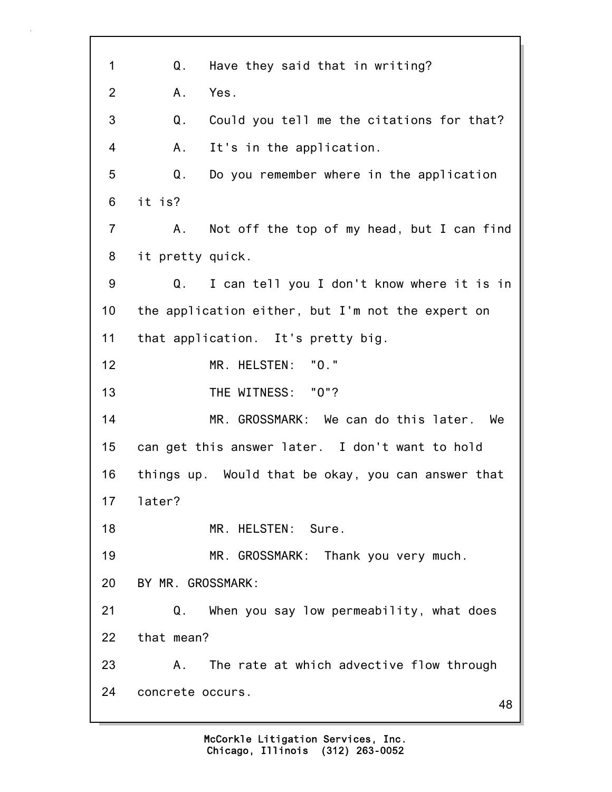48 1 Q. Have they said that in writing? 2 A. Yes. 3 Q. Could you tell me the citations for that? 4 A. It's in the application. 5 Q. Do you remember where in the application 6 it is? 7 A. Not off the top of my head, but I can find 8 it pretty quick. 9 Q. I can tell you I don't know where it is in 10 the application either, but I'm not the expert on 11 that application. It's pretty big. 12 MR. HELSTEN: "O." 13 THE WITNESS: "O"? 14 MR. GROSSMARK: We can do this later. We 15 can get this answer later. I don't want to hold 16 things up. Would that be okay, you can answer that 17 later? 18 MR. HELSTEN: Sure. 19 MR. GROSSMARK: Thank you very much. 20 BY MR. GROSSMARK: 21 Q. When you say low permeability, what does 22 that mean? 23 A. The rate at which advective flow through 24 concrete occurs.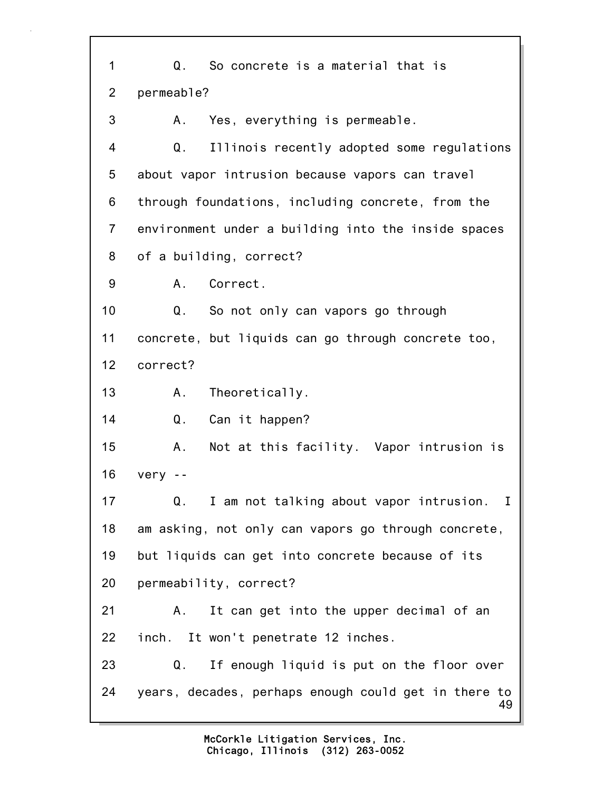49 1 Q. So concrete is a material that is 2 permeable? 3 A. Yes, everything is permeable. 4 Q. Illinois recently adopted some regulations 5 about vapor intrusion because vapors can travel 6 through foundations, including concrete, from the 7 environment under a building into the inside spaces 8 of a building, correct? 9 A. Correct. 10 Q. So not only can vapors go through 11 concrete, but liquids can go through concrete too, 12 correct? 13 A. Theoretically. 14 Q. Can it happen? 15 A. Not at this facility. Vapor intrusion is 16 very -- 17 Q. I am not talking about vapor intrusion. I 18 am asking, not only can vapors go through concrete, 19 but liquids can get into concrete because of its 20 permeability, correct? 21 A. It can get into the upper decimal of an 22 inch. It won't penetrate 12 inches. 23 Q. If enough liquid is put on the floor over 24 years, decades, perhaps enough could get in there to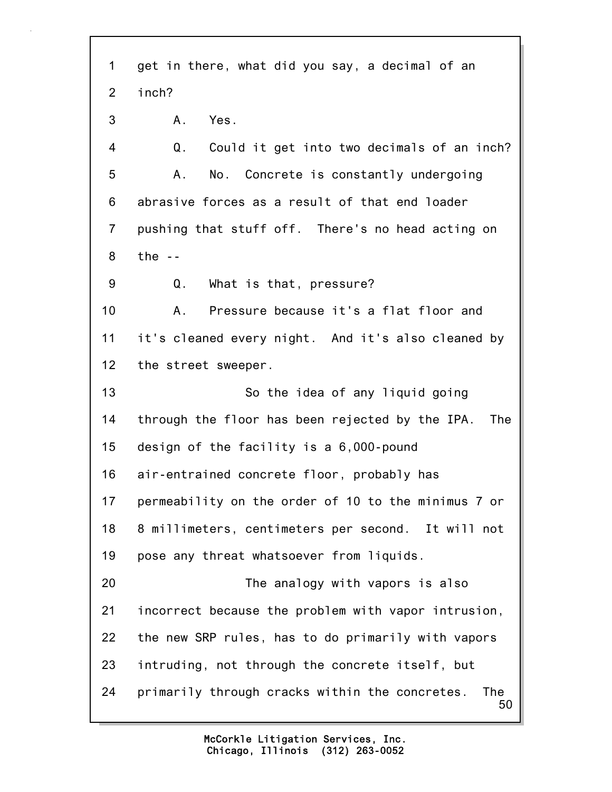50 1 get in there, what did you say, a decimal of an 2 inch? 3 A. Yes. 4 Q. Could it get into two decimals of an inch? 5 A. No. Concrete is constantly undergoing 6 abrasive forces as a result of that end loader 7 pushing that stuff off. There's no head acting on 8 the -- 9 Q. What is that, pressure? 10 A. Pressure because it's a flat floor and 11 it's cleaned every night. And it's also cleaned by 12 the street sweeper. 13 So the idea of any liquid going 14 through the floor has been rejected by the IPA. The 15 design of the facility is a 6,000-pound 16 air-entrained concrete floor, probably has 17 permeability on the order of 10 to the minimus 7 or 18 8 millimeters, centimeters per second. It will not 19 pose any threat whatsoever from liquids. 20 The analogy with vapors is also 21 incorrect because the problem with vapor intrusion, 22 the new SRP rules, has to do primarily with vapors 23 intruding, not through the concrete itself, but 24 primarily through cracks within the concretes. The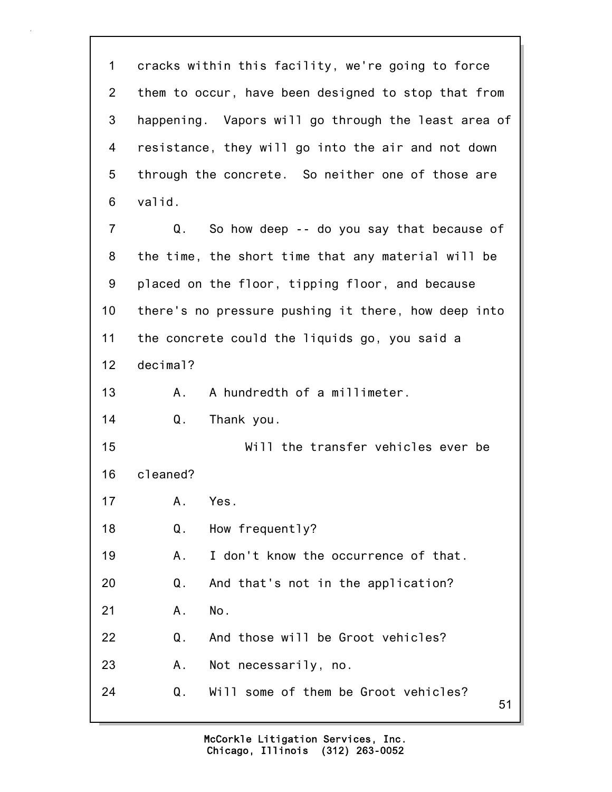51 1 cracks within this facility, we're going to force 2 them to occur, have been designed to stop that from 3 happening. Vapors will go through the least area of 4 resistance, they will go into the air and not down 5 through the concrete. So neither one of those are 6 valid. 7 Q. So how deep -- do you say that because of 8 the time, the short time that any material will be 9 placed on the floor, tipping floor, and because 10 there's no pressure pushing it there, how deep into 11 the concrete could the liquids go, you said a 12 decimal? 13 A. A hundredth of a millimeter. 14 Q. Thank you. 15 Will the transfer vehicles ever be 16 cleaned? 17 A. Yes. 18 Q. How frequently? 19 A. I don't know the occurrence of that. 20 Q. And that's not in the application? 21 A. No. 22 Q. And those will be Groot vehicles? 23 A. Not necessarily, no. 24 Q. Will some of them be Groot vehicles?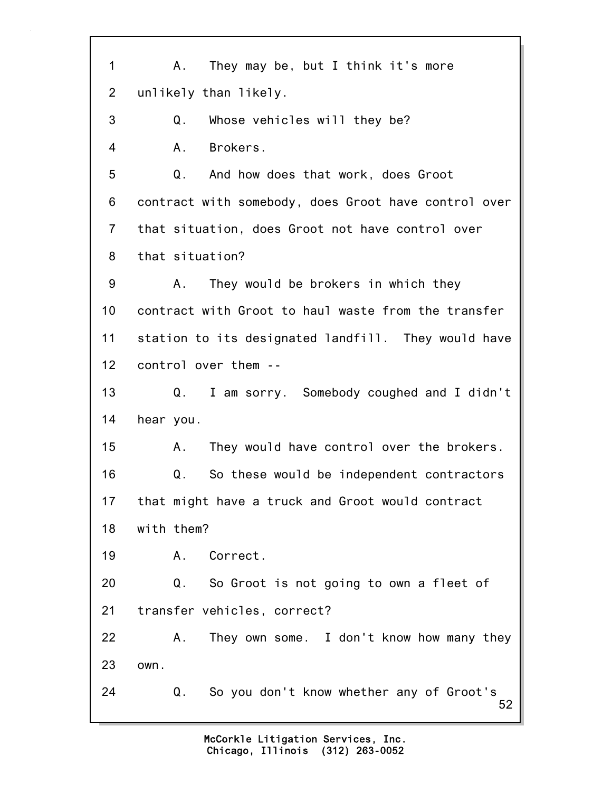52 1 A. They may be, but I think it's more 2 unlikely than likely. 3 Q. Whose vehicles will they be? 4 A. Brokers. 5 Q. And how does that work, does Groot 6 contract with somebody, does Groot have control over 7 that situation, does Groot not have control over 8 that situation? 9 A. They would be brokers in which they 10 contract with Groot to haul waste from the transfer 11 station to its designated landfill. They would have 12 control over them -- 13 Q. I am sorry. Somebody coughed and I didn't 14 hear you. 15 A. They would have control over the brokers. 16 Q. So these would be independent contractors 17 that might have a truck and Groot would contract 18 with them? 19 A. Correct. 20 Q. So Groot is not going to own a fleet of 21 transfer vehicles, correct? 22 A. They own some. I don't know how many they 23 own. 24 Q. So you don't know whether any of Groot's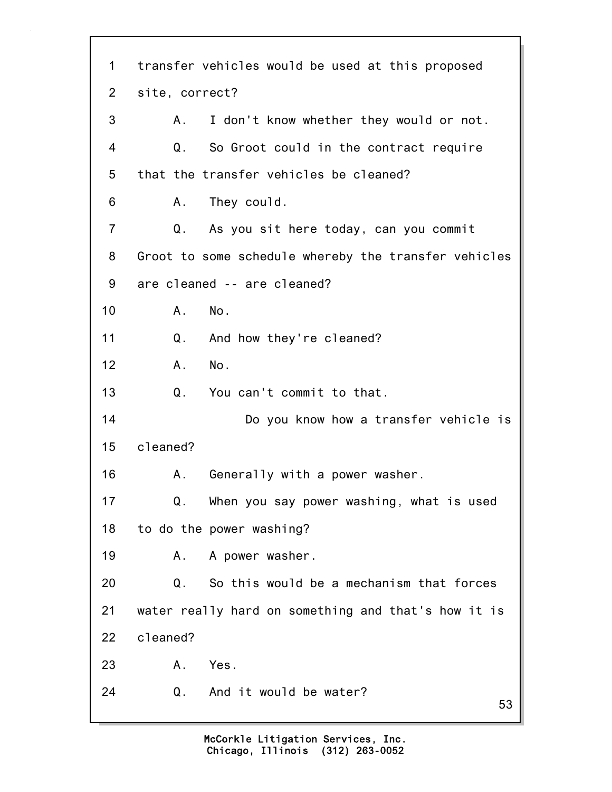53 1 transfer vehicles would be used at this proposed 2 site, correct? 3 A. I don't know whether they would or not. 4 Q. So Groot could in the contract require 5 that the transfer vehicles be cleaned? 6 A. They could. 7 Q. As you sit here today, can you commit 8 Groot to some schedule whereby the transfer vehicles 9 are cleaned -- are cleaned? 10 A. No. 11 Q. And how they're cleaned? 12 A. No. 13 Q. You can't commit to that. 14 Do you know how a transfer vehicle is 15 cleaned? 16 A. Generally with a power washer. 17 Q. When you say power washing, what is used 18 to do the power washing? 19 A. A power washer. 20 Q. So this would be a mechanism that forces 21 water really hard on something and that's how it is 22 cleaned? 23 A. Yes. 24 Q. And it would be water?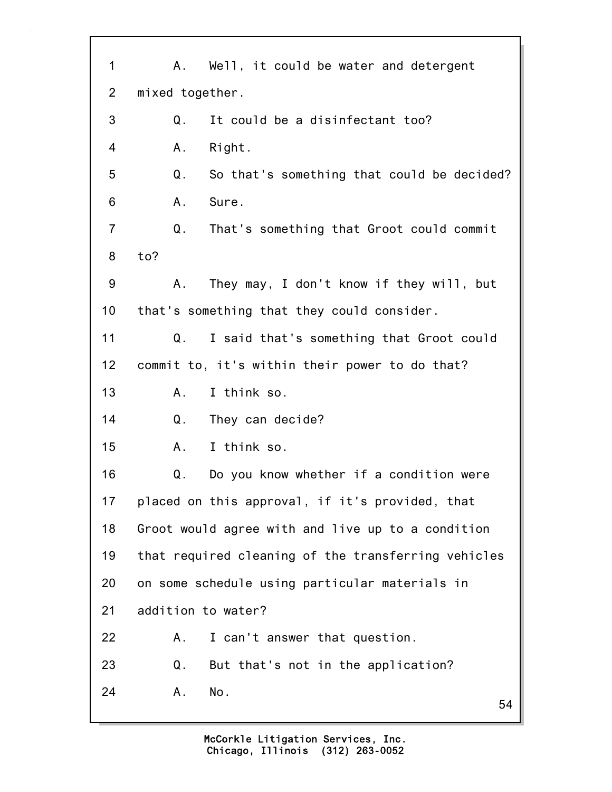| 1              | A. Well, it could be water and detergent            |
|----------------|-----------------------------------------------------|
| $\overline{2}$ | mixed together.                                     |
| 3              | It could be a disinfectant too?<br>Q.               |
| 4              | Α.<br>Right.                                        |
| 5              | Q.<br>So that's something that could be decided?    |
| 6              | A.<br>Sure.                                         |
| $\overline{7}$ | That's something that Groot could commit<br>Q.      |
| 8              | to?                                                 |
| 9              | They may, I don't know if they will, but<br>Α.      |
| 10             | that's something that they could consider.          |
| 11             | Q.<br>I said that's something that Groot could      |
| $12 \,$        | commit to, it's within their power to do that?      |
| 13             | I think so.<br>А.                                   |
| 14             | Q.<br>They can decide?                              |
| 15             | I think so.<br>Α.                                   |
| 16             | Q.<br>Do you know whether if a condition were       |
| 17             | placed on this approval, if it's provided, that     |
| 18             | Groot would agree with and live up to a condition   |
| 19             | that required cleaning of the transferring vehicles |
| 20             | on some schedule using particular materials in      |
| 21             | addition to water?                                  |
| 22             | Α.<br>I can't answer that question.                 |
| 23             | Q.<br>But that's not in the application?            |
| 24             | No.<br>Α.<br>54                                     |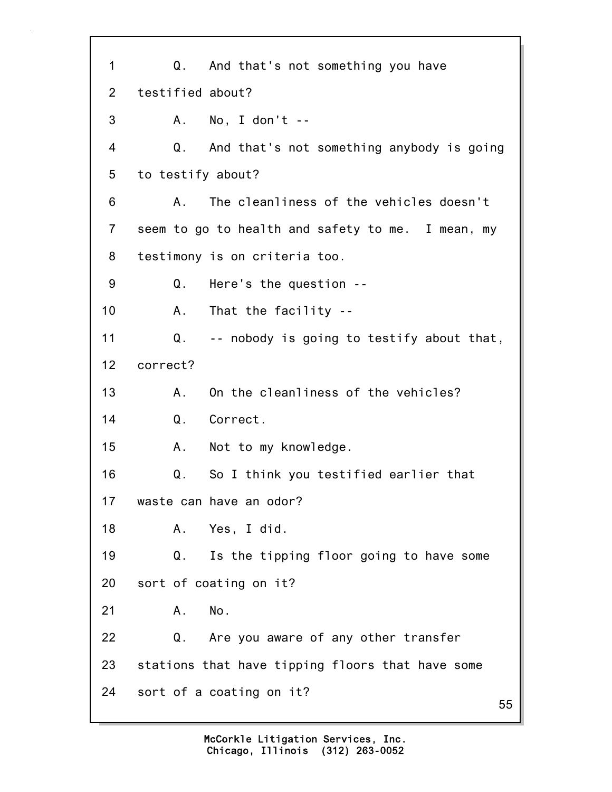55 1 Q. And that's not something you have 2 testified about? 3 A. No, I don't -- 4 Q. And that's not something anybody is going 5 to testify about? 6 A. The cleanliness of the vehicles doesn't 7 seem to go to health and safety to me. I mean, my 8 testimony is on criteria too. 9 Q. Here's the question -- 10 A. That the facility -- 11 Q. -- nobody is going to testify about that, 12 correct? 13 A. On the cleanliness of the vehicles? 14 Q. Correct. 15 A. Not to my knowledge. 16 Q. So I think you testified earlier that 17 waste can have an odor? 18 A. Yes, I did. 19 Q. Is the tipping floor going to have some 20 sort of coating on it? 21 A. No. 22 Q. Are you aware of any other transfer 23 stations that have tipping floors that have some 24 sort of a coating on it?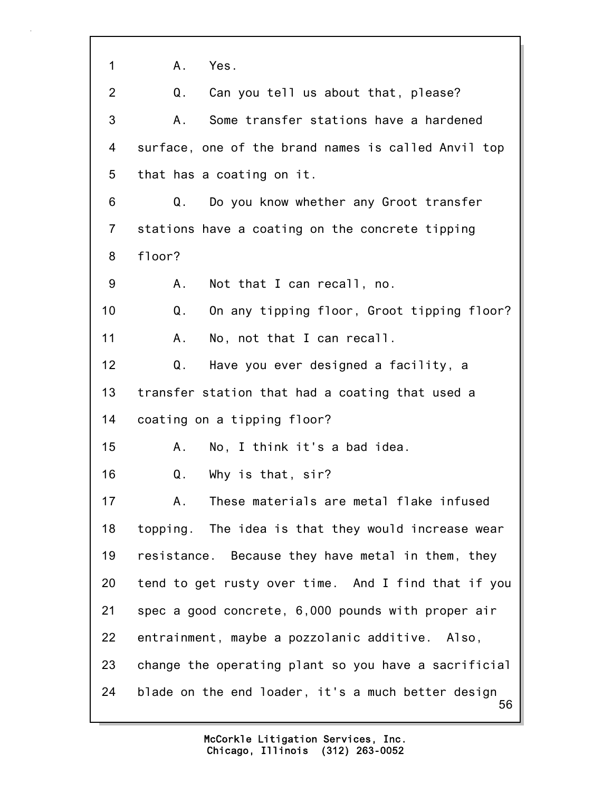56 1 A. Yes. 2 Q. Can you tell us about that, please? 3 A. Some transfer stations have a hardened 4 surface, one of the brand names is called Anvil top 5 that has a coating on it. 6 Q. Do you know whether any Groot transfer 7 stations have a coating on the concrete tipping 8 floor? 9 A. Not that I can recall, no. 10 Q. On any tipping floor, Groot tipping floor? 11 A. No, not that I can recall. 12 Q. Have you ever designed a facility, a 13 transfer station that had a coating that used a 14 coating on a tipping floor? 15 A. No, I think it's a bad idea. 16 Q. Why is that, sir? 17 A. These materials are metal flake infused 18 topping. The idea is that they would increase wear 19 resistance. Because they have metal in them, they 20 tend to get rusty over time. And I find that if you 21 spec a good concrete, 6,000 pounds with proper air 22 entrainment, maybe a pozzolanic additive. Also, 23 change the operating plant so you have a sacrificial 24 blade on the end loader, it's a much better design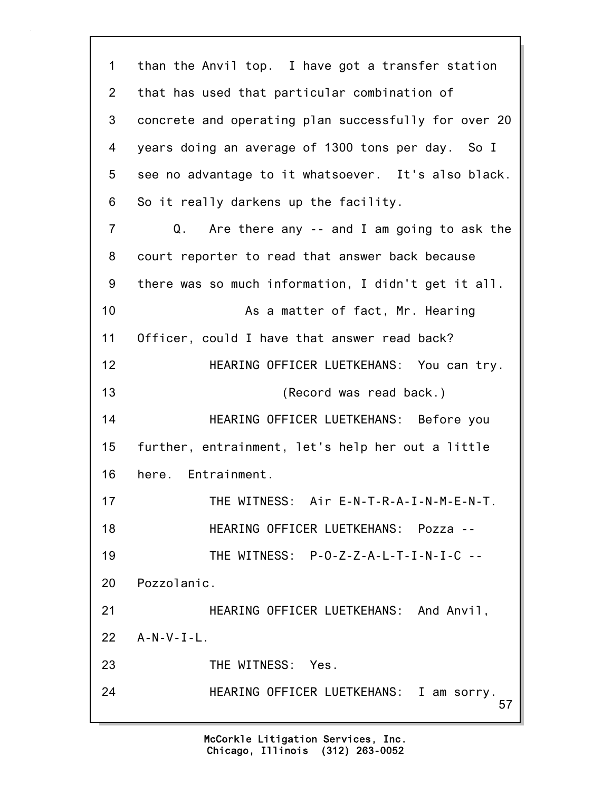57 1 than the Anvil top. I have got a transfer station 2 that has used that particular combination of 3 concrete and operating plan successfully for over 20 4 years doing an average of 1300 tons per day. So I 5 see no advantage to it whatsoever. It's also black. 6 So it really darkens up the facility. 7 Q. Are there any -- and I am going to ask the 8 court reporter to read that answer back because 9 there was so much information, I didn't get it all. 10 As a matter of fact, Mr. Hearing 11 Officer, could I have that answer read back? 12 HEARING OFFICER LUETKEHANS: You can try. 13 (Record was read back.) 14 HEARING OFFICER LUETKEHANS: Before you 15 further, entrainment, let's help her out a little 16 here. Entrainment. 17 THE WITNESS: Air E-N-T-R-A-I-N-M-E-N-T. 18 HEARING OFFICER LUETKEHANS: Pozza -- 19 THE WITNESS: P-O-Z-Z-A-L-T-I-N-I-C -- 20 Pozzolanic. 21 HEARING OFFICER LUETKEHANS: And Anvil, 22 A-N-V-I-L. 23 THE WITNESS: Yes. 24 HEARING OFFICER LUETKEHANS: I am sorry.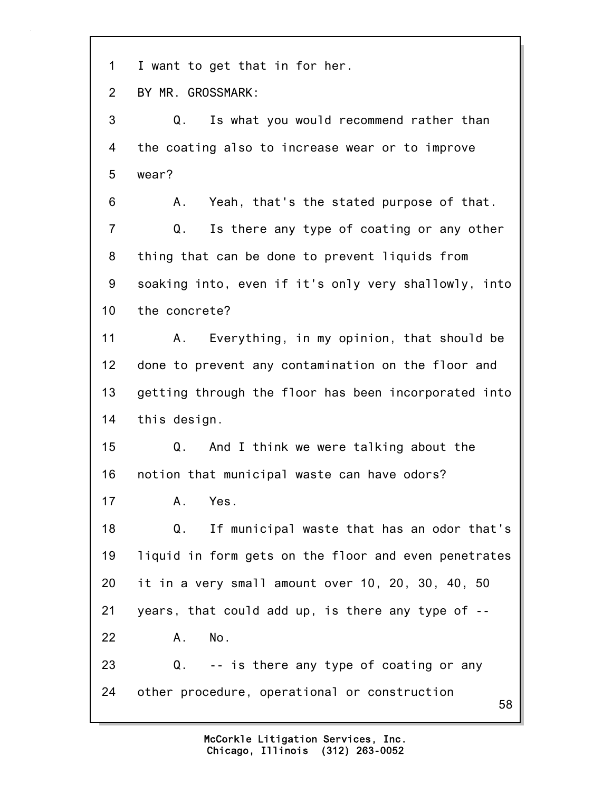1 I want to get that in for her.

2 BY MR. GROSSMARK:

3 Q. Is what you would recommend rather than 4 the coating also to increase wear or to improve 5 wear?

6 A. Yeah, that's the stated purpose of that. 7 Q. Is there any type of coating or any other 8 thing that can be done to prevent liquids from 9 soaking into, even if it's only very shallowly, into 10 the concrete?

11 A. Everything, in my opinion, that should be 12 done to prevent any contamination on the floor and 13 getting through the floor has been incorporated into 14 this design.

15 Q. And I think we were talking about the 16 notion that municipal waste can have odors?

17 A. Yes.

18 Q. If municipal waste that has an odor that's 19 liquid in form gets on the floor and even penetrates 20 it in a very small amount over 10, 20, 30, 40, 50 21 years, that could add up, is there any type of -- 22 A. No. 23 Q. -- is there any type of coating or any 24 other procedure, operational or construction

58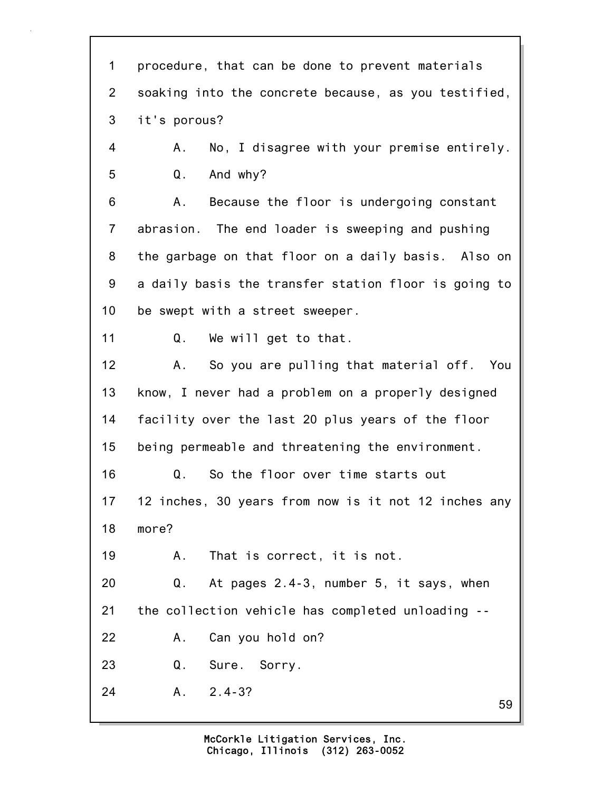| procedure, that can be done to prevent materials<br>soaking into the concrete because, as you testified,<br>it's porous? |
|--------------------------------------------------------------------------------------------------------------------------|
|                                                                                                                          |
|                                                                                                                          |
|                                                                                                                          |
| No, I disagree with your premise entirely.<br>Α.                                                                         |
| And why?<br>Q.                                                                                                           |
| Because the floor is undergoing constant<br>Α.                                                                           |
| abrasion. The end loader is sweeping and pushing                                                                         |
| the garbage on that floor on a daily basis. Also on                                                                      |
| a daily basis the transfer station floor is going to                                                                     |
| be swept with a street sweeper.                                                                                          |
| Q. We will get to that.                                                                                                  |
| So you are pulling that material off. You<br>Α.                                                                          |
| know, I never had a problem on a properly designed                                                                       |
| facility over the last 20 plus years of the floor                                                                        |
| being permeable and threatening the environment.                                                                         |
| Q.<br>So the floor over time starts out                                                                                  |
| 12 inches, 30 years from now is it not 12 inches any                                                                     |
| more?                                                                                                                    |
| That is correct, it is not.<br>А.                                                                                        |
| At pages 2.4-3, number 5, it says, when<br>Q.                                                                            |
| the collection vehicle has completed unloading --                                                                        |
| Can you hold on?<br>Α.                                                                                                   |
| Q.<br>Sure. Sorry.                                                                                                       |
| $A. 2.4-3?$<br>59                                                                                                        |
|                                                                                                                          |

٦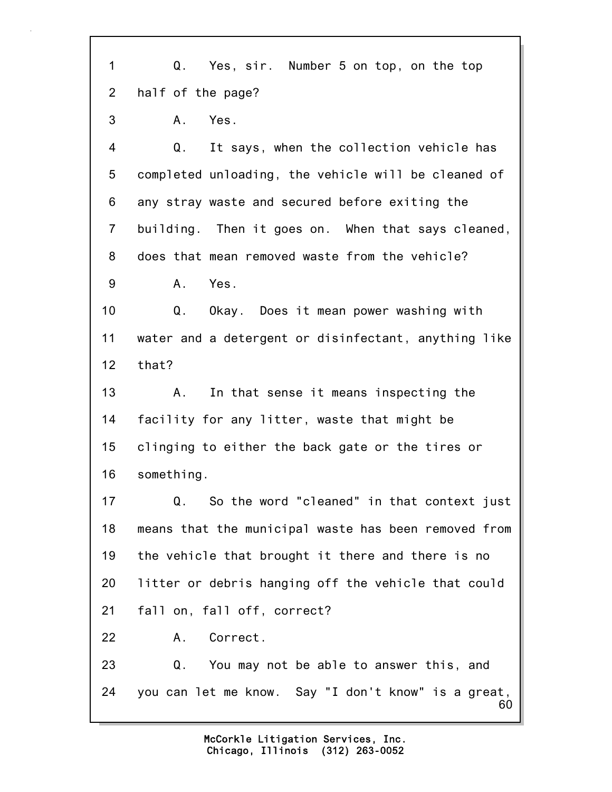60 1 Q. Yes, sir. Number 5 on top, on the top 2 half of the page? 3 A. Yes. 4 Q. It says, when the collection vehicle has 5 completed unloading, the vehicle will be cleaned of 6 any stray waste and secured before exiting the 7 building. Then it goes on. When that says cleaned, 8 does that mean removed waste from the vehicle? 9 A. Yes. 10 Q. Okay. Does it mean power washing with 11 water and a detergent or disinfectant, anything like 12 that? 13 A. In that sense it means inspecting the 14 facility for any litter, waste that might be 15 clinging to either the back gate or the tires or 16 something. 17 Q. So the word "cleaned" in that context just 18 means that the municipal waste has been removed from 19 the vehicle that brought it there and there is no 20 litter or debris hanging off the vehicle that could 21 fall on, fall off, correct? 22 A. Correct. 23 Q. You may not be able to answer this, and 24 you can let me know. Say "I don't know" is a great,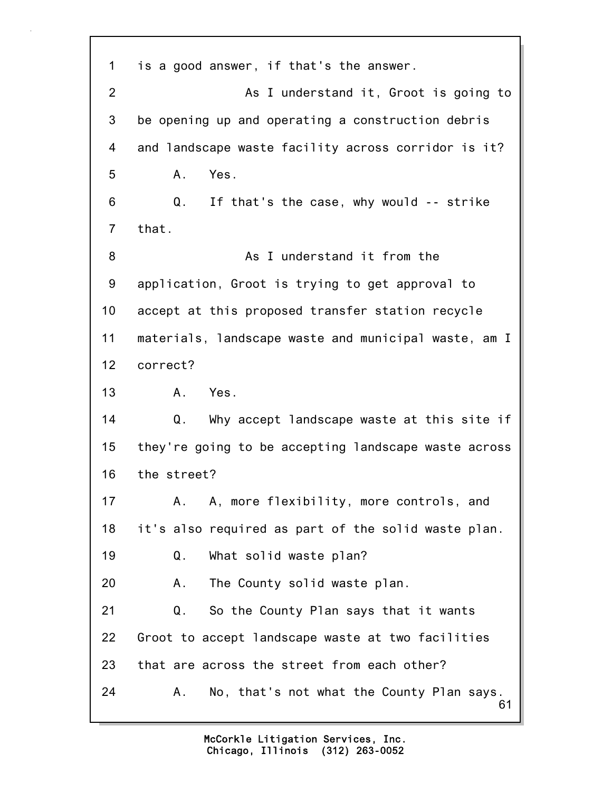61 1 is a good answer, if that's the answer. 2 As I understand it, Groot is going to 3 be opening up and operating a construction debris 4 and landscape waste facility across corridor is it? 5 A. Yes. 6 Q. If that's the case, why would -- strike 7 that. 8 As I understand it from the 9 application, Groot is trying to get approval to 10 accept at this proposed transfer station recycle 11 materials, landscape waste and municipal waste, am I 12 correct? 13 A. Yes. 14 Q. Why accept landscape waste at this site if 15 they're going to be accepting landscape waste across 16 the street? 17 A. A, more flexibility, more controls, and 18 it's also required as part of the solid waste plan. 19 Q. What solid waste plan? 20 A. The County solid waste plan. 21 Q. So the County Plan says that it wants 22 Groot to accept landscape waste at two facilities 23 that are across the street from each other? 24 A. No, that's not what the County Plan says.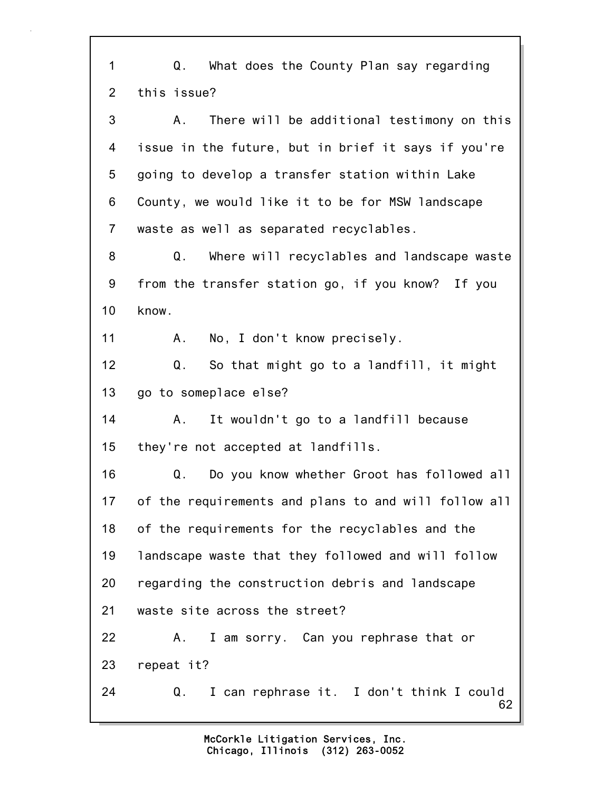62 1 Q. What does the County Plan say regarding 2 this issue? 3 A. There will be additional testimony on this 4 issue in the future, but in brief it says if you're 5 going to develop a transfer station within Lake 6 County, we would like it to be for MSW landscape 7 waste as well as separated recyclables. 8 Q. Where will recyclables and landscape waste 9 from the transfer station go, if you know? If you 10 know. 11 A. No, I don't know precisely. 12 Q. So that might go to a landfill, it might 13 go to someplace else? 14 A. It wouldn't go to a landfill because 15 they're not accepted at landfills. 16 Q. Do you know whether Groot has followed all 17 of the requirements and plans to and will follow all 18 of the requirements for the recyclables and the 19 landscape waste that they followed and will follow 20 regarding the construction debris and landscape 21 waste site across the street? 22 A. I am sorry. Can you rephrase that or 23 repeat it? 24 Q. I can rephrase it. I don't think I could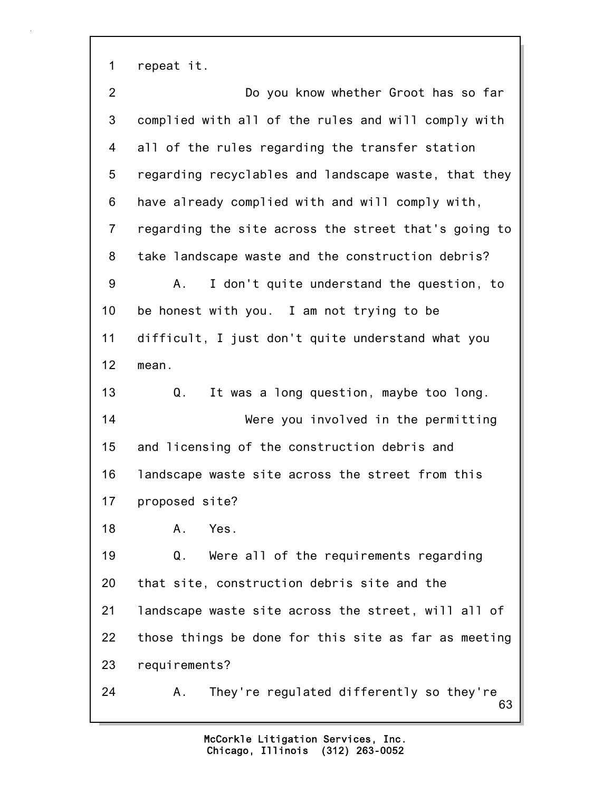1 repeat it.

63 2 Do you know whether Groot has so far 3 complied with all of the rules and will comply with 4 all of the rules regarding the transfer station 5 regarding recyclables and landscape waste, that they 6 have already complied with and will comply with, 7 regarding the site across the street that's going to 8 take landscape waste and the construction debris? 9 A. I don't quite understand the question, to 10 be honest with you. I am not trying to be 11 difficult, I just don't quite understand what you 12 mean. 13 Q. It was a long question, maybe too long. 14 Were you involved in the permitting 15 and licensing of the construction debris and 16 landscape waste site across the street from this 17 proposed site? 18 A. Yes. 19 Q. Were all of the requirements regarding 20 that site, construction debris site and the 21 landscape waste site across the street, will all of 22 those things be done for this site as far as meeting 23 requirements? 24 A. They're regulated differently so they're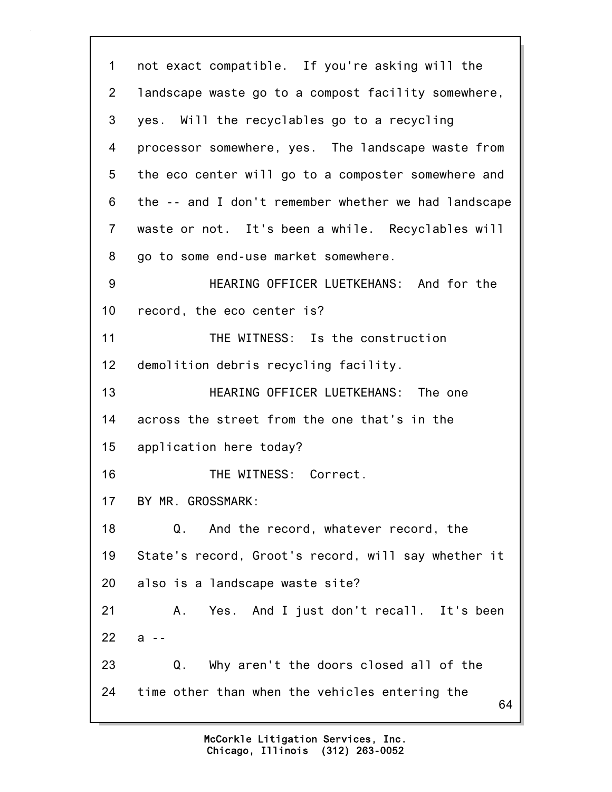64 1 not exact compatible. If you're asking will the 2 landscape waste go to a compost facility somewhere, 3 yes. Will the recyclables go to a recycling 4 processor somewhere, yes. The landscape waste from 5 the eco center will go to a composter somewhere and 6 the -- and I don't remember whether we had landscape 7 waste or not. It's been a while. Recyclables will 8 go to some end-use market somewhere. 9 HEARING OFFICER LUETKEHANS: And for the 10 record, the eco center is? 11 THE WITNESS: Is the construction 12 demolition debris recycling facility. 13 HEARING OFFICER LUETKEHANS: The one 14 across the street from the one that's in the 15 application here today? 16 THE WITNESS: Correct. 17 BY MR. GROSSMARK: 18 Q. And the record, whatever record, the 19 State's record, Groot's record, will say whether it 20 also is a landscape waste site? 21 A. Yes. And I just don't recall. It's been 22 a -- 23 Q. Why aren't the doors closed all of the 24 time other than when the vehicles entering the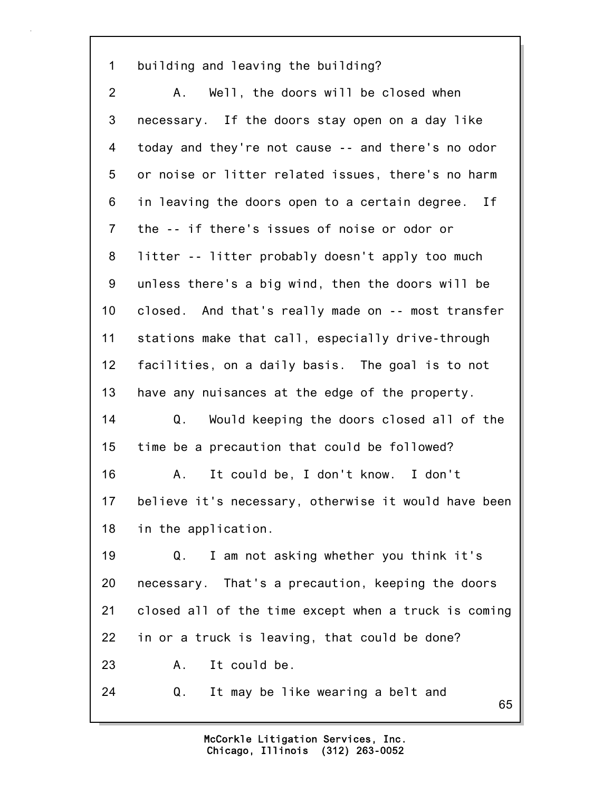1 building and leaving the building?

2 A. Well, the doors will be closed when 3 necessary. If the doors stay open on a day like 4 today and they're not cause -- and there's no odor 5 or noise or litter related issues, there's no harm 6 in leaving the doors open to a certain degree. If 7 the -- if there's issues of noise or odor or 8 litter -- litter probably doesn't apply too much 9 unless there's a big wind, then the doors will be 10 closed. And that's really made on -- most transfer 11 stations make that call, especially drive-through 12 facilities, on a daily basis. The goal is to not 13 have any nuisances at the edge of the property. 14 Q. Would keeping the doors closed all of the 15 time be a precaution that could be followed? 16 A. It could be, I don't know. I don't 17 believe it's necessary, otherwise it would have been 18 in the application. 19 Q. I am not asking whether you think it's 20 necessary. That's a precaution, keeping the doors 21 closed all of the time except when a truck is coming 22 in or a truck is leaving, that could be done? 23 A. It could be.

24 Q. It may be like wearing a belt and

65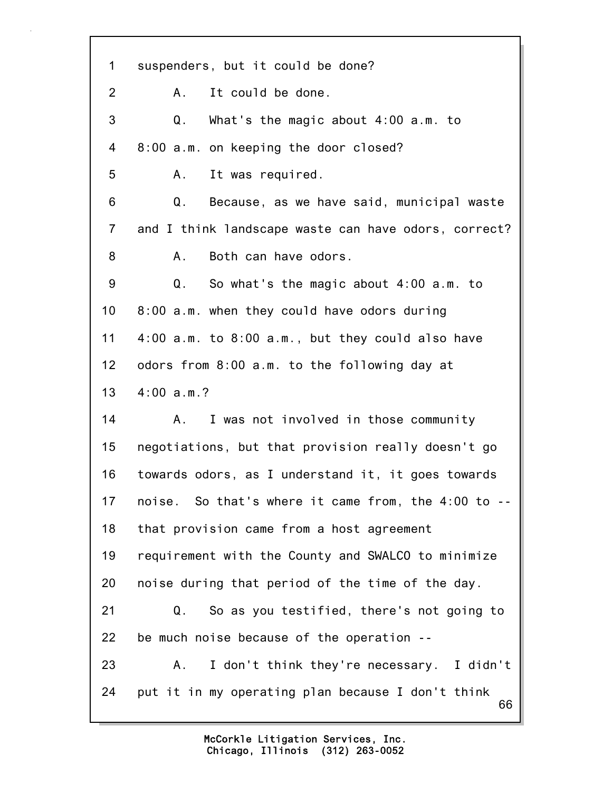66 1 suspenders, but it could be done? 2 A. It could be done. 3 Q. What's the magic about 4:00 a.m. to 4 8:00 a.m. on keeping the door closed? 5 A. It was required. 6 Q. Because, as we have said, municipal waste 7 and I think landscape waste can have odors, correct? 8 A. Both can have odors. 9 Q. So what's the magic about 4:00 a.m. to 10 8:00 a.m. when they could have odors during 11 4:00 a.m. to 8:00 a.m., but they could also have 12 odors from 8:00 a.m. to the following day at 13 4:00 a.m.? 14 A. I was not involved in those community 15 negotiations, but that provision really doesn't go 16 towards odors, as I understand it, it goes towards 17 noise. So that's where it came from, the 4:00 to -- 18 that provision came from a host agreement 19 requirement with the County and SWALCO to minimize 20 noise during that period of the time of the day. 21 Q. So as you testified, there's not going to 22 be much noise because of the operation -- 23 A. I don't think they're necessary. I didn't 24 put it in my operating plan because I don't think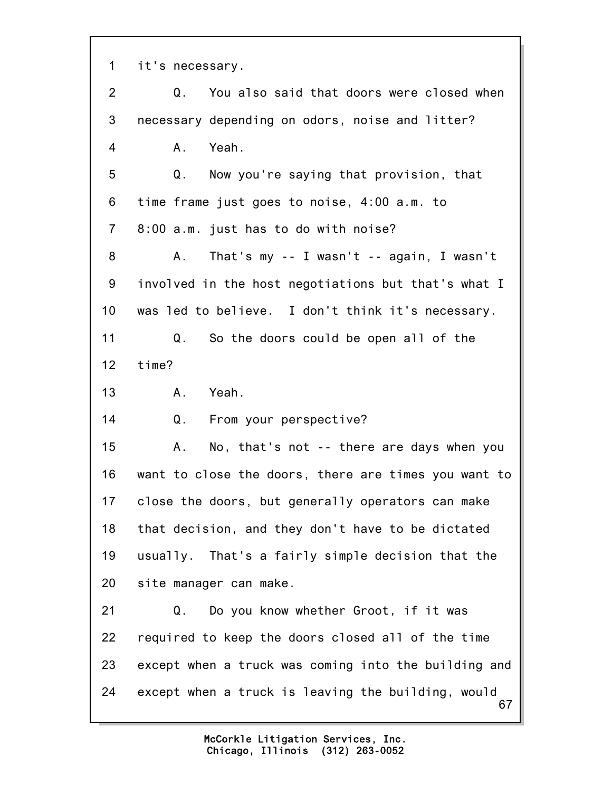1 it's necessary.

67 2 Q. You also said that doors were closed when 3 necessary depending on odors, noise and litter? 4 A. Yeah. 5 Q. Now you're saying that provision, that 6 time frame just goes to noise, 4:00 a.m. to 7 8:00 a.m. just has to do with noise? 8 A. That's my -- I wasn't -- again, I wasn't 9 involved in the host negotiations but that's what I 10 was led to believe. I don't think it's necessary. 11 Q. So the doors could be open all of the 12 time? 13 A. Yeah. 14 Q. From your perspective? 15 A. No, that's not -- there are days when you 16 want to close the doors, there are times you want to 17 close the doors, but generally operators can make 18 that decision, and they don't have to be dictated 19 usually. That's a fairly simple decision that the 20 site manager can make. 21 Q. Do you know whether Groot, if it was 22 required to keep the doors closed all of the time 23 except when a truck was coming into the building and 24 except when a truck is leaving the building, would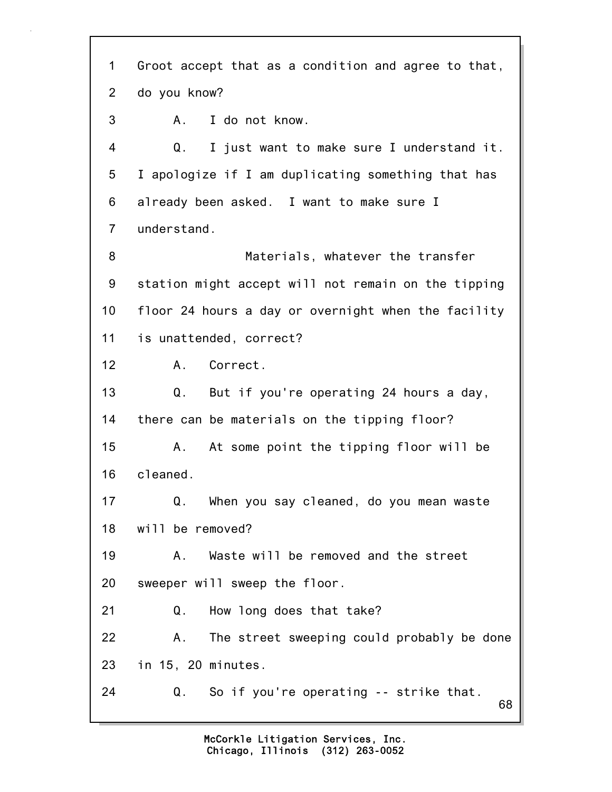68 1 Groot accept that as a condition and agree to that, 2 do you know? 3 A. I do not know. 4 Q. I just want to make sure I understand it. 5 I apologize if I am duplicating something that has 6 already been asked. I want to make sure I 7 understand. 8 Materials, whatever the transfer 9 station might accept will not remain on the tipping 10 floor 24 hours a day or overnight when the facility 11 is unattended, correct? 12 A. Correct. 13 Q. But if you're operating 24 hours a day, 14 there can be materials on the tipping floor? 15 A. At some point the tipping floor will be 16 cleaned. 17 Q. When you say cleaned, do you mean waste 18 will be removed? 19 A. Waste will be removed and the street 20 sweeper will sweep the floor. 21 Q. How long does that take? 22 A. The street sweeping could probably be done 23 in 15, 20 minutes. 24 Q. So if you're operating -- strike that.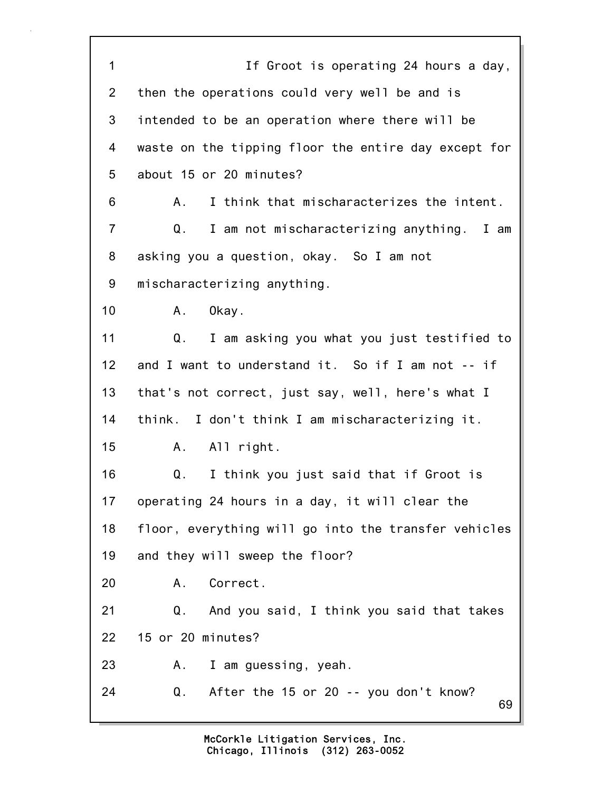69 1 If Groot is operating 24 hours a day, 2 then the operations could very well be and is 3 intended to be an operation where there will be 4 waste on the tipping floor the entire day except for 5 about 15 or 20 minutes? 6 A. I think that mischaracterizes the intent. 7 Q. I am not mischaracterizing anything. I am 8 asking you a question, okay. So I am not 9 mischaracterizing anything. 10 A. Okay. 11 Q. I am asking you what you just testified to 12 and I want to understand it. So if I am not -- if 13 that's not correct, just say, well, here's what I 14 think. I don't think I am mischaracterizing it. 15 A. All right. 16 Q. I think you just said that if Groot is 17 operating 24 hours in a day, it will clear the 18 floor, everything will go into the transfer vehicles 19 and they will sweep the floor? 20 A. Correct. 21 Q. And you said, I think you said that takes 22 15 or 20 minutes? 23 A. I am guessing, yeah. 24 Q. After the 15 or 20 -- you don't know?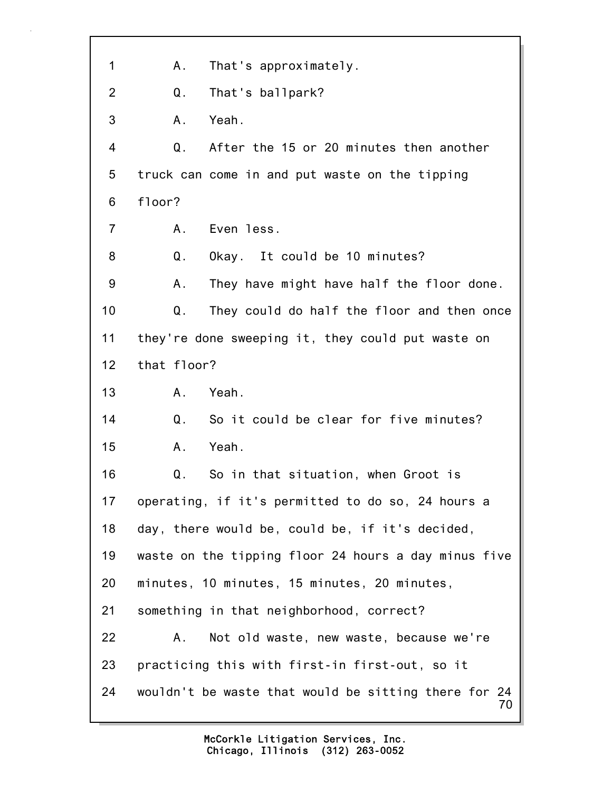70 1 A. That's approximately. 2 Q. That's ballpark? 3 A. Yeah. 4 Q. After the 15 or 20 minutes then another 5 truck can come in and put waste on the tipping 6 floor? 7 A. Even less. 8 Q. Okay. It could be 10 minutes? 9 A. They have might have half the floor done. 10 Q. They could do half the floor and then once 11 they're done sweeping it, they could put waste on 12 that floor? 13 A. Yeah. 14 Q. So it could be clear for five minutes? 15 A. Yeah. 16 Q. So in that situation, when Groot is 17 operating, if it's permitted to do so, 24 hours a 18 day, there would be, could be, if it's decided, 19 waste on the tipping floor 24 hours a day minus five 20 minutes, 10 minutes, 15 minutes, 20 minutes, 21 something in that neighborhood, correct? 22 A. Not old waste, new waste, because we're 23 practicing this with first-in first-out, so it 24 wouldn't be waste that would be sitting there for 24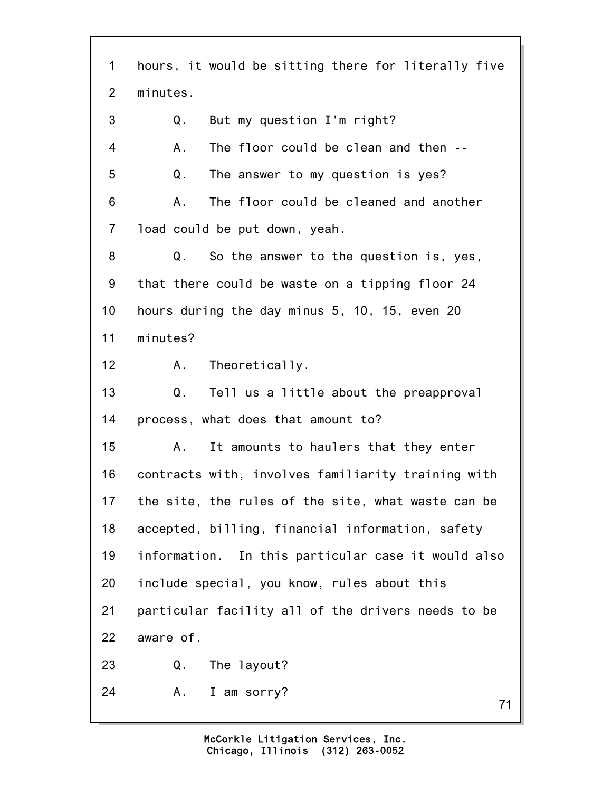71 1 hours, it would be sitting there for literally five 2 minutes. 3 Q. But my question I'm right? 4 A. The floor could be clean and then -- 5 Q. The answer to my question is yes? 6 A. The floor could be cleaned and another 7 load could be put down, yeah. 8 Q. So the answer to the question is, yes, 9 that there could be waste on a tipping floor 24 10 hours during the day minus 5, 10, 15, even 20 11 minutes? 12 A. Theoretically. 13 Q. Tell us a little about the preapproval 14 process, what does that amount to? 15 A. It amounts to haulers that they enter 16 contracts with, involves familiarity training with 17 the site, the rules of the site, what waste can be 18 accepted, billing, financial information, safety 19 information. In this particular case it would also 20 include special, you know, rules about this 21 particular facility all of the drivers needs to be 22 aware of. 23 Q. The layout? 24 A. I am sorry?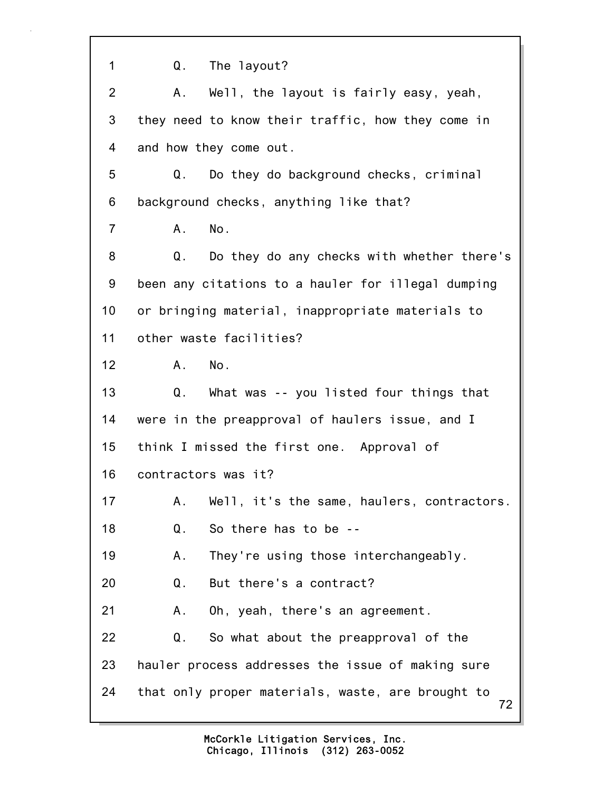72 1 Q. The layout? 2 A. Well, the layout is fairly easy, yeah, 3 they need to know their traffic, how they come in 4 and how they come out. 5 Q. Do they do background checks, criminal 6 background checks, anything like that? 7 A. No. 8 Q. Do they do any checks with whether there's 9 been any citations to a hauler for illegal dumping 10 or bringing material, inappropriate materials to 11 other waste facilities? 12 A. No. 13 Q. What was -- you listed four things that 14 were in the preapproval of haulers issue, and I 15 think I missed the first one. Approval of 16 contractors was it? 17 A. Well, it's the same, haulers, contractors. 18 Q. So there has to be -- 19 A. They're using those interchangeably. 20 Q. But there's a contract? 21 A. Oh, yeah, there's an agreement. 22 Q. So what about the preapproval of the 23 hauler process addresses the issue of making sure 24 that only proper materials, waste, are brought to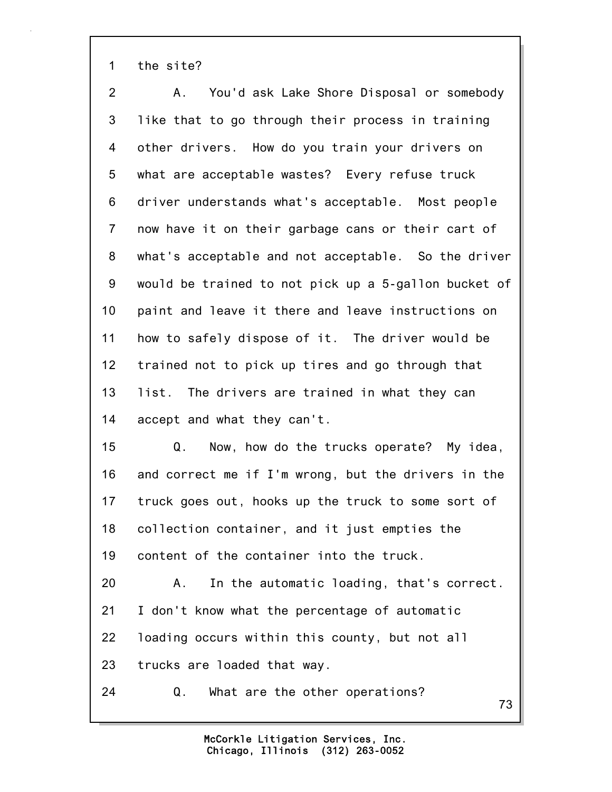1 the site?

| $\overline{2}$ | You'd ask Lake Shore Disposal or somebody<br>Α.      |
|----------------|------------------------------------------------------|
| $\mathbf{3}$   | like that to go through their process in training    |
| 4              | other drivers. How do you train your drivers on      |
| 5              | what are acceptable wastes? Every refuse truck       |
| 6              | driver understands what's acceptable. Most people    |
| $\overline{7}$ | now have it on their garbage cans or their cart of   |
| 8              | what's acceptable and not acceptable. So the driver  |
| 9              | would be trained to not pick up a 5-gallon bucket of |
| 10             | paint and leave it there and leave instructions on   |
| 11             | how to safely dispose of it. The driver would be     |
| 12             | trained not to pick up tires and go through that     |
| 13             | list. The drivers are trained in what they can       |
| 14             | accept and what they can't.                          |
| 15             | Q.<br>Now, how do the trucks operate? My idea,       |
| 16             | and correct me if I'm wrong, but the drivers in the  |
| 17             | truck goes out, hooks up the truck to some sort of   |
| 18             | collection container, and it just empties the        |
| 19             | content of the container into the truck.             |
| 20             | In the automatic loading, that's correct.<br>Α.      |
| 21             | I don't know what the percentage of automatic        |
| 22             | loading occurs within this county, but not all       |
| 23             | trucks are loaded that way.                          |

24 Q. What are the other operations?

Chicago, Illinois (312) 263-0052 McCorkle Litigation Services, Inc. 73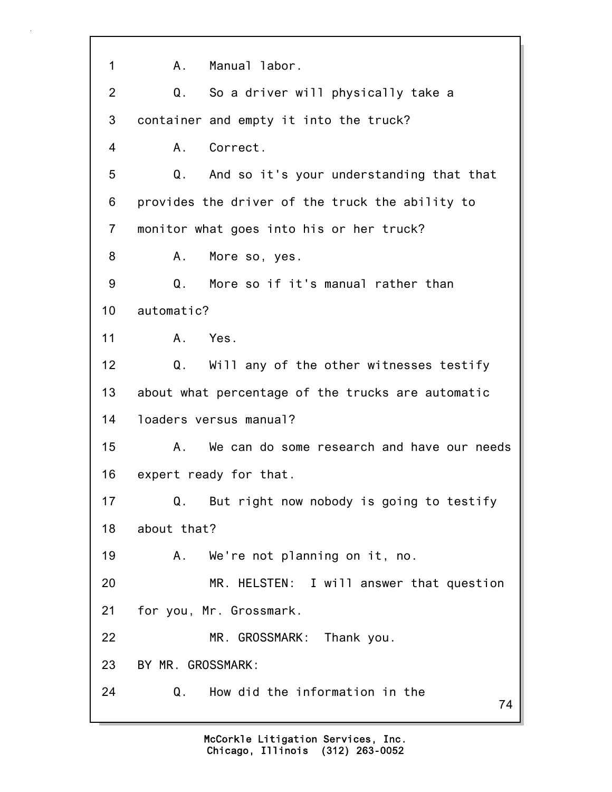74 1 A. Manual labor. 2 Q. So a driver will physically take a 3 container and empty it into the truck? 4 A. Correct. 5 Q. And so it's your understanding that that 6 provides the driver of the truck the ability to 7 monitor what goes into his or her truck? 8 A. More so, yes. 9 Q. More so if it's manual rather than 10 automatic? 11 A. Yes. 12 Q. Will any of the other witnesses testify 13 about what percentage of the trucks are automatic 14 loaders versus manual? 15 A. We can do some research and have our needs 16 expert ready for that. 17 Q. But right now nobody is going to testify 18 about that? 19 A. We're not planning on it, no. 20 MR. HELSTEN: I will answer that question 21 for you, Mr. Grossmark. 22 MR. GROSSMARK: Thank you. 23 BY MR. GROSSMARK: 24 Q. How did the information in the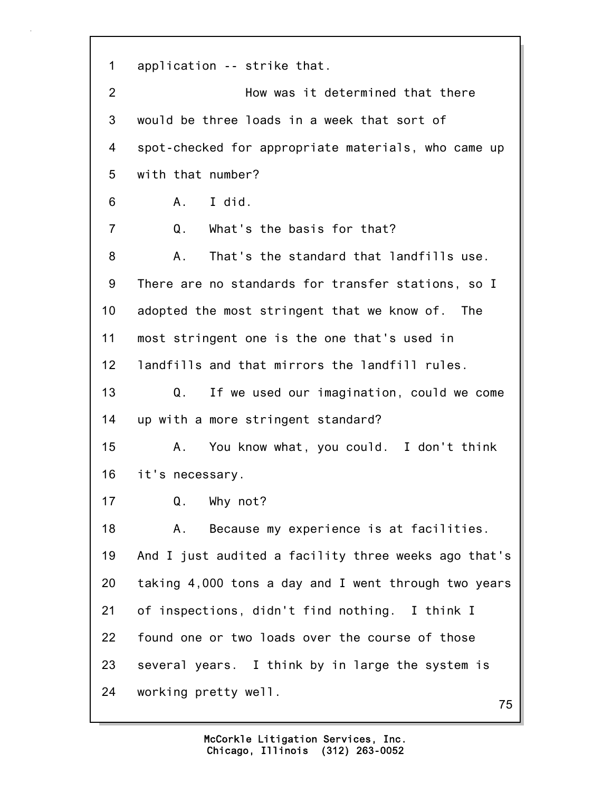1 application -- strike that. 2 How was it determined that there 3 would be three loads in a week that sort of 4 spot-checked for appropriate materials, who came up 5 with that number? 6 A. I did. 7 Q. What's the basis for that? 8 A. That's the standard that landfills use. 9 There are no standards for transfer stations, so I 10 adopted the most stringent that we know of. The 11 most stringent one is the one that's used in 12 landfills and that mirrors the landfill rules. 13 Q. If we used our imagination, could we come 14 up with a more stringent standard? 15 A. You know what, you could. I don't think 16 it's necessary. 17 Q. Why not? 18 A. Because my experience is at facilities. 19 And I just audited a facility three weeks ago that's 20 taking 4,000 tons a day and I went through two years 21 of inspections, didn't find nothing. I think I 22 found one or two loads over the course of those 23 several years. I think by in large the system is 24 working pretty well.

75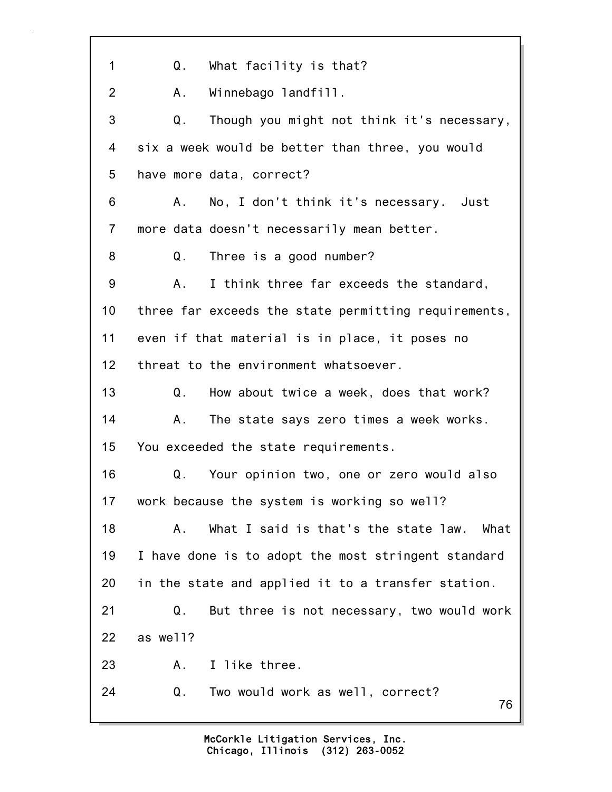| 1              | What facility is that?<br>Q.                         |
|----------------|------------------------------------------------------|
| $\overline{2}$ | Winnebago landfill.<br>А.                            |
| 3              | Q.<br>Though you might not think it's necessary,     |
| 4              | six a week would be better than three, you would     |
| 5              | have more data, correct?                             |
| 6              | No, I don't think it's necessary. Just<br>Α.         |
| $\overline{7}$ | more data doesn't necessarily mean better.           |
| 8              | Q.<br>Three is a good number?                        |
| 9              | I think three far exceeds the standard,<br>А.        |
| 10             | three far exceeds the state permitting requirements, |
| 11             | even if that material is in place, it poses no       |
| 12             | threat to the environment whatsoever.                |
| 13             | Q.<br>How about twice a week, does that work?        |
| 14             | The state says zero times a week works.<br>Α.        |
| 15             | You exceeded the state requirements.                 |
| 16             | Your opinion two, one or zero would also<br>Q.       |
| 17             | work because the system is working so well?          |
| 18             | What I said is that's the state law. What<br>А.      |
| 19             | I have done is to adopt the most stringent standard  |
| 20             | in the state and applied it to a transfer station.   |
| 21             | Q.<br>But three is not necessary, two would work     |
| 22             | as well?                                             |
| 23             | I like three.<br>Α.                                  |
| 24             | Q.<br>Two would work as well, correct?<br>76         |
|                |                                                      |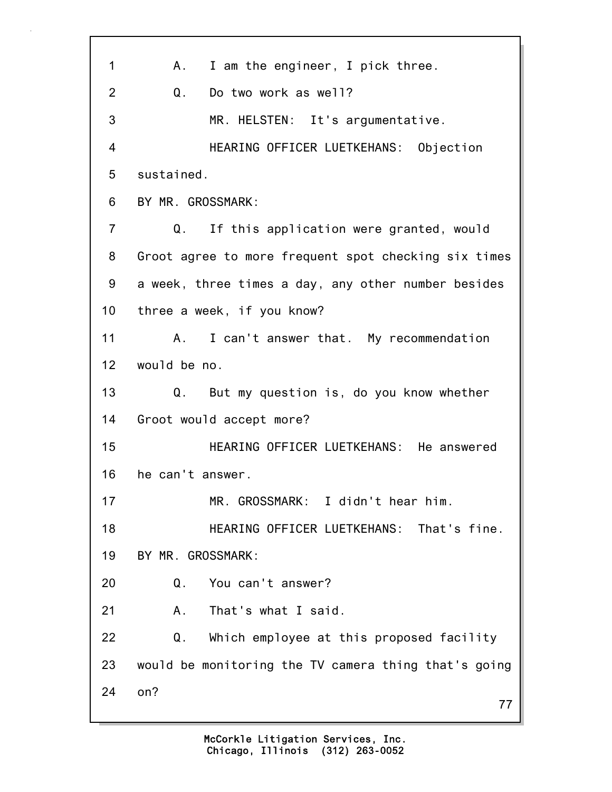| 1               | I am the engineer, I pick three.<br>A.,              |
|-----------------|------------------------------------------------------|
| 2               | Q.<br>Do two work as well?                           |
| 3               | MR. HELSTEN: It's argumentative.                     |
| 4               | HEARING OFFICER LUETKEHANS: Objection                |
| 5               | sustained.                                           |
| 6               | BY MR. GROSSMARK:                                    |
| $\overline{7}$  | If this application were granted, would<br>Q.        |
| 8               | Groot agree to more frequent spot checking six times |
| 9               | a week, three times a day, any other number besides  |
| 10              | three a week, if you know?                           |
| 11              | I can't answer that. My recommendation<br>A.         |
| 12 <sub>2</sub> | would be no.                                         |
| 13              | Q. But my question is, do you know whether           |
| 14              | Groot would accept more?                             |
| 15              | HEARING OFFICER LUETKEHANS: He answered              |
| 16              | he can't answer.                                     |
| 17              | MR. GROSSMARK: I didn't hear him.                    |
| 18              | HEARING OFFICER LUETKEHANS: That's fine.             |
| 19              | BY MR. GROSSMARK:                                    |
| 20              | You can't answer?<br>Q.                              |
| 21              | That's what I said.<br>Α.                            |
| 22              | Q.<br>Which employee at this proposed facility       |
| 23              | would be monitoring the TV camera thing that's going |
| 24              | on?<br>77                                            |
|                 |                                                      |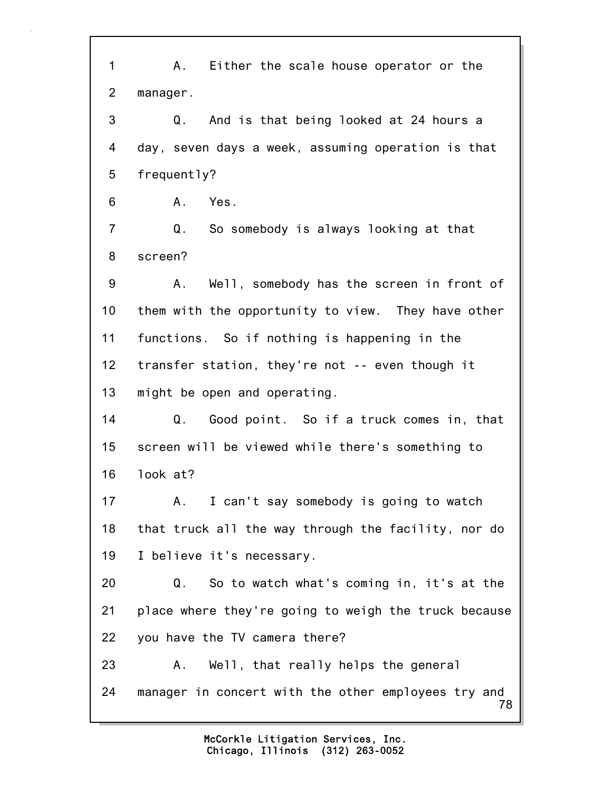78 1 A. Either the scale house operator or the 2 manager. 3 Q. And is that being looked at 24 hours a 4 day, seven days a week, assuming operation is that 5 frequently? 6 A. Yes. 7 Q. So somebody is always looking at that 8 screen? 9 A. Well, somebody has the screen in front of 10 them with the opportunity to view. They have other 11 functions. So if nothing is happening in the 12 transfer station, they're not -- even though it 13 might be open and operating. 14 Q. Good point. So if a truck comes in, that 15 screen will be viewed while there's something to 16 look at? 17 A. I can't say somebody is going to watch 18 that truck all the way through the facility, nor do 19 I believe it's necessary. 20 Q. So to watch what's coming in, it's at the 21 place where they're going to weigh the truck because 22 you have the TV camera there? 23 A. Well, that really helps the general 24 manager in concert with the other employees try and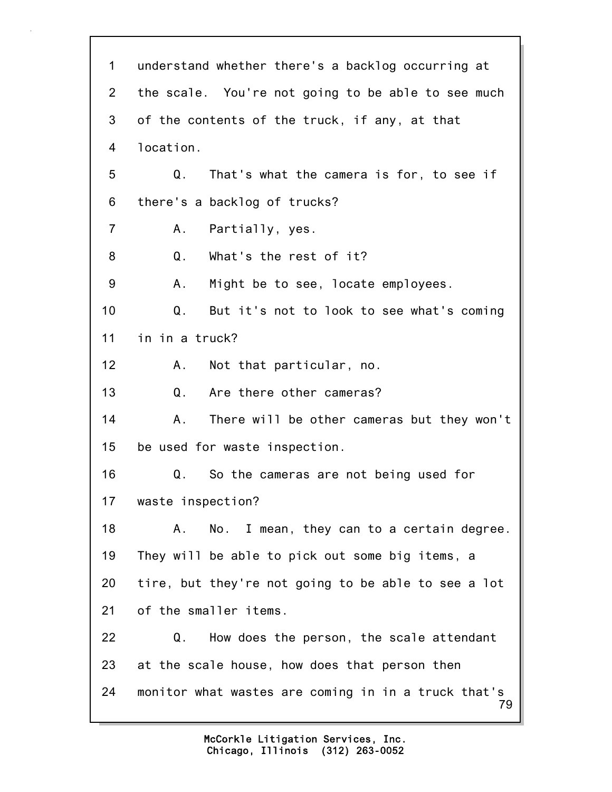79 1 understand whether there's a backlog occurring at 2 the scale. You're not going to be able to see much 3 of the contents of the truck, if any, at that 4 location. 5 Q. That's what the camera is for, to see if 6 there's a backlog of trucks? 7 A. Partially, yes. 8 Q. What's the rest of it? 9 A. Might be to see, locate employees. 10 Q. But it's not to look to see what's coming 11 in in a truck? 12 A. Not that particular, no. 13 Q. Are there other cameras? 14 A. There will be other cameras but they won't 15 be used for waste inspection. 16 Q. So the cameras are not being used for 17 waste inspection? 18 A. No. I mean, they can to a certain degree. 19 They will be able to pick out some big items, a 20 tire, but they're not going to be able to see a lot 21 of the smaller items. 22 Q. How does the person, the scale attendant 23 at the scale house, how does that person then 24 monitor what wastes are coming in in a truck that's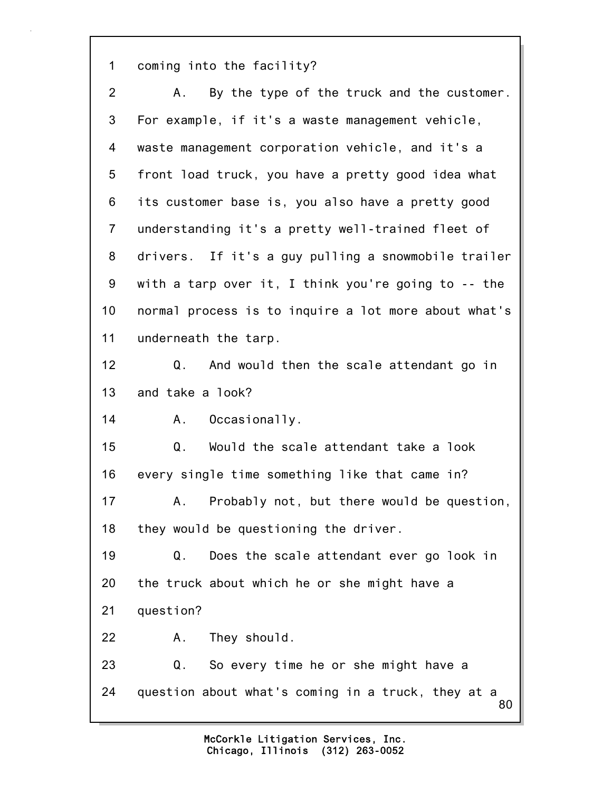1 coming into the facility?

80 2 A. By the type of the truck and the customer. 3 For example, if it's a waste management vehicle, 4 waste management corporation vehicle, and it's a 5 front load truck, you have a pretty good idea what 6 its customer base is, you also have a pretty good 7 understanding it's a pretty well-trained fleet of 8 drivers. If it's a guy pulling a snowmobile trailer 9 with a tarp over it, I think you're going to -- the 10 normal process is to inquire a lot more about what's 11 underneath the tarp. 12 Q. And would then the scale attendant go in 13 and take a look? 14 A. Occasionally. 15 Q. Would the scale attendant take a look 16 every single time something like that came in? 17 A. Probably not, but there would be question, 18 they would be questioning the driver. 19 Q. Does the scale attendant ever go look in 20 the truck about which he or she might have a 21 question? 22 A. They should. 23 Q. So every time he or she might have a 24 question about what's coming in a truck, they at a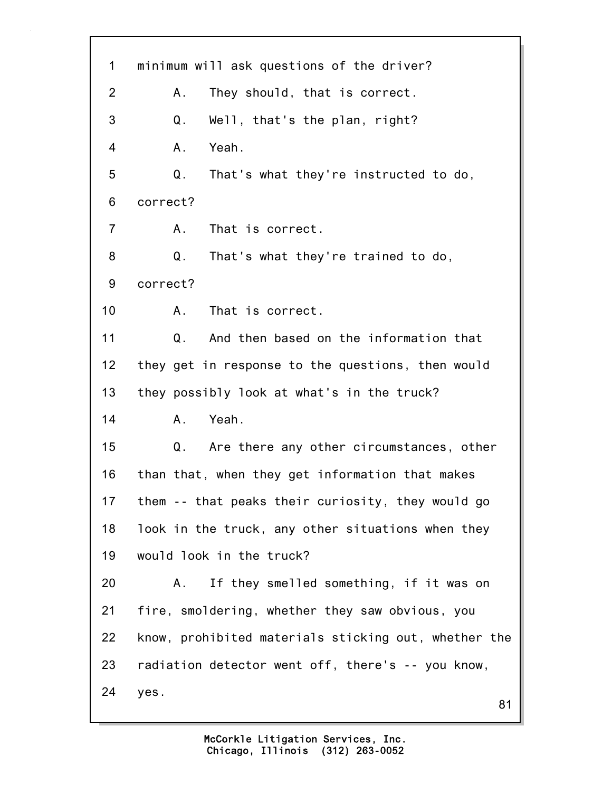| 1              | minimum will ask questions of the driver?            |
|----------------|------------------------------------------------------|
| $\overline{2}$ | They should, that is correct.<br>Α.                  |
| 3              | Q.<br>Well, that's the plan, right?                  |
| 4              | Yeah.<br>Α.                                          |
| 5              | That's what they're instructed to do,<br>Q.          |
| 6              | correct?                                             |
| $\overline{7}$ | That is correct.<br>А.                               |
| 8              | That's what they're trained to do,<br>Q.             |
| 9              | correct?                                             |
| 10             | That is correct.<br>A.                               |
| 11             | And then based on the information that<br>Q.         |
| 12             | they get in response to the questions, then would    |
| 13             | they possibly look at what's in the truck?           |
| 14             | Yeah.<br>A.,                                         |
| 15             | Q.<br>Are there any other circumstances, other       |
| 16             | than that, when they get information that makes      |
| 17             | them -- that peaks their curiosity, they would go    |
| 18             | look in the truck, any other situations when they    |
| 19             | would look in the truck?                             |
| 20             | If they smelled something, if it was on<br>Α.        |
| 21             | fire, smoldering, whether they saw obvious, you      |
| 22             | know, prohibited materials sticking out, whether the |
| 23             | radiation detector went off, there's -- you know,    |
| 24             | yes.<br>81                                           |
|                |                                                      |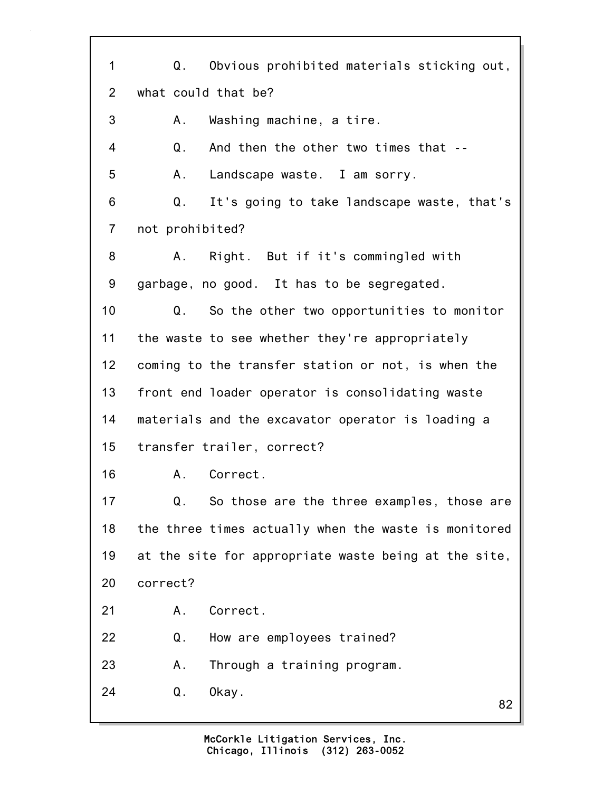82 1 Q. Obvious prohibited materials sticking out, 2 what could that be? 3 A. Washing machine, a tire. 4 Q. And then the other two times that -- 5 A. Landscape waste. I am sorry. 6 Q. It's going to take landscape waste, that's 7 not prohibited? 8 A. Right. But if it's commingled with 9 garbage, no good. It has to be segregated. 10 Q. So the other two opportunities to monitor 11 the waste to see whether they're appropriately 12 coming to the transfer station or not, is when the 13 front end loader operator is consolidating waste 14 materials and the excavator operator is loading a 15 transfer trailer, correct? 16 A. Correct. 17 Q. So those are the three examples, those are 18 the three times actually when the waste is monitored 19 at the site for appropriate waste being at the site, 20 correct? 21 A. Correct. 22 Q. How are employees trained? 23 A. Through a training program. 24 Q. Okay.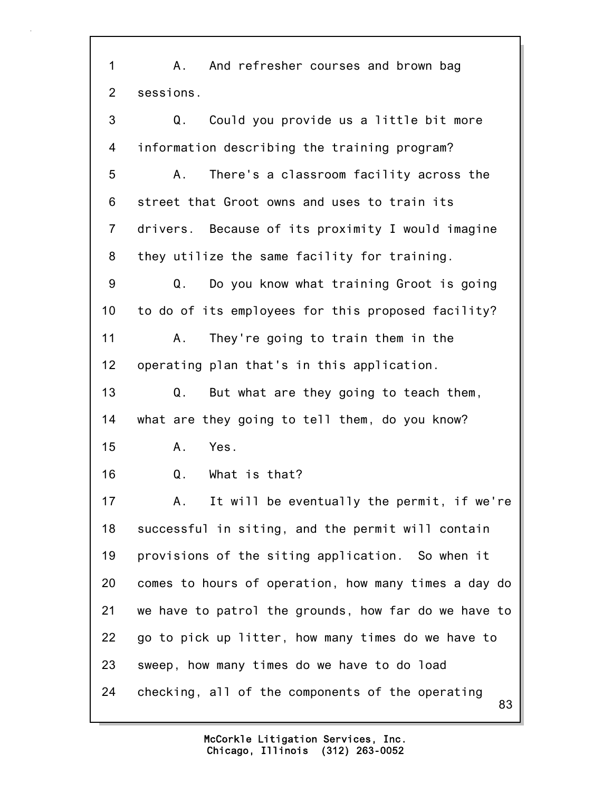83 1 A. And refresher courses and brown bag 2 sessions. 3 Q. Could you provide us a little bit more 4 information describing the training program? 5 A. There's a classroom facility across the 6 street that Groot owns and uses to train its 7 drivers. Because of its proximity I would imagine 8 they utilize the same facility for training. 9 Q. Do you know what training Groot is going 10 to do of its employees for this proposed facility? 11 A. They're going to train them in the 12 operating plan that's in this application. 13 Q. But what are they going to teach them, 14 what are they going to tell them, do you know? 15 A. Yes. 16 Q. What is that? 17 A. It will be eventually the permit, if we're 18 successful in siting, and the permit will contain 19 provisions of the siting application. So when it 20 comes to hours of operation, how many times a day do 21 we have to patrol the grounds, how far do we have to 22 go to pick up litter, how many times do we have to 23 sweep, how many times do we have to do load 24 checking, all of the components of the operating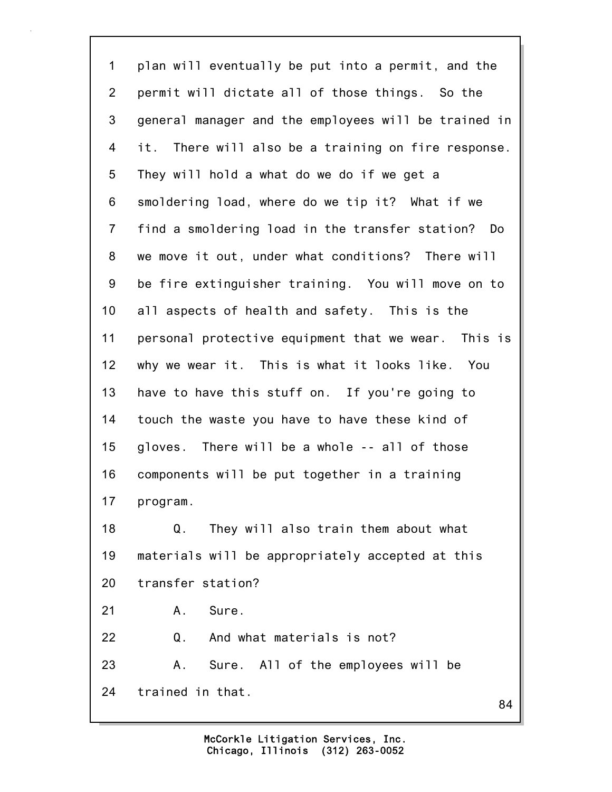84 1 plan will eventually be put into a permit, and the 2 permit will dictate all of those things. So the 3 general manager and the employees will be trained in 4 it. There will also be a training on fire response. 5 They will hold a what do we do if we get a 6 smoldering load, where do we tip it? What if we 7 find a smoldering load in the transfer station? Do 8 we move it out, under what conditions? There will 9 be fire extinguisher training. You will move on to 10 all aspects of health and safety. This is the 11 personal protective equipment that we wear. This is 12 why we wear it. This is what it looks like. You 13 have to have this stuff on. If you're going to 14 touch the waste you have to have these kind of 15 gloves. There will be a whole -- all of those 16 components will be put together in a training 17 program. 18 Q. They will also train them about what 19 materials will be appropriately accepted at this 20 transfer station? 21 A. Sure. 22 Q. And what materials is not? 23 A. Sure. All of the employees will be 24 trained in that.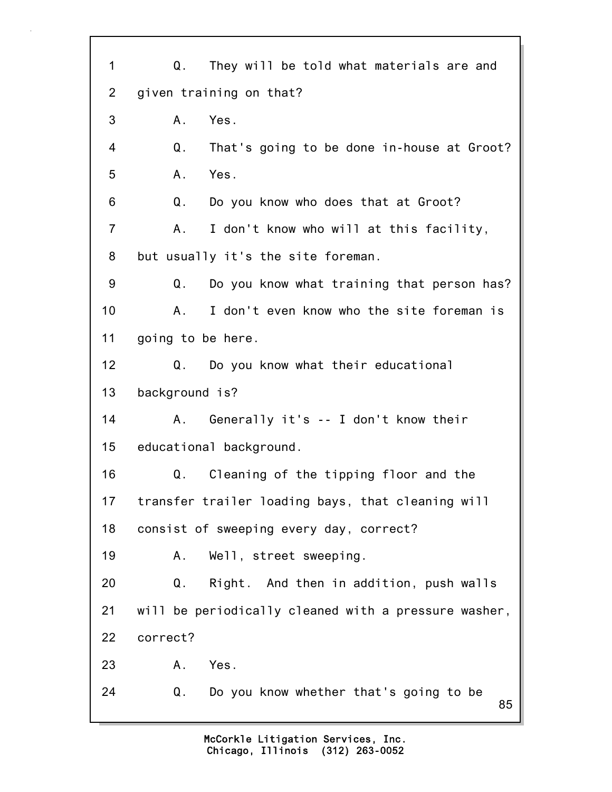| 1              | They will be told what materials are and<br>Q.       |
|----------------|------------------------------------------------------|
| $\overline{2}$ | given training on that?                              |
| 3              | Yes.<br>A.                                           |
| 4              | Q.<br>That's going to be done in-house at Groot?     |
| 5              | Yes.<br>Α.                                           |
| 6              | Do you know who does that at Groot?<br>Q.            |
| $\overline{7}$ | I don't know who will at this facility,<br>Α.        |
| 8              | but usually it's the site foreman.                   |
| 9              | Do you know what training that person has?<br>Q.     |
| 10             | I don't even know who the site foreman is<br>Α.      |
| 11             | going to be here.                                    |
| 12             | Do you know what their educational<br>Q.             |
| 13             | background is?                                       |
| 14             | Generally it's -- I don't know their<br>А.           |
| 15             | educational background.                              |
| 16             | Cleaning of the tipping floor and the<br>Q.          |
| 17             | transfer trailer loading bays, that cleaning will    |
| 18             | consist of sweeping every day, correct?              |
| 19             | Well, street sweeping.<br>Α.                         |
| 20             | Right. And then in addition, push walls<br>Q.        |
| 21             | will be periodically cleaned with a pressure washer, |
| 22             | correct?                                             |
| 23             | Yes.<br>$A_{-}$                                      |
| 24             | Q.<br>Do you know whether that's going to be<br>85   |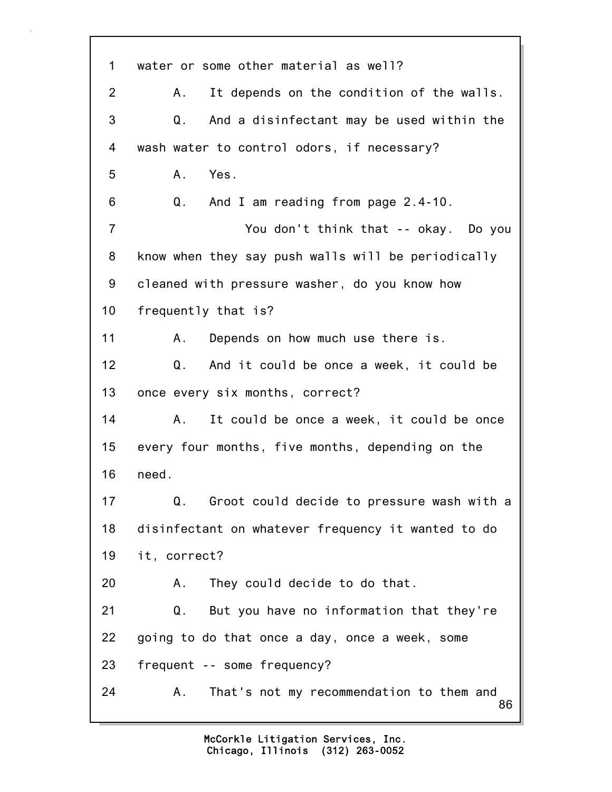86 1 water or some other material as well? 2 A. It depends on the condition of the walls. 3 Q. And a disinfectant may be used within the 4 wash water to control odors, if necessary? 5 A. Yes. 6 Q. And I am reading from page 2.4-10. 7 You don't think that -- okay. Do you 8 know when they say push walls will be periodically 9 cleaned with pressure washer, do you know how 10 frequently that is? 11 A. Depends on how much use there is. 12 Q. And it could be once a week, it could be 13 once every six months, correct? 14 A. It could be once a week, it could be once 15 every four months, five months, depending on the 16 need. 17 Q. Groot could decide to pressure wash with a 18 disinfectant on whatever frequency it wanted to do 19 it, correct? 20 A. They could decide to do that. 21 Q. But you have no information that they're 22 going to do that once a day, once a week, some 23 frequent -- some frequency? 24 A. That's not my recommendation to them and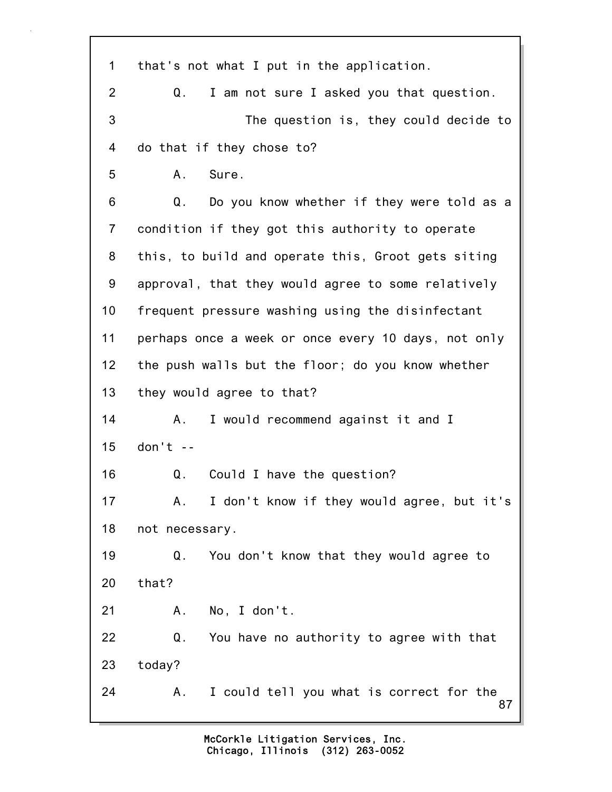87 1 that's not what I put in the application. 2 Q. I am not sure I asked you that question. 3 The question is, they could decide to 4 do that if they chose to? 5 A. Sure. 6 Q. Do you know whether if they were told as a 7 condition if they got this authority to operate 8 this, to build and operate this, Groot gets siting 9 approval, that they would agree to some relatively 10 frequent pressure washing using the disinfectant 11 perhaps once a week or once every 10 days, not only 12 the push walls but the floor; do you know whether 13 they would agree to that? 14 A. I would recommend against it and I 15 don't -- 16 Q. Could I have the question? 17 A. I don't know if they would agree, but it's 18 not necessary. 19 Q. You don't know that they would agree to 20 that? 21 A. No, I don't. 22 Q. You have no authority to agree with that 23 today? 24 A. I could tell you what is correct for the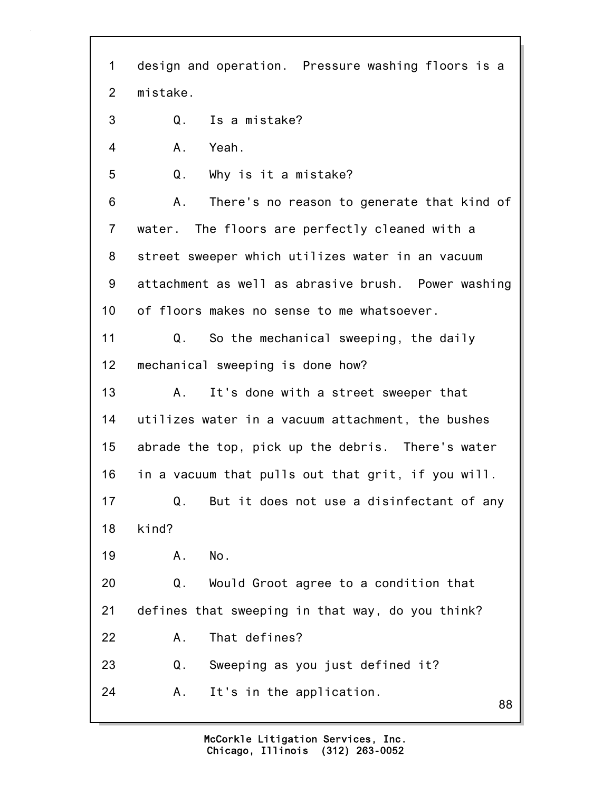| 1              | design and operation. Pressure washing floors is a  |  |  |  |  |  |
|----------------|-----------------------------------------------------|--|--|--|--|--|
| 2              | mistake.                                            |  |  |  |  |  |
| 3              | Is a mistake?<br>Q.                                 |  |  |  |  |  |
| 4              | Yeah.<br>A.                                         |  |  |  |  |  |
| 5              | Q.<br>Why is it a mistake?                          |  |  |  |  |  |
| 6              | There's no reason to generate that kind of<br>Α.    |  |  |  |  |  |
| $\overline{7}$ | water. The floors are perfectly cleaned with a      |  |  |  |  |  |
| 8              | street sweeper which utilizes water in an vacuum    |  |  |  |  |  |
| 9              | attachment as well as abrasive brush. Power washing |  |  |  |  |  |
| 10             | of floors makes no sense to me whatsoever.          |  |  |  |  |  |
| 11             | Q.<br>So the mechanical sweeping, the daily         |  |  |  |  |  |
| 12             | mechanical sweeping is done how?                    |  |  |  |  |  |
| 13             | It's done with a street sweeper that<br>Α.          |  |  |  |  |  |
| 14             | utilizes water in a vacuum attachment, the bushes   |  |  |  |  |  |
| 15             | abrade the top, pick up the debris. There's water   |  |  |  |  |  |
| 16             | in a vacuum that pulls out that grit, if you will.  |  |  |  |  |  |
| 17             | But it does not use a disinfectant of any<br>Q.     |  |  |  |  |  |
| 18             | kind?                                               |  |  |  |  |  |
| 19             | No.<br>Α.                                           |  |  |  |  |  |
| 20             | Q.<br>Would Groot agree to a condition that         |  |  |  |  |  |
| 21             | defines that sweeping in that way, do you think?    |  |  |  |  |  |
| 22             | That defines?<br>Α.                                 |  |  |  |  |  |
| 23             | Sweeping as you just defined it?<br>Q.              |  |  |  |  |  |
| 24             | It's in the application.<br>Α.<br>88                |  |  |  |  |  |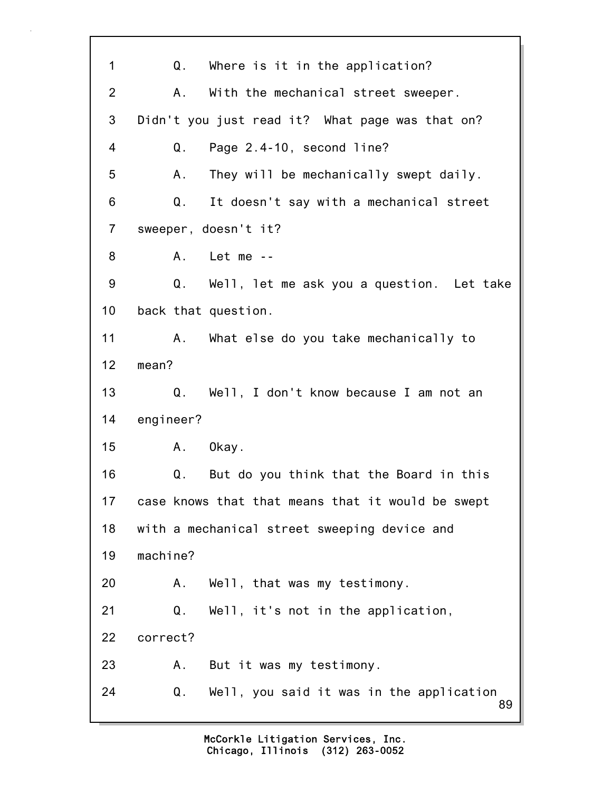89 1 Q. Where is it in the application? 2 A. With the mechanical street sweeper. 3 Didn't you just read it? What page was that on? 4 Q. Page 2.4-10, second line? 5 A. They will be mechanically swept daily. 6 Q. It doesn't say with a mechanical street 7 sweeper, doesn't it? 8 A. Let me -- 9 Q. Well, let me ask you a question. Let take 10 back that question. 11 A. What else do you take mechanically to 12 mean? 13 Q. Well, I don't know because I am not an 14 engineer? 15 A. Okay. 16 Q. But do you think that the Board in this 17 case knows that that means that it would be swept 18 with a mechanical street sweeping device and 19 machine? 20 A. Well, that was my testimony. 21 Q. Well, it's not in the application, 22 correct? 23 A. But it was my testimony. 24 Q. Well, you said it was in the application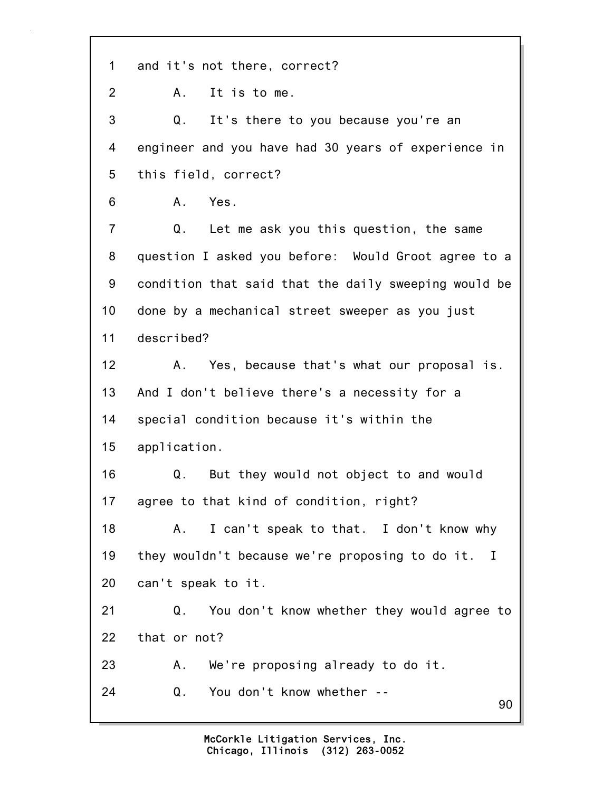90 1 and it's not there, correct? 2 A. It is to me. 3 Q. It's there to you because you're an 4 engineer and you have had 30 years of experience in 5 this field, correct? 6 A. Yes. 7 Q. Let me ask you this question, the same 8 question I asked you before: Would Groot agree to a 9 condition that said that the daily sweeping would be 10 done by a mechanical street sweeper as you just 11 described? 12 A. Yes, because that's what our proposal is. 13 And I don't believe there's a necessity for a 14 special condition because it's within the 15 application. 16 Q. But they would not object to and would 17 agree to that kind of condition, right? 18 A. I can't speak to that. I don't know why 19 they wouldn't because we're proposing to do it. I 20 can't speak to it. 21 Q. You don't know whether they would agree to 22 that or not? 23 A. We're proposing already to do it. 24 Q. You don't know whether --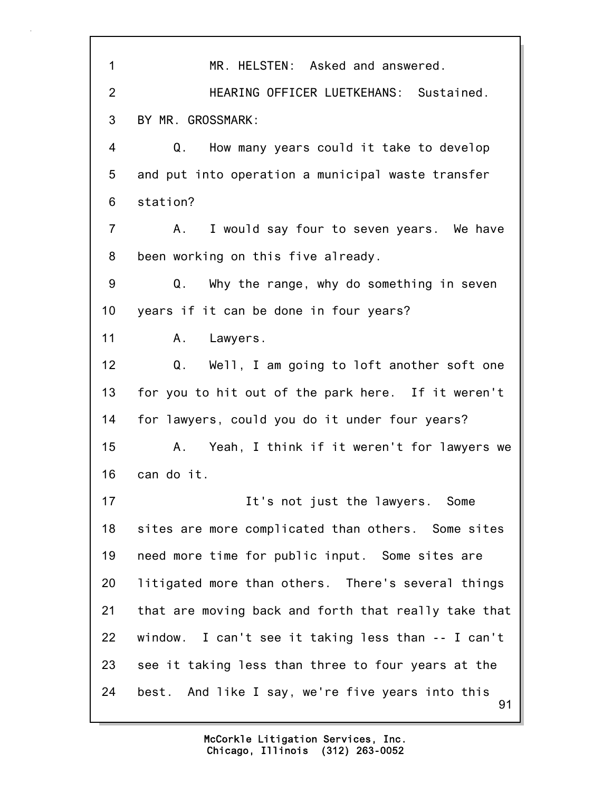91 1 MR. HELSTEN: Asked and answered. 2 HEARING OFFICER LUETKEHANS: Sustained. 3 BY MR. GROSSMARK: 4 Q. How many years could it take to develop 5 and put into operation a municipal waste transfer 6 station? 7 A. I would say four to seven years. We have 8 been working on this five already. 9 Q. Why the range, why do something in seven 10 years if it can be done in four years? 11 A. Lawyers. 12 Q. Well, I am going to loft another soft one 13 for you to hit out of the park here. If it weren't 14 for lawyers, could you do it under four years? 15 A. Yeah, I think if it weren't for lawyers we 16 can do it. 17 17 It's not just the lawyers. Some 18 sites are more complicated than others. Some sites 19 need more time for public input. Some sites are 20 litigated more than others. There's several things 21 that are moving back and forth that really take that 22 window. I can't see it taking less than -- I can't 23 see it taking less than three to four years at the 24 best. And like I say, we're five years into this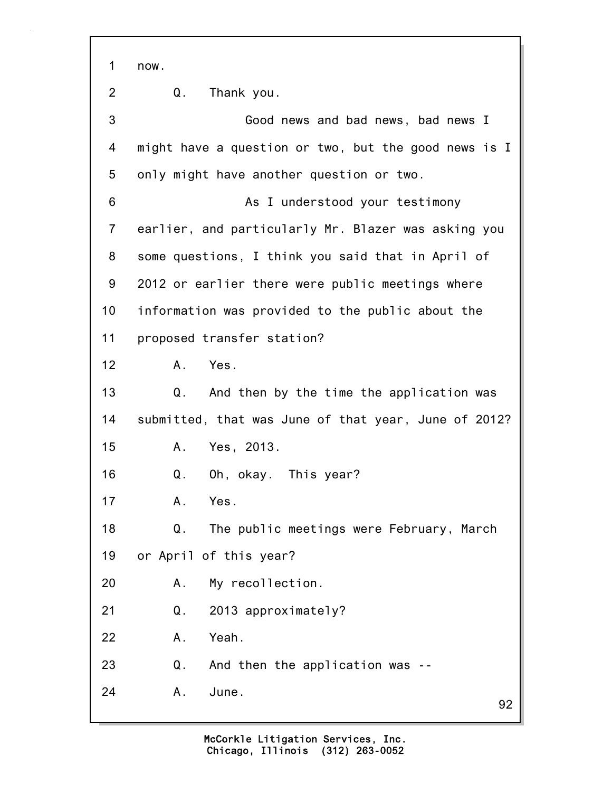1 now.

2 Q. Thank you.

92 3 Good news and bad news, bad news I 4 might have a question or two, but the good news is I 5 only might have another question or two. 6 As I understood your testimony 7 earlier, and particularly Mr. Blazer was asking you 8 some questions, I think you said that in April of 9 2012 or earlier there were public meetings where 10 information was provided to the public about the 11 proposed transfer station? 12 A. Yes. 13 Q. And then by the time the application was 14 submitted, that was June of that year, June of 2012? 15 A. Yes, 2013. 16 Q. Oh, okay. This year? 17 A. Yes. 18 Q. The public meetings were February, March 19 or April of this year? 20 A. My recollection. 21 Q. 2013 approximately? 22 A. Yeah. 23 Q. And then the application was -- 24 A. June.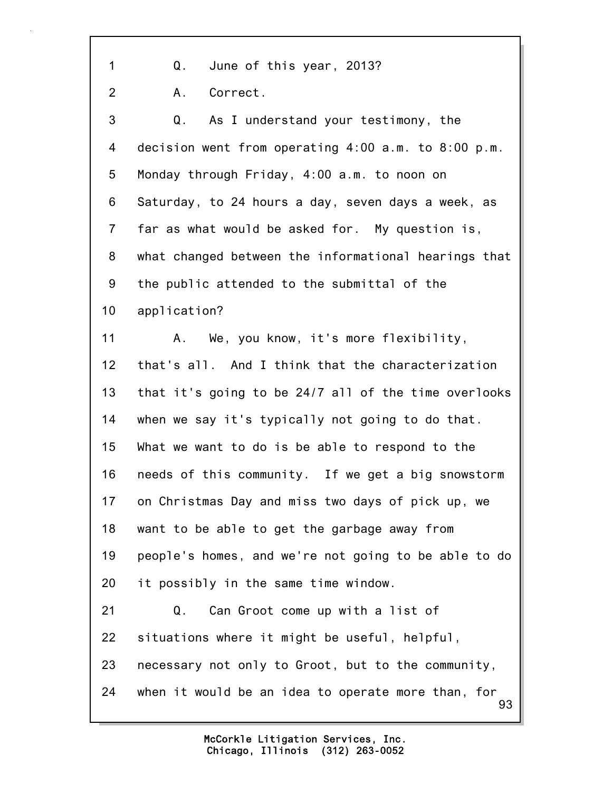93 1 Q. June of this year, 2013? 2 A. Correct. 3 Q. As I understand your testimony, the 4 decision went from operating 4:00 a.m. to 8:00 p.m. 5 Monday through Friday, 4:00 a.m. to noon on 6 Saturday, to 24 hours a day, seven days a week, as 7 far as what would be asked for. My question is, 8 what changed between the informational hearings that 9 the public attended to the submittal of the 10 application? 11 A. We, you know, it's more flexibility, 12 that's all. And I think that the characterization 13 that it's going to be 24/7 all of the time overlooks 14 when we say it's typically not going to do that. 15 What we want to do is be able to respond to the 16 needs of this community. If we get a big snowstorm 17 on Christmas Day and miss two days of pick up, we 18 want to be able to get the garbage away from 19 people's homes, and we're not going to be able to do 20 it possibly in the same time window. 21 Q. Can Groot come up with a list of 22 situations where it might be useful, helpful, 23 necessary not only to Groot, but to the community, 24 when it would be an idea to operate more than, for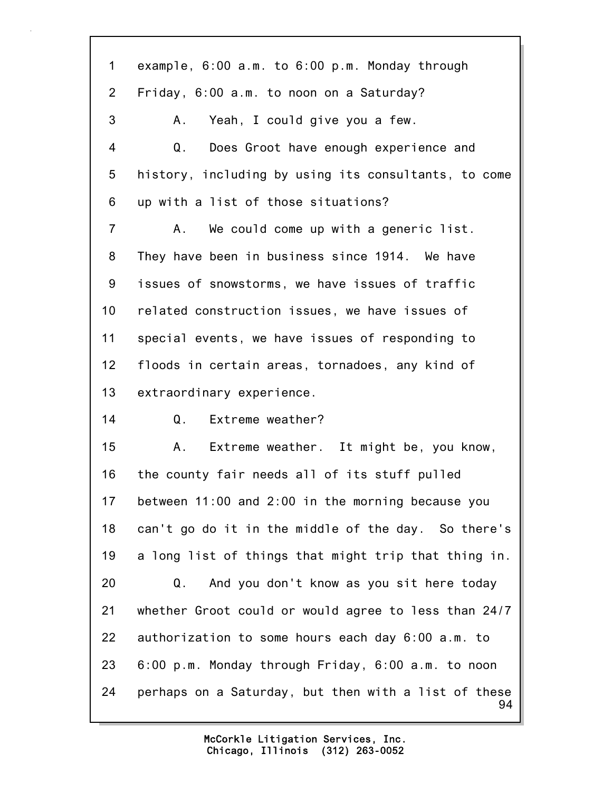| $\mathbf 1$     | example, $6:00$ a.m. to $6:00$ p.m. Monday through         |
|-----------------|------------------------------------------------------------|
| $\overline{2}$  | Friday, 6:00 a.m. to noon on a Saturday?                   |
| 3               | A.<br>Yeah, I could give you a few.                        |
| 4               | Q.<br>Does Groot have enough experience and                |
| 5               | history, including by using its consultants, to come       |
| 6               | up with a list of those situations?                        |
| $\overline{7}$  | A.<br>We could come up with a generic list.                |
| 8               | They have been in business since 1914. We have             |
| 9               | issues of snowstorms, we have issues of traffic            |
| 10 <sub>1</sub> | related construction issues, we have issues of             |
| 11              | special events, we have issues of responding to            |
| 12              | floods in certain areas, tornadoes, any kind of            |
| 13              | extraordinary experience.                                  |
| 14              | Q. Extreme weather?                                        |
| 15              | Extreme weather. It might be, you know,<br>A.,             |
| 16              | the county fair needs all of its stuff pulled              |
| 17              | between 11:00 and 2:00 in the morning because you          |
| 18              | can't go do it in the middle of the day. So there's        |
| 19              | a long list of things that might trip that thing in.       |
| 20              | And you don't know as you sit here today<br>Q.             |
| 21              | whether Groot could or would agree to less than 24/7       |
| 22              | authorization to some hours each day 6:00 a.m. to          |
| 23              | 6:00 p.m. Monday through Friday, 6:00 a.m. to noon         |
| 24              | perhaps on a Saturday, but then with a list of these<br>94 |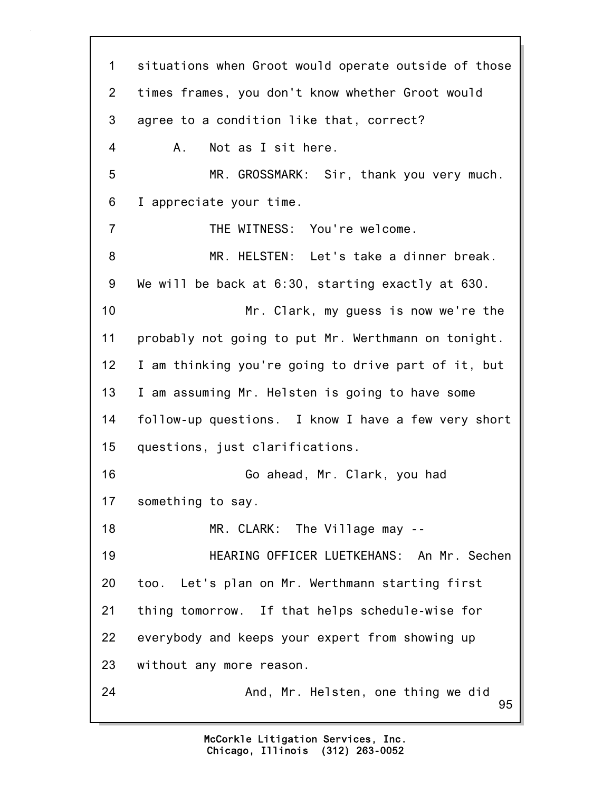95 1 situations when Groot would operate outside of those 2 times frames, you don't know whether Groot would 3 agree to a condition like that, correct? 4 A. Not as I sit here. 5 MR. GROSSMARK: Sir, thank you very much. 6 I appreciate your time. 7 THE WITNESS: You're welcome. 8 MR. HELSTEN: Let's take a dinner break. 9 We will be back at 6:30, starting exactly at 630. 10 Mr. Clark, my guess is now we're the 11 probably not going to put Mr. Werthmann on tonight. 12 I am thinking you're going to drive part of it, but 13 I am assuming Mr. Helsten is going to have some 14 follow-up questions. I know I have a few very short 15 questions, just clarifications. 16 Go ahead, Mr. Clark, you had 17 something to say. 18 MR. CLARK: The Village may --19 HEARING OFFICER LUETKEHANS: An Mr. Sechen 20 too. Let's plan on Mr. Werthmann starting first 21 thing tomorrow. If that helps schedule-wise for 22 everybody and keeps your expert from showing up 23 without any more reason. 24 And, Mr. Helsten, one thing we did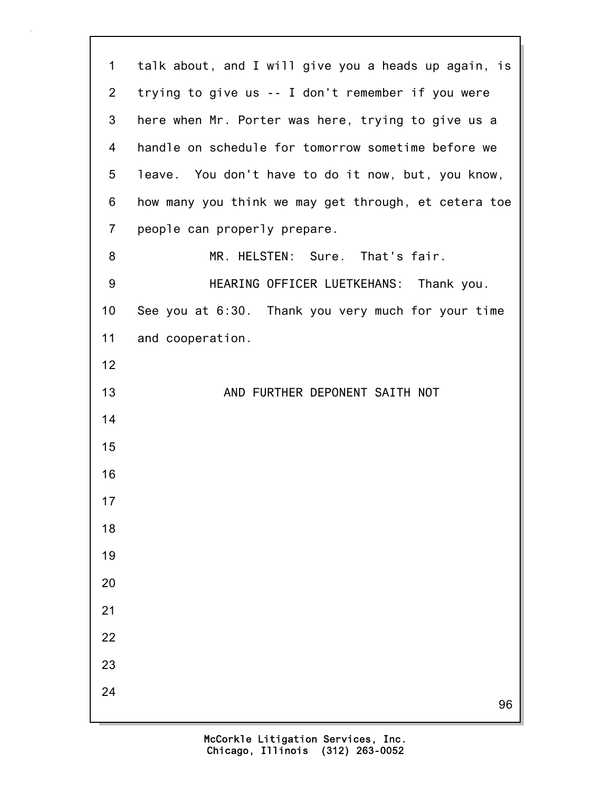| $\mathbf 1$     | talk about, and I will give you a heads up again, is |
|-----------------|------------------------------------------------------|
| $\overline{2}$  | trying to give us -- I don't remember if you were    |
| 3               | here when Mr. Porter was here, trying to give us a   |
| 4               | handle on schedule for tomorrow sometime before we   |
| $5\phantom{.0}$ | leave. You don't have to do it now, but, you know,   |
| 6               | how many you think we may get through, et cetera toe |
| $\overline{7}$  | people can properly prepare.                         |
| 8               | MR. HELSTEN: Sure. That's fair.                      |
| 9               | HEARING OFFICER LUETKEHANS: Thank you.               |
| 10              | See you at 6:30. Thank you very much for your time   |
| 11              | and cooperation.                                     |
| 12              |                                                      |
| 13              | AND FURTHER DEPONENT SAITH NOT                       |
| 14              |                                                      |
| 15              |                                                      |
| 16              |                                                      |
| 17              |                                                      |
| 18              |                                                      |
| 19              |                                                      |
| 20              |                                                      |
| 21              |                                                      |
| 22              |                                                      |
| 23              |                                                      |
| 24              | 96                                                   |
|                 |                                                      |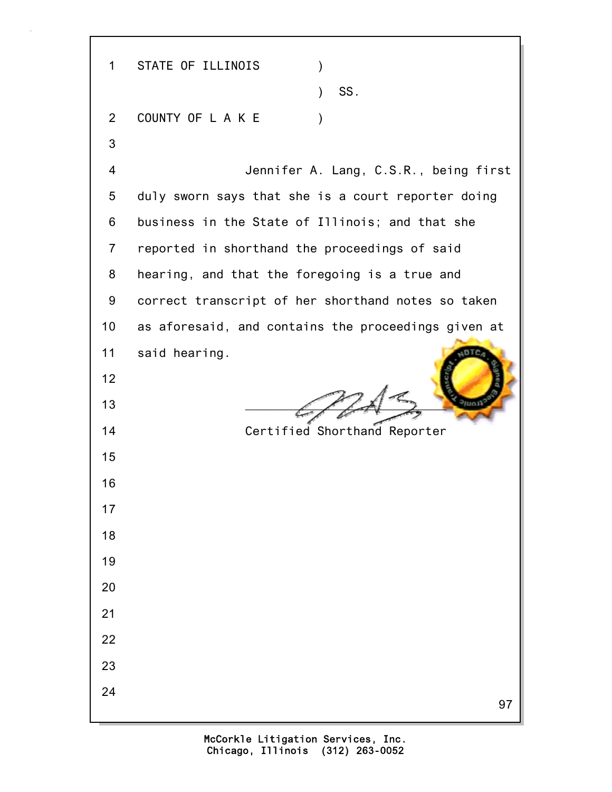97 1 STATE OF ILLINOIS )  $\sim$  SS. 2 COUNTY OF LAKE ) 3 4 Jennifer A. Lang, C.S.R., being first 5 duly sworn says that she is a court reporter doing 6 business in the State of Illinois; and that she 7 reported in shorthand the proceedings of said 8 hearing, and that the foregoing is a true and 9 correct transcript of her shorthand notes so taken 10 as aforesaid, and contains the proceedings given at 11 said hearing. 12 13  $\frac{1}{\sqrt{1-\frac{1}{2}}}$ 14 Certified Shorthand Reporter 15 16 17 18 19 20 21 22 23 24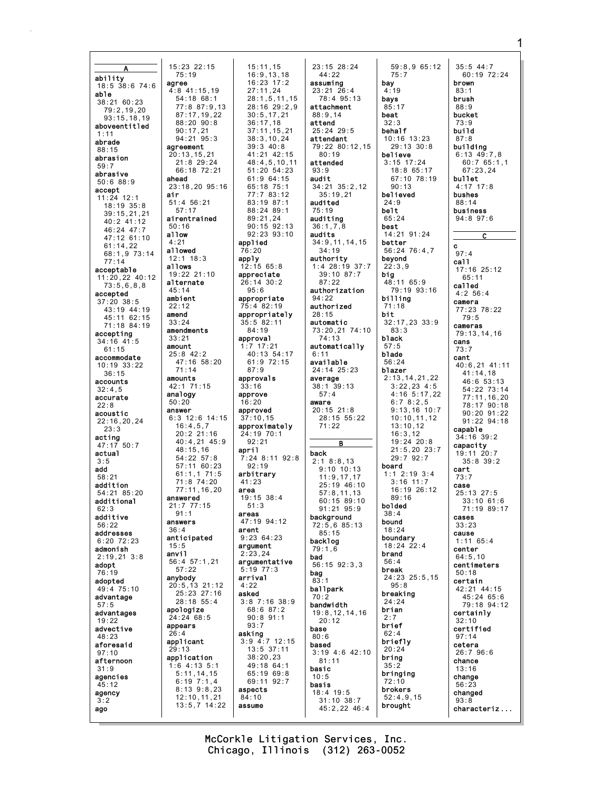15:23 22:15 ability agree  $18:5$  38:6 74:6 able 38:21 60:23  $79:2,19,20$  $93:15, 18, 19$ aboveentitled  $1:11$ abrade agreement  $88.15$  $20:13, 15, 21$ abrasion  $59:7$ abrasive ahead  $50:688:9$ accept air  $11:24$  12:1  $51:4$  56:21  $18:19$   $35:8$  $39:15,21,21$ airentrained  $40:2$   $41:12$  $50:16$ 46:24 47:7 allow 47:12 61:10  $61:14,22$ allowed 68:1,9 73:14  $12:1$  18:3  $77:14$ allows acceptable 19:22 21:10 11:20.22 40:12 alternate  $73:5,6,8,8$  $45:14$ accepted ambient  $37:20$   $38:5$  $22:12$ 43:19 44:19 amend 45:11 62:15  $33:24$  $71:18$  84:19 amendments accenting  $33:21$  $34:16$  41:5 amount  $61:15$  $25:8$  42:2 accommodate  $10:19:33:22$  $36:15$ amounts accounts 42:1 71:15  $32:4.5$  $analogy$ accurate  $50:20$  $22.8$ answer acoustic  $22:16.20.24$  $23.3$ acting  $47:17$  50:7 actual  $3.5$ add  $58:21$ addition 54:21 85:20 answered additional  $21:7$  77:15<br>91:1  $62:3$ additive answers  $56.22$  $36:4$ addresses anticipated  $6:20$   $72:23$  $15:5$ admonish anvil  $2:19.213:8$ adopt 76:19 anybody adopted 49:4 75:10 advantage  $.57:5$ apologize advantages 24:24 68:5  $19:22$ appears advective  $48.23$ applicant aforesaid  $29:13$  $97:10$ application afternoon  $31:9$ agencies  $45:12$ agency  $3:2$ ago

 $75:19$ 

 $90:17.21$ 

 $57:17$ 

 $71:14$ 

 $16:4,5,7$ 

 $48:15,16$ 

 $57:22$ 

 $15:11,15$  $16:9.13.18$  $16:23$   $17:2$  $4:8$  41:15.19  $27:11.24$  $54:18$  68:1  $28:1.5.11.15$  $77:887:9.13$ 28:16 29:2.9  $30:5.17.21$ 87:17.19.22  $88:20.90:8$  $36:17.18$  $37:11, 15, 21$  $38:3,10,24$  $94.2195.3$  $39:3$  40:8 41:21 42:15  $21.829.24$  $48:4.5.10.11$ 66:18 72:21  $51:20.54:23$  $61:964:15$  $23:18.20$  95:16  $65:18$  75:1  $77:783:12$  $83 \cdot 19$   $87 \cdot 1$ 88:24 89:1  $89:21,24$  $90.15$   $92.13$  $92:23.93:10$ applied  $76:20$ apply  $12:15$  65:8 appreciate 26:14 30:2  $95.6$ appropriate  $75:4.82:19$ appropriately  $35:5.82:11$  $84:19$ approval  $1:7$  17:21 40:13 54:17  $47:16$  58:20  $61:9$  72:15  $87:9$ approvals  $33:16$ approve  $16.20$ approved  $6:3$  12:6 14:15  $37:10.15$ approximately  $20:2.21:16$  $24:19:70:1$  $92:21$ 40:4,21 45:9 april  $7:24$  8:11 92:8  $54:22$   $57:8$  $57:1160:23$  $92.19$  $61:1.171:5$ arbitrary 71:8 74:20<br>77:11,16,20  $41:23$ area  $19:15.38:4$  $51:3$ areas 47:19 94:12 arent  $9:23.64.23$ argument  $2:23,24$ 56:4 57:1,21 argumentative  $5:19$  77:3 arrival  $20:5,13$  21:12  $4:22$ 25:23 27:16 asked  $3:8$  7:16 38:9  $28:18$  55:4 68:6 87:2  $90:8$   $91:1$  $93:7$ asking  $3:9$  4:7 12:15  $13:5$  37:11  $38:20.23$  $1:6$  4:13 5:1 49:18 64:1  $5:11, 14, 15$  $65:1969:8$  $6:19$   $7:1,4$ 69:11 92:7  $8:13$   $9:8,23$ aspects  $12:10, 11, 21$  $84:10$  $13:5,7$   $14:22$ assume

23:15 28:24  $44:22$ assuming  $23:21$   $26:4$ <br>78:4 95:13 attachment  $88.914$ attend  $25:24$  29:5 attendant 79:22 80:12.15  $80:19$ attended  $QQ \cdot Q$ audit 34:21 35:2.12  $35:19,21$ audited  $75:19$ auditing  $36:1,7,8$ audits  $34:9, 11, 14, 15$  $34:19$ authority  $1:4$  28:19 37:7 39:10 87:7  $87:22$ authorization  $94:22$ authorized  $28:15$ automatic 73:20,21 74:10  $74:13$ automatically  $6:11$ available 24:14 25:23 average  $38:1$  39:13  $57:4$ aware  $20:15$  21:8 28:15 55:22  $71:22$  $\overline{B}$ back  $2:18:8.13$  $9:10$  10:13  $11:9, 17, 17$ 25:19 46:10  $57:8, 11, 13$  $60:15.89:10$  $91:21$   $95:9$ background 72:5,6 85:13  $85:15$ backlog  $79:1.\overline{6}$ bad 56:15 92:3,3 bag  $83:1$ ballpark  $70:2$ bandwidth  $19:8, 12, 14, 16$  $20:12$ base  $80.6$ based  $3:19$  4:6 42:10  $81:11$ basic  $10:5$ basis  $18:4$  19:5 31:10 38:7  $45:2.2246:4$ 

59:8,9 65:12  $75:7$ bay  $4:19$ bays  $85:17$ beat  $32:3$ behalf  $10:16$   $13:23$  $29:13:30:8$ believe  $3:15$  17:24  $18:865:17$ 67:10 78:19  $90.13$ believed  $24.0$ belt  $65:24$ best  $14:21$   $91:24$ better 56:24 76:4.7 beyond  $22:3,9$ big 48:11 65:9 79:19 93:16 billing  $71:18$ bit.  $32:17,23$   $33:9$  $83:3$ black blade  $56:24$ blazer  $2:13, 14, 21, 22$  $3:22,23$  4:5  $4:16.5:17.22$  $6:78:2.5$  $9:13.16$  10:7  $10:10, 11, 12$  $13:10.12$  $16:3.12$  $19:24$  20:8  $21:5.20$   $23:7$  $29:7.92:7$ hoard  $1:1$  2:19 3:4  $3:16$  11:7  $3.10$   $11.7$ <br>16:19 26:12  $89:16$ bolded  $38 \cdot 4$ bound  $18:24$ boundary  $18:24$  22:4 brand  $56 \cdot 4$ break 24:23 25:5,15  $95:8$ breaking  $24.24$ brian  $2:7$ brief briefly  $20:24$ bring  $35:2$ bringing  $72:10$ brokers  $52:4,9,15$ brought

 $35:5$  44:7 60:19 72:24 brown  $83:1$ brush  $88:9$ bucket  $73:9$ hui 1d  $87.8$ building  $6:13$   $49:7,8$ <br> $60:7$   $65:1.1$  $67:23.24$ bullet  $4:17$  17:8 bushes  $88.14$ business  $94:8$   $97:6$ C  $\mathbf{c}$  $97:4$ call 17:16 25:12  $65:11$ called  $4:2$  56:4 camera 77:23 78:22  $79:5$ cameras  $79:13.14.16$ cans  $73:7$ cant 40:6,21 41:11  $41:14.18$  $46:653:13$  $54:22$  73:14 77:11.16.20 78:17 90:18  $90.20.91.22$  $91:22$   $94:18$ capable  $34:16$   $39:2$ capacity 19:11 20:7  $35:8$  39:2 cart  $73:7$ case 25:13 27:5  $33.10616$ 71:19 89:17 cases  $33:23$ cause  $1:1165:4$ center  $64:5,10$ centimeters  $50:18$ certain 42:21 44:15  $45:2465:6$ 79:18 94:12 certainly  $32:10$ certified  $97.14$ cetera  $26:796:6$ chance  $13:16$ change  $56:23$ changed  $93:8$ 

characteriz..

McCorkle Litigation Services, Inc. Chicago, Illinois (312) 263-0052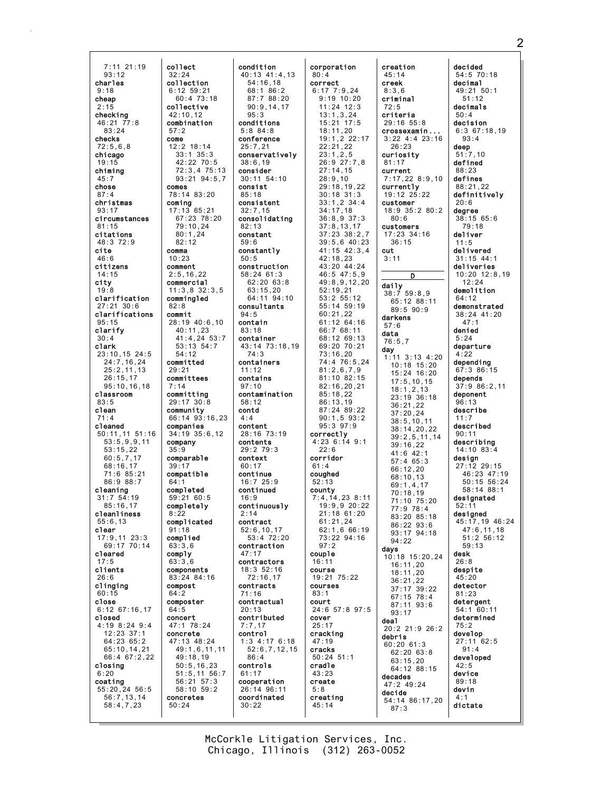7:11 21:19 93:12 charles 9:18 cheap 2:15 checking 46:21 77:8 83:24 checks 72:5,6,8 chicago 19:15 chiming 45:7 chose 87:4 christmas 93:17 circumstances 81:15 citations 48:3 72:9 cite 46:6 citizens 14:15 city 19:8 clarification 27:21 30:6 clarifications 95:15 clarify 30:4 clark 23:10,15 24:5 24:7,16,24 25:2,11,13 26:15,17 95:10,16,18 classroom 83:5 clean 71:4 cleaned 50:11,11 51:16 53:5,9,9,11 53:15,22 60:5,7,17 68:16,17 71:6 85:21 86:9 88:7 cleaning 31:7 54:19 85:16,17 cleanliness 55:6,13 clear 17:9,11 23:3 69:17 70:14 cleared 17:5 clients 26:6 clinging 60:15 close 6:12 67:16,17 closed 4:19 8:24 9:4 12:23 37:1 64:23 65:2 65:10,14,21 66:4 67:2,22 closing 6:20 coating 55:20,24 56:5 56:7,13,14 58:4,7,23

collect 32:24 collection 6:12 59:21 60:4 73:18 collective  $42:10,12$ combination 57:2 come 12:2 18:14 33:1 35:3 42:22 70:5 72:3,4 75:13 93:21 94:5,7 comes 78:14 83:20 coming 17:13 65:21 67:23 78:20 79:10,24 80:1,24 82:12 comma 10:23 comment 2:5,16,22 commercial 11:3,8 32:3,5 commingled 82:8 commit 28:19 40:6,10 40:11,23 41:4,24 53:7 53:13 54:7 54:12 committed 29:21 committees 7:14 committing 29:17 30:8 community 66:14 93:16,23 companies 34:19 35:6,12 company 35:9 comparable 39:17 compatible 64:1 completed 59:21 60:5 completely  $8.22$ complicated 91:18 complied 63:3,6 comply 63:3,6 components 83:24 84:16 compost 64:2 composter 64:5 concert 47:1 78:24 concrete 47:13 48:24 49:1,6,11,11 49:18,19 50:5,16,23 51:5,11 56:7 56:21 57:3 58:10 59:2 concretes 50:24 condition  $95.3$ 5:8 84:8 25:7,21 38:6,19 consider consist 85:18 32:7,15 82:13 constant 59:6 50:5 94:5 contain 83:18 container 74:3 11:12 contains 97:10 58:12 contd 4:4 content contents context  $60.17$ continue continued 16:9 2:14 contract 47:17 contracts 71:16 20:13 7:7,17 control 86:4 controls 61:17 30:22

40:13 41:4,13 54:16,18 68:1 86:2 87:7 88:20 90:9,14,17 conditions conference conservatively 30:11 54:10 consistent consolidating constantly construction 58:24 61:3 62:20 63:8  $63 \cdot 15,20$ 64:11 94:10 consultants 43:14 73:18,19 containers contamination 28:16 73:19 29:2 79:3 16:7 25:9 continuously 52:6,10,17  $53:472:20$ contraction contractors 18:3 52:16 72:16,17 contractual contributed 1:3 4:17 6:18 52:6,7,12,15 cooperation 26:14 96:11 coordinated 80:4 correct correctly  $22.6$ corridor  $61:4$ coughed 52:13 county 97:2 couple 16:11 course courses 83:1 court cover 25:17 cracking 47:19 cracks cradle 43:23 create 5:8 creating 45:14

corporation 6:17 7:9,24 9:19 10:20 11:24 12:3  $13 \cdot 1, 3, 24$ 15:21 17:5 18:11,20 19:1,2 22:17 22:21,22 23:1,2,5 26:9 27:7,8 27:14,15 28:9,10 29:18,19,22 30:18 31:3 33:1,2 34:4 34:17,18 36:8,9 37:3 37:8,13,17 37:23 38:2,7 39:5,6 40:23 41:15 42:3,4 42:18,23 43:20 44:24 46:5 47:5,9 49:8,9,12,20 52:19,21 53:2 55:12 55:14 59:19 60:21,22 61:12 64:16 66:7 68:11 68:12 69:13 69:20 70:21 73:16,20 74:4 76:5,24 81:2,6,7,9 81:10 82:15 82:16,20,21 85:18,22 86:13,19 87:24 89:22 90:1,5 93:2 95:3 97:9 4:23 6:14 9:1 7:4,14,23 8:11 19:9,9 20:22 21:18 61:20 61:21,24 62:1,6 66:19 73:22 94:16 19:21 75:22 24:6 57:8 97:5 50:24 51:1 creation 45:14 creek 8:3,6 criminal 72:5 criteria 29:16 55:8 crossexamin ... 3:22 4:4 23:16 26:23 curiosity 81:17 current 7:17,22 8:9,10 currently 19:12 25:22 customer 18:9 35:2 80:2 80:6 customers 17:23 34:16 36:15 cut 3:11 D daily 38:7 59:8,9 65:12 88:11 89:5 90:9 darkens 57:6 data 76:5,7 day  $1:11$  3:13 4:20 10:18 15:20 15:24 16:20 17:5,10,15 18:1,2,13 23:19 36:18 36:21,22  $37 \cdot 20$ , 24 38:5,10,11 38:14,20,22 39:2,5,11,14 39:16,22 41:6 42:1 57:4 65:3 66:12,20 68:10,13 69:1,4,17 70:18,19 71:10 75:20 77:9 78:4 83:20 85:18 86:22 93:6 93:17 94:18 94:22 days 10:18 15:20,24 16:11,20 18:11,20 36:21,22 37:17 39:22 67:15 78:4 87:11 93:6 93:17 deal 20:2 21:9 26:2 debris  $60:20$  61:3 62:20 63:8 63:15,20 64:12 88:15 decades 47:2 49:24 decide 54:14 86:17,20 87:3

decided 54:5 70:18 decimal 49:21 50:1 51:12 decimals  $50:4$ decision 6:3 67:18,19  $93 \cdot 4$ deep 51:7,10 defined 88:23 defines 88:21,22 definitively  $20.6$ degree 38:15 65:6 79:18 deliver 11:5 delivered 31:15 44:1 deliveries 10:20 12:8,19 12:24 demolition 64:12 demonstrated 38:24 41:20 47:1 denied 5:24 departure 4:22 depending 67:3 86:15 depends 37:9 86:2,11 deponent 96:13 describe 11:7 described 90:11 describing  $14 \cdot 10$  83 $\cdot 4$ design 27:12 29:15 46:23 47:19 50:15 56:24 58:14 88:1 designated 52:11 designed 45:17,19 46:24 47:6,11,18 51:2 56:12 59:13 desk  $26.8$ despite 45:20 detector 81:23 detergent 54:1 60:11 determined 75:2 develop 27:11 62:5 91:4 developed 42:5 device 89:18 devin 4:1 dictate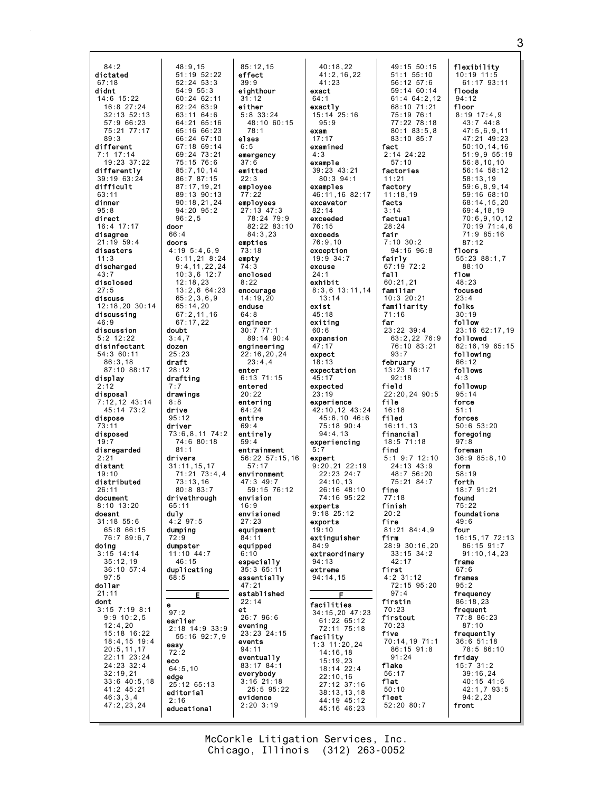$84:2$ dictated  $67:18$ didnt  $14:6$  15:22  $16:8$  27:24  $32.13$  52.13  $57:966:23$ 75:21 77:17  $89.3$ different  $7:1$  17:14  $19:23.37:22$ differently 39:19 63:24 difficult  $63:11$ dinner  $95:8$ direct  $16:4$  17:17 door disagree  $1:19$  59:4 doors disasters discharged disclosed discuss 12:18,20 30:14 discussing  $46:9$ discussion doubt  $5:2$  12:22 disinfectant dozen 54:3 60:11  $86:3,18$ draft 87:10 88:17 display drafting  $2:12$ disposal drawings  $7:12,12$  43:14  $45:14$  73:2 drive dispose  $73:11$ driver disposed  $19:7$ disregarded  $2:21$ drivers distant  $19:10$ distributed  $26.11$ document drivethrough  $8:10$  13:20 duly<br> $4:297:5$ doesnt  $31:18$  55:6 65:8 66:15 dumping  $76.789.67$ doing  $3:15$  14:14  $35:12,19$  $36:10.57:4$  $97:5$ dollar  $21:11$ dont е  $3:15$  7:19 8:1  $9:9 10:2,5$ earlier  $12.4.20$ 15:18 16:22 18:4,15 19:4 easv  $20:5,11,17$ 22:11 23:24 eco 24:23 32:4  $32:19.21$ edge<br>25:12 65:13  $33:6$  40:5,18  $41:2$  45:21 editorial  $46:3,3,4$  $47:2,23,24$ educational

 $48:9.15$ 

 $52:24$   $53:3$ 

 $60:24$  62:11

 $62:2463:9$ 

 $63.11646$ 

 $64:2165:16$ 

65:16 66:23

 $66.24 67.10$ 

 $67:1869:14$ 

69:24 73:21<br>75:15 76:6

 $85:7,10,14$ 

86:7 87:15

 $87:17,19,21$ 

 $90:18.21.24$ 

 $94:20$   $95:2$ 

 $4:195:4.6.9$ 

 $12:18,23$ 

 $65:14,20$ 

 $67:17.22$ 

 $3:4.7$ 

 $25:23$ 

 $28:12$ 

7 : 7

 $R \cdot R$ 

 $95:12$ 

 $81:1$ 

 $65:11$ 

 $72.0$ 

 $68:5$ 

 $97:2$ 

 $72:2$ 

 $2:16$ 

 $64:5.10$ 

dumpster

 $46 \cdot 15$ 

11:10 44:7

duplicating

Е

 $74:680:18$ 

 $31:11.15.17$ 

 $73:13.16$ 

 $80:883:7$ 

 $65:2,3,6,9$ 

 $67:2,11,16$ 

 $96:2.5$ 

 $66:4$ 

 $54:9$   $55:3$ 

 $85:12.15$  $51:19:52:22$ effect  $39:9$ eighthour  $31:12$ either  $5:8$  33:24  $48:10$  60:15  $78.1$ **Alsas**  $6:5$ emergency  $37:6$ emitted  $22:3$ employee  $77:22$ 89:13 90:13 employees  $27:13$  47:3 78:24 79:9 82:22 83:10  $84:3.23$ empties  $73:18$  $6:11,21$  8:24 empty  $9:4,11,22,24$  $74:3$ enclosed  $10:3,6$  12:7  $8:22$  $13:2,6$  64:23 encourage  $14:19.20$ enduse  $64:8$ engineer  $30:777:1$ 89:14 90:4 engineering  $22:16, 20, 24$  $23:4,4$ enter  $6:13$  71:15 entered  $20:22$ enterina  $64:24$ entire  $69:4$ entirely  $59:4$ entrainment  $56:22$   $57:15.16$  $57:17$  $71:21 \quad 73:4.4$ environment  $47:3$   $49:7$  $59:15.76:12$ envision  $16.9$ envisioned  $27:23$ equipment  $84.11$ equipped  $6:10$ especially  $35:365:$ essentially  $47:21$ established  $22:14$  $et$ 26:7 96:6 evening 2:18 14:9 33:9  $23:23$   $24:15$  $55:16$   $92:7.9$ events  $94:11$ eventually 83:17 84:1 everybody  $3:16$  21:18  $25:5$   $95:22$ evidence  $2:20$  3:19

 $40:18,22$  $41:2.16.22$  $41:23$ exact  $64:1$ exactly  $15:14$  25:16  $95:9$ exam  $17:17$ examined  $4:3$ example 39:23 43:21  $80:3$  94:1 examples 46:11,16 82:17 excavator  $82:14$ exceeded  $76:15$ exceeds  $76:9.10$ exception  $19:9 34:7$ excuse  $24:1$ exhibit  $8:3,6$  13:11,14  $13:14$ exist  $45:18$ exiting  $60:6$ expansion  $47:17$ expect  $18:13$ expectation 45:17 expected  $23:19$ experience 42:10.12 43:24  $45:6,10$  46:6 75:18 90:4  $94:4.13$ experiencing  $5.7$ expert  $9:20,21$  22:19<br>22:23 24:7  $24:10.13$  $26.16.48.10$ 74:16 95:22 experts  $9:18$  25:12 exports  $19:10$ extinguisher  $84:9$ extraordinary  $94:13$ extreme  $94:14,15$ F facilities 34:15,20 47:23  $61:22$   $65:12$ 72:11 75:18 facility  $1:3$  11:20,24  $14:16, 18$  $15:19.23$  $18:14$  22:4  $22:10,16$  $27:12$  37:16 38:13,13,18<br>44:19 45:12  $45:16$   $46:23$ 

49:15 50:15  $51:1$   $55:10$  $56:12$   $57:6$  $59:14$  60:14  $61:4$  64:2.12 68:10 71:21  $75:19$  76:1  $77:2278:18$  $80:183:5.8$  $83 \cdot 10 85 \cdot 7$ fact  $2:14$  24:22  $57:10$ factories  $11:21$ factory  $11:18,19$ facts  $3:14$ factual  $28:24$ fair  $7:10$  30:2  $94:16$   $96:8$ fairly  $67:19$   $72:2$ fall  $60:21,21$ familiar  $10:3$  20:21 familiarity  $71:16$ far  $23:22$  39:4 63:2,22 76:9 76:10 83:21  $93:7$ february 13:23 16:17  $92:18$ field  $22:20.2490:5$ file  $16:18$ filed  $16:11.13$ financial  $18:5$   $71:18$ find  $5:1$  9:7 12:10  $24:13$   $43:9$  $48:756:20$ 75:21 84:7 fine  $77:18$ finish  $20.2$ fire 81:21 84:4,9 firm 28:9 30:16.20  $33:15$   $34:2$  $42.17$ first  $4:2$  31:12 72:15 95:20  $97:4$ firstin  $70:23$ firstout  $70:23$ five 70:14,19 71:1  $86:15$  91:8  $91:24$ flake  $56:17$ flat  $50:10$ fleet 52:20 80:7

flexibility  $10:19$   $11:5$ 61:17 93:11 f1oods  $94:12$ floor  $8:19$  17:4.9  $43:744:8$  $47:5,6,9,11$ 47:21 49:23  $50:10.14.16$  $51:9,955:19$  $56:8.10.10$  $56:14$   $58:12$  $58:13.19$  $59:6.8.9.14$ 59:16 68:10  $68.14$  15 20  $69:4,18,19$  $70:6,9,10,12$  $70:19.71:4.6$  $71:985:16$  $87:12$ floors  $55:2388:1,7$  $88:10$ f1ow  $48:23$ focused folks  $30:19$ follow 23:16 62:17,19 followed 62:16,19 65:15 following  $66:12$ follows followup  $95:14$ force  $51:1$ forces  $50:6$  53:20 foregoing  $97:8$ foreman  $36:985:8.10$ form  $58:19$ forth  $18.791.21$ found  $75:22$ foundations  $49:6$ four  $16.15.1772:13$ 86:15 91:7  $91:10, 14, 23$ frame  $67:6$ frames  $95:2$ frequency  $86:18,23$ frequent 77:8 86:23  $87.10$ frequently  $36:6$   $51:18$ 78:5 86:10 friday  $15:7$  31:2  $39:16,24$  $40:15$   $41:6$  $42:1,7$  93:5  $94:2,23$ front

McCorkle Litigation Services, Inc. Chicago, Illinois (312) 263-0052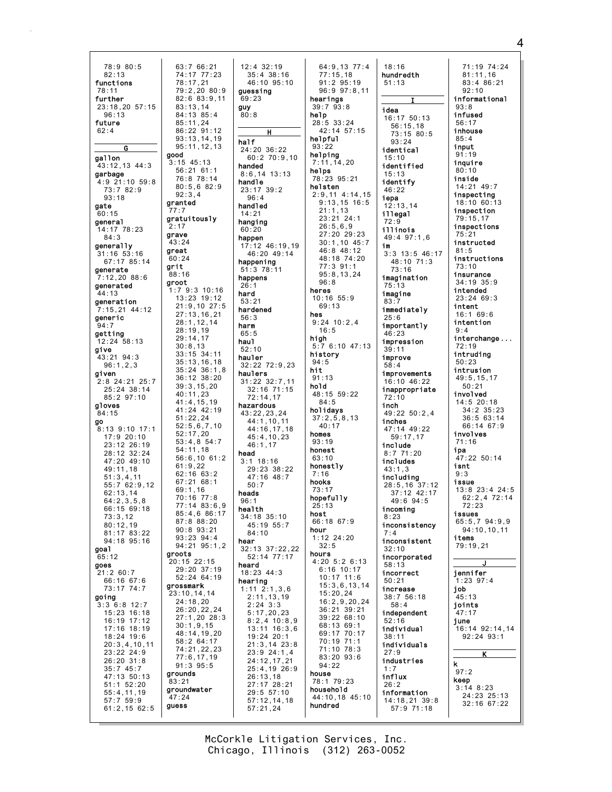78:9 80:5 63:7 66:21 74:17 77:23  $82:13$ functions 78:17.21  $79:2.2080:9$  $78:11$ further 82:6 83:9,11  $23:18.20.57:15$  $83:13.14$  $84:13$   $85:4$  $96.13$ future  $85:11.24$  $62:4$ 86:22 91:12  $93:13,14,19$  $95:11.12.13$  $\overline{\mathbf{G}}$ good gallon  $3:15$  45:13 43:12,13 44:3  $56:21$  61:1 garbage 76:8 78:14  $4:9$   $21:10$   $59:8$  $80:5.682:9$  $73:782:9$  $92:3.4$  $93:18$ granted gate  $60:15$ gratuitously general  $2:17$ 14:17 78:23 grave  $84:3$ 43:24 generally great  $31:16$  53:16  $60:24$ 67:17 85:14 grit generate .<br>88:16  $7:12,2088:6$ groot denerated  $1:79:310:16$  $44:13$ 13:23 19:12 deneration  $21:9.1027:5$ 7:15,21 44:12  $27:13,16,21$ generic  $28:1, 12, 14$  $28:19,19$ aettina  $29:14.17$ 12:24 58:13  $30:8,13$ aive  $33:15$   $34:11$ 43:21 94:3  $35:13,16,18$  $96:1,2,3$  $35:24$   $36:1,8$ aiven 36:12 38:20  $2:8$  24:21 25:7  $39:3, 15, 20$  $25.24$   $38.14$  $40:11.23$  $85:297:10$  $41:4, 15, 19$ gloves  $41:24$   $42:19$  $84.15$  $51:22.24$ go  $52:5.6.7.10$ 8:13 9:10 17:1  $52:17.20$  $17.920.10$  $53:4.854:7$ 23:12 26:19  $54.11$  18 28:12 32:24  $56:6.1061:2$  $47:20$   $49:10$  $61:9,22$ 49:11.18  $62:16$   $63:2$  $51:3,4,11$  $67:21.68:1$ 55:7 62:9.12  $69.116$  $62:13,14$  $70:16$  77:8  $64.2358$  $77:14.83:6.9$ 66:15 69:18  $85 \cdot 4686 \cdot 17$  $73:3,12$  $87:888:20$  $80:12.19$  $90:8$   $93:21$  $81:17$   $83:22$  $93.23$   $94.4$ 94:18 95:16 94:21 95:1.2 goal groots  $65:12$ 20:15 22:15 goes  $29:20.37:19$  $21:260:7$ 52:24 64:19 66:16 67:6 grossmark 73:17 74:7 ,<br>23:10,14,14 aoina  $24:18,20$  $3:3$  6:8 12:7  $26:20, 22, 24$  $15:23$   $16:18$ 27:1,20 28:3  $16:19$  17:12  $30:1,9.15$ 17:16 18:19 48:14,19,20  $18:24$  19:6 58:2 64:17  $20:3,4,10,11$ 74:21,22,23  $23:22$  24:9  $77:6, 17, 19$  $26:20$  31:8  $91:3.95:5$  $35:745:7$ grounds 47:13 50:13 -<br>83:21  $51:1$   $52:20$ groundwater 55:4,11,19<br>57:7 59:9 .<br>47:24 quess  $61:2.15$  62:5

 $12:4$  32:19  $35:4$  38:16 46:10 95:10 auessina  $69:23$  $guy$ <sub>80:8</sub> half  $24:20$  36:22  $60:270:9,10$ handed  $8:6,14$  13:13 handle  $23:17$  39:2  $96:4$ handled  $14.21$ hanging  $60:20$ happen  $17:12$  46:19.19 46:20 49:14 happening  $51:3$  78:11 happens hard  $53.21$ hardened  $56:3$ harm  $65:5$ hau1  $52:10$ hauler  $32:22$   $72:9.23$ haulers  $31:22$   $32:7.11$  $32.16$  71.15  $72:14.17$ hazardous 43:22,23.24  $44:1.10.11$ 44:16,17,18  $45:4.10.23$  $46:1.17$ head  $3:1$  18:16 29:23 38:22 47:16 48:7  $50.7$ heads  $96:1$ health 34:18 35:10  $45:1955:7$  $84:10$ hear 32:13 37:22,22  $52:14$   $77:17$ heard 18:23 44:3 hearing  $1:11 \quad 2:1,3,6$  $2:11, 13, 19$  $2:24$  3:3  $5:17,20,23$  $8:2,4$  10:8,9 13:11 16:3,6  $19:24$  20:1  $21:3,14$   $23:8$  $23:9$  24:1.4 24:12.17.21  $25:4.19$  26:9 26:13,18<br>27:17 28:21  $29:5.57:10$  $57:12,14,18$  $57:21.24$ 

64:9,13 77:4  $77:15.18$  $91:295:19$  $96:9$   $97:8.11$ hearings  $39:793:8$ help 28:5 33:24 42:14 57:15 helpful  $93:22$ helping  $7:11,14,20$ helps 78:23 95:21 helsten  $2:9,11$  4:14,15  $9:13.15$  16:5  $21:1,13$ 23:21 24:1  $26:5,6,9$ 27:20 29:23  $30:1, 10$  45:7  $46.848.12$ 48:18 74:20 77:3 91:1  $95:8,13,24$  $96:8$ heres  $10:16$  55:9  $69:13$ hes  $9:24$  10:2.4  $16:5$ high  $5:76:1047:13$ history  $94:5$ hit  $91:13$ hold  $48:15$  59:22  $84.5$ holidavs  $37:2,5,8,13$ <br>40:17 homes  $93:19$ honest  $63:10$ honestlv  $7:16$ hooks  $73.17$ hopefully  $25:13$ host  $66:1867:9$ hour  $1:12$  24:20  $32:5$ hours  $4:20$  5:2 6:13  $6:16$  10:17  $10:17$   $11:6$  $15:3,6,13,14$  $15:20, 24$  $16:2.9.20.24$  $36:21$  39:21 39:22 68:10  $68.13.69.1$ 69:17 70:17 70:19 71:1 71:10 78:3 83:20 93:6  $94:22$ house 78:1 79:23 household 44:10,18 45:10 hundred

 $18:16$ hundredth  $51:13$ idea 16:17 50:13  $56 \cdot 15$  18  $73:15.80:5$  $93:24$ identical  $15:10$ identified  $15:13$ identify  $46:22$ iepa  $12:13.14$ illegal illinois 49:4 97:1.6 im  $3:3$  13:5 46:17 48:10 71:3  $73:16$ imagination imagine  $83.7$ immediately  $25:6$ importantly  $46:23$ impression  $39:11$ improve  $58:4$ improvements 16:10 46:22 inappropriate  $72:10$ inch  $49:22$  50:2.4 inches 47:14 49:22  $59:17.17$ include  $8:7$  71:20 includes  $43:1.3$ including  $28:5, 16$  37:12 37:12 42:17  $49.694.5$ incoming inconsistency  $7:4$ inconsistent  $32:10$ incorporated  $58:13$ incorrect  $50:21$ increase  $38:756:18$  $58:4$ independent individual  $38.11$ individuals  $27:9$ industries  $1:7$ influx  $26:2$ information  $14:18.21.39:8$  $57:9$   $71:18$ 

71:19 74:24<br>81:11,16 83:4 86:21  $92:10$ informational  $93:8$ infused  $56:17$ inhouse  $85.4$ input  $91:19$ inquire  $80:10$ inside  $14:21$   $49:7$ inspecting 18:10 60:13 inspection  $79:15.1$ inspections  $75:21$ instructed  $81:5$ instructions  $73:10$ insurance  $34:19$   $35:9$ intended  $23:2469:3$ intent  $16:169:6$ intention  $9:4$ interchange...  $72:19$ intruding  $50:23$ intrusion 49:5,15,17  $50:21$ involved  $14:5$  20:18  $34:2$   $35:23$  $36:563:14$ 66:14 67:9 involves  $71:16$ ipa  $47:22$  50:14 isnt  $9:3$ issue  $13:8$  23:4 24:5  $62:2.472:14$  $72.23$ issues 65:5,7 94:9,9 94:10,10,11 items 79:19.21 jennifer  $1:23$  97:4 job  $45:13$ joints  $47:17$ june 16:14 92:14,14  $92:24$   $93:1$  $\mathbf k$  $97:2$ keep  $3:14$  8:23  $24:23$   $25:13$ 32:16 67:22

McCorkle Litigation Services, Inc. Chicago, Illinois (312) 263-0052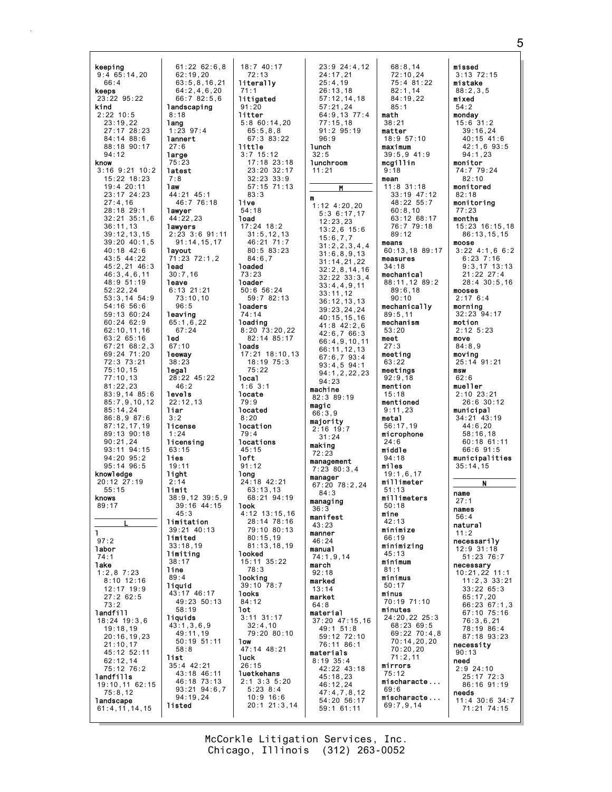| keeping                         | $61:22$ 62:6,8             | 18:740:17                        | 23:9 24:4,12                    | 68:8,14                         | missed                           |
|---------------------------------|----------------------------|----------------------------------|---------------------------------|---------------------------------|----------------------------------|
| 9:465:14,20                     | 62:19,20                   | 72:13                            | 24:17,21                        | 72:10,24                        | $3:13$ $72:15$                   |
| 66:4                            | 63:5, 8, 16, 21            | literally                        | 25:4.19                         | 75:4 81:22                      | mistake                          |
| keeps                           | 64:2, 4, 6, 20             | 71:1                             | 26:13,18                        | 82:1,14                         | 88:2,3,5                         |
| 23:22 95:22<br>kind             | 66:7 82:5,6                | litigated<br>91:20               | 57:12,14,18<br>57:21.24         | 84:19,22<br>85:1                | mixed<br>54:2                    |
| $2:22$ 10:5                     | landscaping<br>8:18        | litter                           | 64:9,13 77:4                    | math                            | monday                           |
| 23:19,22                        | lang                       | 5:860:14,20                      | 77:15,18                        | 38:21                           | $15:6$ 31:2                      |
| 27:17 28:23                     | $1:23$ 97:4                | 65:5,8,8                         | $91:2$ $95:19$                  | matter                          | 39:16,24                         |
| $84:14$ $88:6$                  | lannert                    | 67:3 83:22                       | 96:9                            | 18:957:10                       | 40:15 41:6                       |
| 88:18 90:17                     | 27:6                       | little                           | lunch                           | maximum                         | 42:1,6 93:5                      |
| 94:12                           | large                      | $3:7$ 15:12                      | 32:5                            | $39:5,9$ 41:9                   | 94:1,23                          |
| know                            | 75:23                      | $17:18$ 23:18                    | lunchroom                       | mcgillin                        | monitor                          |
| $3:16$ $9:21$ $10:2$            | latest                     | 23:20 32:17                      | 11:21                           | 9:18                            | 74:7 79:24                       |
| $15:22$ $18:23$                 | 7:8                        | $32:23$ $33:9$                   |                                 | mean                            | 82:10                            |
| 19:4 20:11<br>23:17 24:23       | 1 aw<br>44:21 45:1         | $57:15$ $71:13$<br>83:3          | M                               | $11:8$ 31:18<br>$33:19$ $47:12$ | monitored<br>82:18               |
| 27:4.16                         | 46:7 76:18                 | live                             | m                               | 48:22 55:7                      | monitoring                       |
| 28:18 29:1                      | lawyer                     | 54:18                            | $1:12$ $4:20,20$                | 60:8,10                         | 77:23                            |
| $32:21$ $35:1,6$                | 44:22,23                   | 1oad                             | 5:36:17,17                      | 63:12 68:17                     | months                           |
| 36:11,13                        | lawyers                    | $17:24$ $18:2$                   | 12:23,23<br>$13:2,6$ 15:6       | 76:7 79:18                      | $15:23$ $16:15,18$               |
| 39:12,13,15                     | $2:23$ 3:6 91:11           | 31:5, 12, 13                     | 15:6,7,7                        | 89:12                           | 86:13,15,15                      |
| 39:20 40:1,5                    | 91:14,15,17                | 46:21 71:7                       | 31:2,2,3,4,4                    | means                           | moose                            |
| 40:18 42:6                      | layout                     | 80:583:23                        | 31:6,8,9,13                     | 60:13,18 89:17                  | $3:22$ 4:1,6 6:2                 |
| 43:5 44:22                      | 71:23 72:1.2               | 84:6.7                           | 31:14,21,22                     | measures<br>34:18               | $6:23$ $7:16$                    |
| 45:2,21 46:3                    | lead<br>30:7,16            | loaded<br>73:23                  | 32:2,8,14,16                    |                                 | $9:3,17$ 13:13                   |
| 46:3,4,6,11<br>48:9 51:19       | leave                      | loader                           | $32:22$ $33:3,4$                | mechanical<br>88:11,12 89:2     | $21:22$ $27:4$<br>$28:4$ 30:5,16 |
| 52:22.24                        | $6:13$ 21:21               | $50:6$ 56:24                     | 33:4,4,9,11                     | 89:6,18                         | mooses                           |
| 53:3,14 54:9                    | 73:10,10                   | 59:7 82:13                       | 33:11,12<br>36:12, 13, 13       | 90:10                           | 2:176:4                          |
| 54:16 56:6                      | 96:5                       | loaders                          | 39:23,24,24                     | mechanically                    | morning                          |
| 59:13 60:24                     | leaving                    | 74:14                            | 40:15,15,16                     | 89:5,11                         | $32:23$ $94:17$                  |
| 60:24 62:9                      | 65:1,6,22                  | loading                          | $41:8$ $42:2,6$                 | mechanism                       | motion                           |
| 62:10,11,16                     | 67:24                      | $8:20$ $73:20,22$                | 42:6,766:3                      | 53:20                           | $2:12$ 5:23                      |
| 63:2 65:16                      | 1ed                        | 82:14 85:17                      | 66:4,9,10,11                    | meet                            | move                             |
| $67:21$ $68:2,3$<br>69:24 71:20 | 67:10                      | loads                            | 66:11,12,13                     | 27:3                            | 84:8,9                           |
| 72:3 73:21                      | leeway<br>38:23            | $17:21$ $18:10,13$<br>18:19 75:3 | 67:6,793:4                      | meeting<br>63:22                | moving<br>25:14 91:21            |
| 75:10,15                        | legal                      | 75:22                            | $93:4,5$ $94:1$                 | meetings                        | msw                              |
| 77:10,13                        | 28:22 45:22                | local                            | 94:1, 2, 22, 23                 | 92:9,18                         | 62:6                             |
| 81:22,23                        | 46:2                       | $1:6$ 3:1                        | 94:23<br>machine                | mention                         | mueller                          |
| 83:9,14 85:6                    | levels                     | locate                           | 82:3 89:19                      | 15:18                           | $2:10$ $23:21$                   |
| 85:7,9,10,12                    | 22:12,13                   | 79:9                             | magic                           | mentioned                       | $26:6$ 30:12                     |
| 85:14,24                        | liar                       | located                          | 66:3,9                          | 9:11,23                         | municipal                        |
| 86:8,9 87:6                     | 3:2                        | 8:20                             | majority                        | metal                           | 34:21 43:19                      |
| 87:12,17,19                     | license<br>1:24            | location<br>79:4                 | $2:16$ 19:7                     | 56:17,19                        | 44:6,20<br>58:16,18              |
| 89:13 90:18<br>90:21,24         | licensing                  | locations                        | 31:24                           | microphone<br>24:6              |                                  |
| $93:11$ $94:15$                 | 63:15                      |                                  | making                          |                                 |                                  |
| $94:20$ $95:2$                  |                            |                                  |                                 |                                 | 60:18 61:11                      |
| $95:14$ $96:5$                  | lies                       | 45:15<br>1oft                    | 72:23                           | middle<br>94:18                 | 66:691:5                         |
|                                 | 19:11                      | 91:12                            | management                      | miles                           | municipalities<br>35:14,15       |
| knowledge                       | light                      | long                             | $7:23$ 80:3,4                   | 19:1,6,17                       |                                  |
| 20:12 27:19                     | 2:14                       | 24:18 42:21                      | manager                         | millimeter                      | N                                |
| 55:15                           | limit                      | 63:13,13                         | 67:20 78:2,24<br>84:3           | 51:13                           | name                             |
| knows                           | $38:9,12$ $39:5,9$         | 68:21 94:19                      |                                 | millimeters                     | 27:1                             |
| 89:17                           | 39:16 44:15                | 1ook                             | managing<br>36:3                | 50:18                           | names                            |
|                                 | 45:3<br>limitation         | $4:12$ 13:15,16<br>28:14 78:16   | manifest                        | mine<br>42:13                   | 56:4                             |
|                                 | $39:21$ 40:13              | 79:10 80:13                      | 43:23                           | minimize                        | natural                          |
| 1.                              | limited                    | 80:15.19                         | manner                          | 66:19                           | 11:2                             |
| 97:2                            | 33:18,19                   | 81:13,18,19                      | 46:24                           | minimizing                      | necessarily                      |
| labor<br>74:1                   | limiting                   | looked                           | manual                          | 45:13                           | $12:9$ 31:18<br>51:23 76:7       |
| lake                            | 38:17                      | 15:11 35:22                      | 74:1,9,14<br>march              | minimum                         | necessary                        |
| $1:2,8$ 7:23                    | line                       | 78:3                             | 92:18                           | 81:1                            | $10:21,22$ 11:1                  |
| $8:10$ 12:16                    | 89:4                       | looking                          | marked                          | minimus                         | $11:2,3$ 33:21                   |
| $12:17$ $19:9$                  | liquid                     | 39:10 78:7<br>looks              | 13:14                           | 50:17<br>minus                  | 33:2265:3                        |
| 27:262:5                        | 43:17 46:17<br>49:23 50:13 | 84:12                            | market                          | 70:19 71:10                     | 65:17,20                         |
| 73:2                            | 58:19                      | 1ot                              | 64:8                            | minutes                         | 66:23 67:1.3                     |
| landfill<br>$18:24$ 19:3,6      | liquids                    | $3:11$ $31:17$                   | material                        | 24:20,22 25:3                   | 67:10 75:16<br>76:3,6,21         |
| 19:18,19                        | 43:1,3,6,9                 | 32:4,10                          | $37:20$ $47:15,16$<br>49:1 51:8 | 68:23 69:5                      | 78:19 86:4                       |
| 20:16, 19, 23                   | 49:11,19                   | 79:20 80:10                      | 59:12 72:10                     | 69:22 70:4,8                    | 87:18 93:23                      |
| 21:10,17                        | $50:19$ $51:11$            | 1ow                              | 76:11 86:1                      | 70:14,20,20                     | necessity                        |
| 45:12 52:11                     | 58:8                       | 47:14 48:21                      | materials                       | 70:20,20                        | 90:13                            |
| 62:12,14                        | list<br>$35:4$ 42:21       | 1uck<br>26:15                    | $8:19$ 35:4                     | 71:2,11<br>mirrors              | need                             |
| 75:12 76:2                      | 43:18 46:11                | luetkehans                       | 42:22 43:18                     | 75:12                           | $2:9$ 24:10                      |
| landfills                       | 46:18 73:13                | $2:1$ $3:3$ $5:20$               | 45:18,23                        | mischaracte                     | 25:17 72:3                       |
| 19:10,11 62:15                  | $93:21$ $94:6,7$           | $5:23$ $8:4$                     | 46:12,24                        | 69:6                            | 86:16 91:19                      |
| 75:8,12<br>landscape            | 94:19,24                   | $10:9$ 16:6                      | 47:4,7,8,12<br>54:20 56:17      | mischaracte                     | needs<br>$11:4$ 30:6 34:7        |
| 61:4,11,14,15                   | listed                     | $20:1$ 21:3,14                   | $59:1$ 61:11                    | 69:7,9,14                       | 71:21 74:15                      |

McCorkle Litigation Services, Inc. Chicago, Illinois (312) 263-0052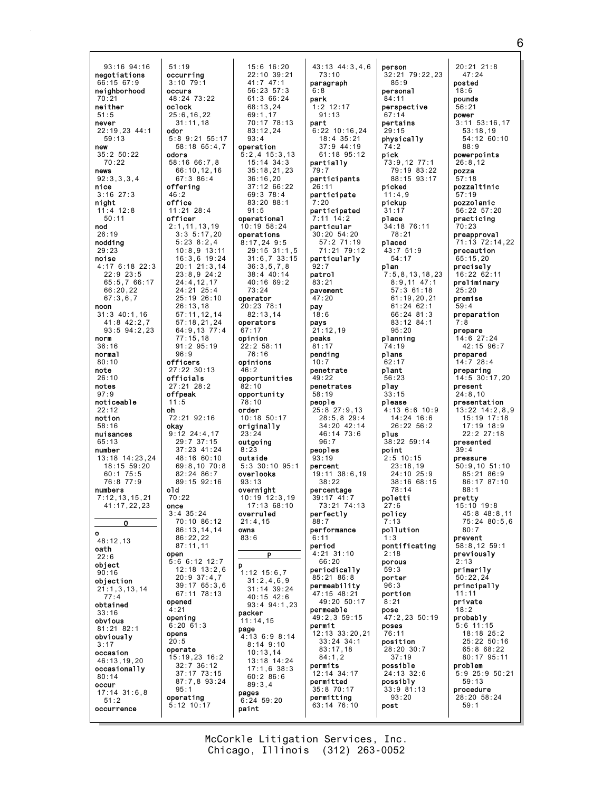$93:16$   $94:16$  $51:19$ negotiations occurrina  $3:10.79:1$  $66:1567:9$ neighborhood occurs  $70:21$ neither oclock 51.5 never  $22:19.23.44:1$ odor  $59.13$ new  $35:2 50:22$ odors  $70:22$ news  $92:3,3,3,4$ nice offering  $3:16$  27:3  $46:2$ office night  $11:4$  12:8  $50:11$ officer nod  $26:19$ nodding  $29.23$ noise 4:17 6:18 22:3  $22:9$   $23:5$ 65:5,7 66:17  $66:20,22$  $67:3,6,7$ noon  $31:3$  40:1,16  $41:8$  42:2,7 93:5 94:2,23 norm  $36:16$ normal  $96:9$  $80:10$ officers note  $26:10$ officials notes offpeak  $97:9$ noticeable  $11:5$ oh  $22:12$ notion  $58:16$ nuisances  $65:13$ number  $13:18$   $14:23.24$  $18:15$  59:20  $60:175:5$ 76:8 77:9 old numbers  $7:12.13.15.21$  $70:22$ 41:17.22.23 once  $3:4$  35:24  $\overline{\mathbf{0}}$  $\mathbf{o}$ 48:12,13 oath open  $22:6$ object  $90:16$ objection  $21:1,3,13,14$  $77:4$ opened obtained  $\overline{4}$ : 21 opening obvious  $6:20$   $61:3$ 81:21 82:1 opens obviously  $20:5$  $3:17$ operate occasion 46:13,19,20 occasionally  $80:14$ occur  $95:1$  $17:14$   $31:6.8$ operating  $51:2$  $5:12$  10:17 occurrence

 $15:6$  16:20 22:10 39:21  $41:7$  47:1  $56:23:57:3$  $48:24$  73:22  $61:366:24$  $68:13.24$  $25:6.16.22$  $69.117$ 70:17 78:13  $31:11.18$  $83:12.24$  $5.89.2155.17$  $93 \cdot 4$ 58:18 65:4.7 operation  $5:2,4$  15:3,13  $58:16.66:7.8$  $15:14$   $34:3$ 66:10.12.16  $35:18.21.23$  $67:386:4$  $36:16,20$  $37:12.66:22$  $69:3$  78:4  $83.20$   $88.1$  $11:21$  28:4  $91:5$ operational  $2:1, 11, 13, 19$  $10:19.58:24$ operations  $3:35:17,20$  $5:23$   $8:2,4$  $8:17,24$  9:5  $10:8,9$  13:11 29:15 31:1.5  $16:3,6$  19:24  $31:6,7$  33:15  $20:1$  21:3,14  $36:3,5,7,8$  $23:8,9$  24:2  $38:4.40:14$ 40:16 69:2  $24:4,12,17$ 24:21 25:4  $73:24$ 25:19 26:10 operator  $26:13,18$ 20:23 78:1  $57:11,12,14$  $82:13.14$  $57:18, 21, 24$ operators 64:9,13 77:4 67:17  $77:15.18$ opinion  $22:2 58:11$  $91:2$  95:19 76:16 opinions 27:22 30:13  $46:2$ opportunities 27:21 28:2  $82:10$ opportunity  $78:10$ order  $72:21$  92:16  $10:18$  50:17 okay<br> $9:12 \ 24:4.17$ originally  $23.24$ 29:7 37:15 outgoing  $37:23$  41:24  $8.23$  $48:1660:10$ outside  $5:3$  30:10 95:1 69:8,10 70:8  $82:24.86:7$ overlooks  $89:15$   $92:16$  $93:13$ overnight  $10:19$   $12:3.19$  $17:13.68:10$ overruled  $70:10.86:12$  $21:4.15$ 86:13,14,14 owns  $86.22.22$  $83.6$  $87:11.11$ p  $5:66:1212:7$  $12:18$   $13:2.6$  $1:12$  15:6,7  $20:9$  37:4,7  $31:2,4,6,9$  $39:1765:36$  $31:14$  39:24 67:11 78:13  $40:15$   $42:6$ 93:4 94:1,23 packer  $11:14,15$ page  $4:136:98:14$  $8:149:10$  $10:13,14$ 15:19,23 16:2  $13:18$  14:24  $32:7$  36:12  $17:1.6$  38:3 37:17 73:15  $60:286:6$ 87:7,8 93:24  $89:3.4$ pages  $6:24$  59:20 paint

43:13 44:3,4,6  $73:10$ paragraph  $6:8$ park  $1:2$  12:17  $\frac{1}{91}:13$ part  $6:22$  10:16.24  $18.4.35.21$  $37:9$  44:19 61:18 95:12 partially  $79:7$ participants  $26:11$ participate  $7.20$ participated  $7:11$   $14:2$ particular  $30:20$   $54:20$ 57:2 71:19 71:21 79:12 particularly  $92:7$ patrol 83:21 pavement  $47:20$ pav  $18:6$ pays  $21:12,19$ peaks  $81:17$ pendina  $10.7$ penetrate  $49:22$ penetrates  $58:19$ people 25:8 27:9.13  $28:5.8$  29:4 34:20 42:14  $46:14$  73:6  $96:7$ peoples  $93:19$ percent 19:11 38:6.19  $38:22$ percentage  $39:17$  41:7 73:21 74:13 perfectly  $R$  $R$   $\cdot$  7 performance  $6.11$ period 4:21 31:10  $66.20$ periodically 85:21 86:8 permeability 47:15 48:21  $49:20$  50:17 permeable 49:2,3 59:15 permit 12:13 33:20,21  $33:24$   $34:1$  $83:17,18$  $84:1.2$ permits 12:14 34:17 permitted 35:8 70:17 permitting 63:14 76:10

person 32:21 79:22.23  $85:9$ personal  $84:11$ perspective  $67 \cdot 14$ pertains  $29:15$ physically pick  $73.9$  12  $77.1$ 79:19 83:22 88:15 93:17 picked  $11:4.9$ pickup  $31:17$ place 34:18 76:11  $78:21$ placed  $43:751:9$  $54:17$ plan  $7:5, 8, 13, 18, 23$  $8:9,11$  47:1  $57.3$  61.18  $61:19,20,21$  $61:24$  62:1  $66:24$  81:3 83:12 84:1  $95:20$ planning  $74:19$ plans  $62:17$ plant  $56:23$ play  $33:15$ please 4:13 6:6 10:9  $14:24$  16:6<br>26:22 56:2 plus 38:22 59:14 point  $2:5$  10:15  $23:18,19$ <br> $24:10$   $25:9$ 38:16 68:15  $78.14$ poletti  $27.6$ policy  $7.13$ pollution pontificating  $2:18$ porous  $59:3$ porter  $96:3$ portion  $R \cdot 21$ pose 47:2,23 50:19 poses 76:11 position 28:20 30:7  $37:19$ possible 24:13 32:6 possibly  $33:981:13$  $93:20$ 

post

 $20:21$  21:8  $47:24$ posted  $18:6$ nounds  $56:21$ power  $3:11$   $53:16.17$  $53:18.19$  $54.12$  60.10  $88:9$ powerpoints  $26:8.12$ pozza  $57:18$ pozzaltinic  $57:19$ pozzolanic  $56:22.57:20$ practicing  $70.23$ preapproval 71:13 72:14,22 precaution  $65:15.20$ precisely 16:22 62:11 preliminary  $25:20$ premise preparation 7:8 prepare  $14:6$  27:24  $42:15.96:7$ prepared  $14.728.4$ preparing  $14:5$  30:17,20 present  $24:8.10$ presentation 13:22 14:2.8.9 15:19 17:18  $17:19$  18:9  $22:2$  27:18 presented  $39.4$ pressure  $50:9,10$   $51:10$  $85:21.86:9$ 86:17 87:10  $88.1$ pretty  $15:10.19:8$  $45.848.811$  $75:2480:5.6$  $80.7$ prevent  $58:8,12$  59:1 previously  $2:13$ primarily  $50:22, 2$ principally  $11:11$ private  $18:2$ probably  $5:6$  11:15 18:18 25:2 25:22 50:16 65:8 68:22 80:17 95:11 problem 5:9 25:9 50:21  $59:13$ procedure 28:20 58:24  $59:1$ 

McCorkle Litigation Services, Inc. Chicago, Illinois (312) 263-0052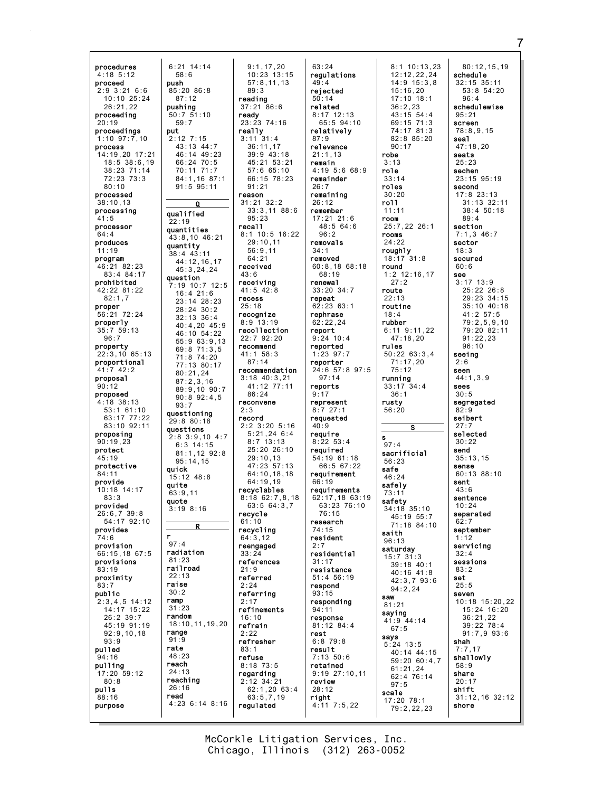procedures 4:18 5:12 proceed 2:9 3:21 6:6 10:10 25:24 26:21,22 proceeding 20:19 proceedings 1:10 97:7,10 process 14:19,20 17:21 18:5 38:6,19 38:23 71:14 72:23 73:3 80:10 processed 38:10,13 processing 41:5 processor 64:4 produces 11:19 program 46:21 82:23 83:4 84:17 prohibited 42:22 81:22 82:1,7 proper 56:21 72:24 properly 35:7 59:13 96:7 property 22:3,10 65:13 proportional 41:7 42:2 proposal 90:12 proposed 4:18 38:13 53:1 61:10 63:17 77:22 83:10 92:11 proposing 90:19,23 protect 45:19 protective 84:11 provide 10:18 14:17 83:3 provided 26:6,7 39:8 54:17 92:10 provides 74:6 provision 66:15,18 67:5 provisions 83:19 proximity 83:7 public 2:3,4,5 14:12 14:17 15:22 26:2 39:7 45:19 91:19 92:9,10,18 93:9 pulled 94:16 pulling 17:20 59:12 80:8 pulls 88:16 purpose 6:21 14:14 push 85:20 86:8 pushing  $50.751:10$ put qualified 22:19 quantities quantity question questioning 29:8 80:18 questions quick quite 63:9,11 quote r  $97:4$ radiation 81:23 railroad 22:13 raise 30:2 ramp 31:23 random range 91:9 rate 48:23 reach 24:13 reaching 26:16 read

58:6

87:12

59:7

2:12 7:15 43:13 44:7

 $\Omega$ 

38:4 43:11

16:4 21:6

80:21,24

6:3 14:15

95:14,15

15:12 48:8

3:19 8:16 R

 $93.7$ 

46:14 49:23 66:24 70:5 70:11 71:7 84:1,16 87:1 91:5 95:11 43:8,10 46:21 44:12,16,17 45:3,24,24 7:19 10:7 12:5 23:14 28:23 28:24 30:2 32:13 36:4 40:4,20 45:9 46:10 54:22 55:9 63:9,13 69:8 71:3,5 71:8 74:20 77:13 80:17 87:2,3,16 89:9,10 90:7 90:8 92:4,5 2:8 3:9,10 4:7 81:1,12 92:8 18:10,11,19,20 4:23 6:14 8:16 9:1,17,20 10:23 13:15 57:8,11,13 89:3 reading 37:21 86:6 ready 23:23 74:16 really 3:11 31:4 36:11,17 39:9 43:18 45:21 53:21 57:6 65:10 66:15 78:23 91:21 reason  $31 \cdot 21$   $32 \cdot 2$ 33:3,11 88:6 95:23 recall 8:1 10:5 16:22 29:10,11 56:9,11 64:21 received  $43:6$ receiving 41:5 42:8 recess 25:18 recognize 8:9 13:19 recollection 22:7 92:20 recommend 41:1 58:3  $87:14$ recommendation 3:18 40:3,21 41:12 77:11 86:24 reconvene 2:3 record 2:2 3:20 5:16  $5:21.24$  6:4 8:7 13:13 25:20 26:10 29:10,13 47:23 57:13 64:10,18,18 64:19,19 recyclables 8:18 62:7,8,18 63:5 64:3,7 recycle 61:10 recycling  $64.3, 12$ reengaged 33:24 references 21:9 referred 2:24 referring 2:17 refinements 16:10 refrain 2:22 refresher 83:1 refuse 8:18 73:5 regarding 2:12 34:21 62:1,20 63:4 63:5,7,19 regulated

63:24 regulations 49:4 rejected 50:14 related  $8.17$  12.13 65:5 94:10 relatively 87:9 relevance 21:1,13 remain 4:19 5:6 68:9 remainder 26:7 remaining  $26:12$ remember 17:21 21:6 48:5 64:6 96:2 removals 34:1 removed 60:8,18 68:18 68:19 renewal 33:20 34:7 repeat 62:23 63:1 rephrase 62:22,24 report 9:24 10:4 reported 1:23 97:7 reporter 24:6 57:8 97:5 97:14 reports 9:17 represent 8:7 27:1 requested 40:9 require 8:22 53:4 required 54:19 61:18 66:5 67:22 requirement 66:19 requirements 62:17,18 63:19 63:23 76:10 76:15 research 74:15 resident 2:7 residential 31:17 resistance 51:4 56:19 respond 93:15 responding 94:11 response 81:12 84:4 rest 6:8 79:8 result 7:13 50:6 retained 9:19 27:10,11 review 28:12 right 4:11 7:5,22

8:1 10:13,23 12:12,22,24 14:9 15:3,8 15:16,20 17:10 18:1 36:2,23  $43:15$  54:4 69:15 71:3 74:17 81:3 82:8 85:20 90:17 robe  $3:13$ role 33:14 roles 30:20 roll 11:11 room 25:7,22 26:1 rooms 24:22 **roughly**<br>18:17 31:8  $18:17$ round 1:2 12:16,17 27:2 route 22:13 routine 18:4 rubber 6:11 9:11,22 47:18,20 rules 50:22 63:3,4 71:17,20 75:12 running 33:17 34:4 36:1 rusty 56:20 S s  $Q7 \cdot 4$ sacrificial 56:23 safe 46:24 safely  $73:11$ safety 34:18 35:10 45:19 55:7 71:18 84:10 saith 96:13 saturday 15:7 31:3 39:18 40:1 40:16 41:8 42:3,7 93:6 94:2,24 saw 81:21 saying 41:9 44:14 67:5 says 5:24 13:5 40:14 44:15 59:20 60:4,7 61:21,24 62:4 76:14 97:5 scale 17:20 78:1 79:2,22,23

80:12,15,19 schedule 32:15 35:11 53:8 54:20 96:4 schedulewise  $95.21$ screen 78:8,9,15 seal 47:18,20 seats 25:23 sechen 23:15 95:19 second 17:8 23:13 31:13 32:11 38:4 50:18 89:4 section 7:1,3 46:7 sector 18:3 secured 60:6 see 3:17 13:9 25:22 26:8 29:23 34:15 35:10 40:18 41:2 57:5 79:2,5,9,10 79:20 82:11 91:22,23 96:10 seeing  $2.6$ seen 44:1,3,9 sees 30:5 segregated 82:9 seibert  $27.7$ selected 30:22 send 35:13,15 sense 60:13 88:10 sent  $43.6$ sentence 10:24 separated  $62:7$ september 1:12 servicing 32:4 sessions 83:2 set 25:5 seven 10:18 15:20,22 15:24 16:20 36:21,22  $39.22 78.4$ 91:7,9 93:6 shah 7:7,17 shallowly 58:9 share 20:17 shift 31:12,16 32:12 shore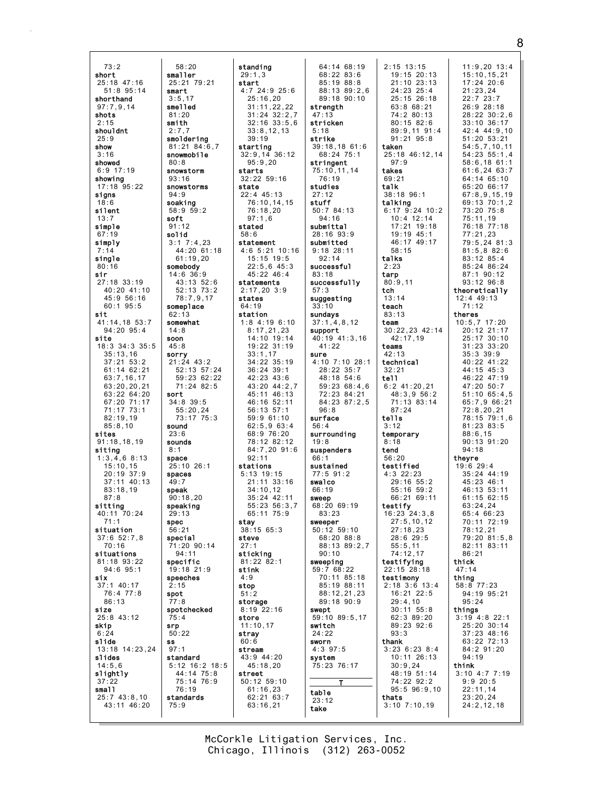$73:2$ short smaller  $25:18$  47:16  $51:8$  95:14 smart shorthand  $3:5.17$  $97:7.9.14$ smelled shots  $81.20$ smith  $2:15$ shouldnt  $2:7.7$  $25.9$ show  $3:16$ showed  $80.8$  $6:9$  17:19 showing  $93:16$  $17:18$  95:22 signs soaking  $18.6$ silent soft simple  $91:12$ solid  $67:19$ simply single  $80:16$ sir 27:18 33:19  $40.20 \ 41.10$ 45:9 56:16  $60:195:5$ sit 41:14.18 53:7 94:20 95:4 site soon 18:3 34:3 35:5 35:13,16<br>37:21 53:2 sorry 61:14 62:21  $63:7.16.17$ 63:20,20,21 63:22 64:20 sort 67:20 71:17  $71:17$   $73:1$  $82:19.19$  $85:8,10$ sound sites  $91:18,18,19$ sounds siting  $R \cdot 1$  $1:3.4.68:13$ space  $15:10, 15$  $20:19.37:9$ spaces  $37:11$  40:13  $83.18$  19 speak  $87:8$ sitting speaking  $40:11\ \ 70:24$  $71.1$ spec situation  $37:652:7.8$ special  $70.16$ situations 81:18 93:22 specific  $94:6$   $95:1$ six  $37:1$  40:17 76:4 77:8 spot  $86:13$ size 25:8 43:12 skip srp  $6:24$ slide **SS** 13:18 14:23,24  $97:1$ slides  $14:5.6$ slightly  $37:22$ small  $25:743:8.10$ 43:11 46:20

standing  $29:1.3$  $25:21$  79:21 start  $4:7$  24:9 25:6  $25:16, 20$  $31:11.22.22$  $31 \cdot 24 \cdot 32 \cdot 2 \cdot 7$  $32:16$   $33:5.6$  $33:8.12.13$ smoldering  $39.19$  $81:21$   $84:6.7$ starting  $32:9, 14 \overline{36}:12$ snowmobile  $95:9.20$ snowstorm starts  $32:22$  59:16 snowstorms state 22:4 45:13  $76:10, 14, 15$  $58:959:2$  $76:18.20$  $97:1,6$ stated  $58:6$  $3:1$   $7:4,23$ statement  $4:6$  5:21 10:16 44:20 61:18  $61:19,20$  $15:15$  19:5 somebody  $22:5,6$  45:3  $14:6$  36:9  $45:2246:4$ 43:13 52:6 statements 52:13 73:2  $2:17,20$  3:9  $78:7,9,17$ states someplace  $64:19$ station  $1:8$  4:19 6:10 somewhat  $8:17,21,23$  $14:10$   $19:14$  $19:22$  31:19  $33:1,17$  $21:24$  43:2  $34:22$  35:19 52:13 57:24  $36:24$  39:1 59:23 62:22  $42:23$   $43:6$ 71:24 82:5 43:20 44:2,7  $45:11$   $46:13$  $34:8$  39:5 46:16 52:11  $55:20.24$  $56:13:57:1$  $73:17.75:3$  $59:961:10$  $62:5.963:4$  $68:9.76:20$ 78:12 82:12  $84:7.20$  91:6  $92:11$  $25:10$  26:1 stations  $5:13$  19:15  $21:11$  33:16  $34 \cdot 10$  12  $90:18.20$  $35:24$  42:11 55:23 56:3,7  $65 \cdot 11$  75 · 9 stay  $38:1565:3$ steve  $1:20.90:14$ sticking  $81:22$   $82:1$ 19:18 21:9 stink speeches  $4:9$ stop  $51:2$ storage spotchecked  $8:19$  22:16 store  $11:10.17$ stray  $60:6$ stream 43:9 44:20 standard  $45:18,20$ 5:12 16:2 18:5 44:14 75:8 street  $50:12$  59:10 75:14 76:9  $61:16,23$ standards  $62:21$  63:7  $63:16,21$ 

 $58:20$ 

 $94:9$ 

62:13

 $14:8$ 

 $45:8$ 

 $23:6$ 

 $49:7$ 

 $29.13$ 

 $56:21$ 

 $2:15$ 

 $77.8$ 

 $75:4$ 

 $50:22$ 

 $76:19$ 

 $75:9$ 

 $94:11$ 

64:14 68:19  $68:22$   $83:6$ 85:19 88:8 88:13 89:2.6  $89:18$  90:10 strength  $47.13$ stricken  $5:18$ strike  $39:18.18.61:6$ 68:24 75:1 stringent  $75:10, 11, 14$ 76:19 studies  $27:12$ stuff  $50:784:13$  $94:16$ submittal  $28:16.93:9$ submitted  $9:18$  28:11  $92:14$ successful  $83:18$ successfully  $57:3$ suggesting  $33:10$ sundays  $37:1,4,8,12$ support 40:19 41:3.16  $41:22$ sure  $4:10$  7:10 28:1 28:22 35:7  $48:18$  54:6  $59:2368:4,6$ 72:23 84:21 84:23 87:2.5  $96:8$ surface  $56.4$ surrounding  $19:8$ suspenders  $66:1$ sustained  $77:591:2$ swalco  $66.19$ sweep  $68:20$  69:19  $83.23$ sweeper  $50:12$   $59:10$  $68.20$   $88.8$ 88:13 89:2.7  $90:10$ sweeping  $59:768:22$ 70:11 85:18 85:19 88:11 88:12,21,23 89:18 90:9 swept 59:10 89:5,17 switch  $24:22$ sworn  $4:3$  97:5 system 75:23 76:17 table  $23:12$ take

 $2:15$  13:15  $11:9.20$  13:4 19:15 20:13  $15:10, 15, 21$  $17:24$  20:6  $21:10$   $23:13$  $24:23$   $25:4$  $21:23.24$  $22:7$  23:7  $25:15$   $26:18$  $63:868:21$  $26:9$   $28:18$  $74:280:13$  $28:22 \ 30:2.6$  $80:15.82:6$  $33:10.36:17$ 89:9.11 91:4  $42:4$   $44:9.10$  $51 \cdot 20$   $53 \cdot 21$  $91.21$   $95.8$  $54:5.7.10.11$ taken 25:18 46:12,14 54:23 55:1.4  $97:9$  $58:6.1861:1$ takes  $61:6.2463:7$  $69:21$ 64:14 65:10 talk  $65:20.66:17$  $38:18$   $96:1$  $67:8,9,15,19$ talking 69:13 70:1.2  $6:17$   $9:24$  10:2 73:20 75:8  $75:11,19$  $10:4$  12:14  $17.21$   $19.18$  $76.18$   $77.18$  $19:19.45:1$  $77:21.23$ 46:17 49:17 79:5,24 81:3  $58.15$  $81:5.882:6$ talks  $83:1285:4$ 85:24 86:24  $2:23$ 87:1 90:12 tarp  $80:9,11$ 93:12 96:8 tch theoretically  $13:14$  $12:4$  49:13 teach  $71:12$  $83:13$ theres team  $10:5,7$  17:20  $30:22,23$  42:14  $20:12$  21:17  $42:17.19$  $25:17$  30:10 teams  $31:23$   $33:20$  $35:3$   $39:9$  $42:13$ technical  $40:22$   $41:22$  $32:21$ 44:15 45:3 tell 46:22 47:19  $6:2$  41:20,21 47:20 50:7  $48:3.956:2$  $51:10.65:4.5$ 71:13 83:14 65:7.9 66:21  $87:24$  $72:8.20.21$ 78:15 79:1.6 tells  $81:23$   $83:5$  $3:12$ temporary  $88:6.15$  $90:13$   $91:20$  $8:18$  $94.18$ tend  $56:20$ thevre testified  $19:6$  29:4  $35:24$  44:19  $4:3$  22:23  $29:16$  55:2  $45:23.46:1$  $55.1659.2$ 46:13 53:11 66:21 69:11  $61:15$  62:15 testify  $63:24.24$  $16:23$   $24:3.8$  $65 \cdot 4 \cdot 66 \cdot 23$  $27:5, 10, 12$  $70:11$   $72:19$  $27:18.23$  $78:12,21$  $70.20$   $81.5$   $8$  $28.620 - 5$  $55:5.11$ 82:11 83:11  $74:12.17$  $86:21$ testifying thick  $22:15$  28:18  $47:14$ testimony thing  $58:877:23$  $2:18$  3:6 13:4 16:21 22:5 94:19 95:21  $29:4.10$  $95:24$  $30:11$  55:8 things 62:3 89:20  $3:19$  4:8 22:1  $89.23926$ 25:20 30:14  $93:3$  $37:23$  48:16 thank 63:22 72:13  $3:236:238:4$ 84:2 91:20  $94:19$ 10:11 26:13  $30:9,24$ think  $3:10$  4:7 7:19 48:19 51:14 74:22 92:2  $9:920:5$  $95:5$   $96:9,10$  $22:11.14$ thats  $23:20,24$  $3:10$   $7:10,19$  $24:2,12,18$ 

McCorkle Litigation Services, Inc. Chicago, Illinois (312) 263-0052

8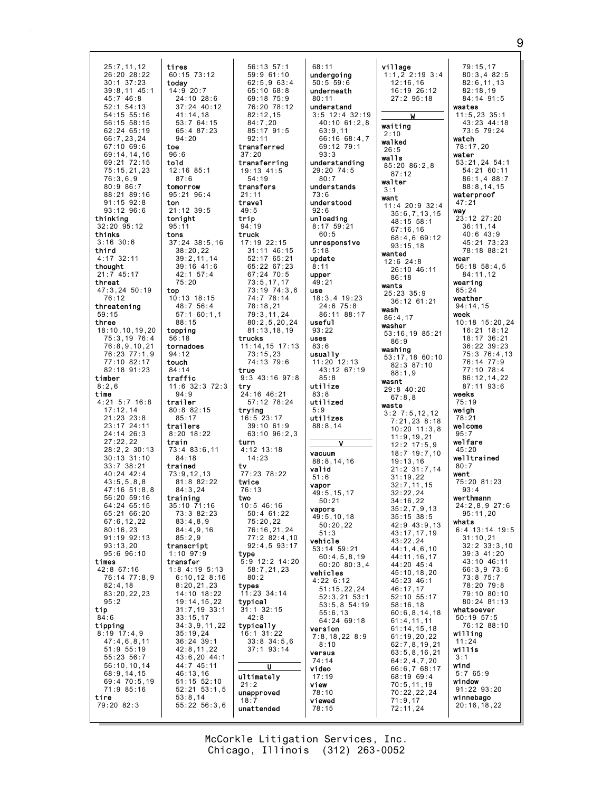25:7,11,12 26:20 28:22 30:1 37:23 39:8,11 45:1 45:7 46:8 52:1 54:13 54:15 55:16 56:15 58:15 62:24 65:19 66:7,23,24 67:10 69:6 69:14,14,16 69:21 72:15 75:15,21,23 76:3,6,9 80:9 86:7 88:21 89:16 91:15 92:8 93:12 96:6 thinking 32:20 95:12 thinks 3:16 30:6 third 4:17 32:11 thought<br> $21:7$  45  $145:17$ threat 47:3,24 50:19 76:12 threatening 59:15 three 18:10,10,19,20 75:3,19 76:4 76:8,9,10,21 76:23 77:1,9 77:10 82:17 82:18 91:23 timber 8:2,6 time 4:21 5:7 16:8 17:12,14 21:23 23:8 23:17 24:11 24:14 26:3 27:22,22 28:2,2 30:13 30:13 31:10 33:7 38:21 40:24 42:4  $43:5.5.8.8$  $47.16$  51.8 8 56:20 59:16 64:24 65:15 65:21 66:20 67:6,12,22 80:16,23 91:19 92:13 93:13,20 95:6 96:10 times 42:8 67:16 76:14 77:8,9 82:4,18 83:20,22,23 95:2 tip 84:6 tipping 8:19 17:4,9 47:4,6,8,11 51:9 55:19 55:23 56:7 56:10,10,14 68:9,14,15 69:4 70:5,19 71:9 85:16 tire 79:20 82:3 tires 60:15 73:12 today 14:9 20:7 24:10 28:6 37:24 40:12  $41 \cdot 14$ , 18 53:7 64:15 65:4 87:23 94:20 toe 96:6 told 12:16 85:1 87:6 tomorrow 95:21 96:4 ton 21:12 39:5 tonight 95:11 tons 37:24 38:5,16 38:20,22 39:2,11,14 39:16 41:6 42:1 57:4 75:20 top 10:13 18:15 48:7 56:4 57:1 60:1,1 88:15 topping 56:18 tornadoes 94:12 touch 84:14 traffic 11:6 32:3 72:3 94:9 trailer 80:8 82:15 85:17 trailers 8:20 18:22 train 73:4 83:6,11 84:18 trained 73:9,12,13 81:8 82:22 84:3,24 training 35:10 71:16 73:3 82:23 83:4,8,9 84:4,9,16  $85 \cdot 29$ transcript 1:10 97:9 transfer 1:8 4:19 5:13 6:10,12 8:16 8:20,21,23 14:10 18:22 19:14,15,22 31:7,19 33:1 33:15,17 34:3,9,11,22 35:19,24 36:24 39:1 42:8,11,22 43:6,20 44:1 44:7 45:11 46:13,16 51:15 52:10 52:21 53:1,5 53:8,14 55:22 56:3,6

56:13 57:1 59:9 61:10 62:5,9 63:4 65:10 68:8 69:18 75:9 76:20 78:12  $82 \cdot 12$ , 15 84:7,20 85:17 91:5  $92 \cdot 11$ transferred 37:20 transferring 19:13 41:5 54:19 transfers 21:11 travel 49:5 trip 94:19 truck 17:19 22:15 31:11 46:15 52:17 65:21 65:22 67:23 67:24 70:5 73:5,17,17 73:19 74:3,6 74:7 78:14 78:18,21 79:3,11,24 80:2,5,20,24 81:13,18,19 trucks 11:14,15 17:13 73:15,23 74:13 79:6 true 9:3 43:16 97:8 try 24:16 46:21 57:12 78:24 trying 16:5 23:17 39:10 61:9 63:10 96:2,3 turn 4:12 13:18 14:23 tv 77:23 78:22 twice 76:13 two 10:5 46:16  $50 \cdot 4 61 \cdot 22$ 75:20,22 76:16,21,24  $77.2$  82:4 10 92:4,5 93:17 type  $:9$  12:2 14:20 58:7,21,23 80:2 types 11:23 34:14 typical 31:1 32:15 42:8 typically 16:1 31:22 33:8 34:5,6 37:1 93:14 U ultimately 21:2 unapproved 18:7 unattended

68:11 undergoing 50:5 59:6 underneath 80:11 understand 3:5 12:4 32:19 40:10 61:2,8 63:9,11 66:16 68:4,7 69:12 79:1 93:3 understanding 29:20 74:5 80:7 understands 73:6 understood  $92:6$ unloading 8:17 59:21 60:5 unresponsive 5:18 update 8:11 upper 49:21 use 18:3,4 19:23 24:6 75:8 86:11 88:17 useful 93:22 uses 83:6 usually 11:20 12:13 43:12 67:19 85:8 utilize 83:8 utilized 5:9 utilizes 88:8,14 V vacuum 88:8,14,16 valid 51:6 vapor 49:5,15,17 50:21 vapors 49:5,10,18 50:20,22 51:3 vehicle 53:14 59:21 60:4,5,8,19 60:20 80:3,4 vehicles 4:22 6:12 51:15,22,24 52:3,21 53:1 53:5,8 54:19 55:6,13 64:24 69:18 version 7:8,18,22 8:9 8:10 versus 74:14 video 17:19 view 78:10 viewed 78:15

2:10 walked  $26:5$ walls

walter 3:1 want

wanted

wants

wash

washer

wasnt

waste

86:9

village 1:1,2 2:19 3:4 12:16,16 16:19 26:12 27:2 95:18 W waiting 85:20 86:2,8 87:12 11:4 20:9 32:4 35:6,7,13,15 48:15 58:1 67:16,16 68:4,6 69:12 93:15,18 12:6 24:8 26:10 46:11 86:18 25:23 35:9 36:12 61:21 86:4,17 53:16,19 85:21 washing 53:17,18 60:10 82:3 87:10 88:1,9 29:8 40:20 67:8,8 3:2 7:5,12,12 7:21,23 8:18 10:20 11:3,8  $11:9$  19 21 12:2 17:5,9 18:7 19:7,10 19:13,16 21:2 31:7,14 31:19,22 32:7,11,15 32:22,24 34:16,22 35:2,7,9,13 35:15 38:5 42:9 43:9,13 43:17,17,19 43:22,24 44:1,4,6,10 44:11,16,17 44:20 45:4 45:10,18,20 45:23 46:1 46:17,17 52:10 55:17 58:16,18 60:6,8,14,18 61:4,11,11 61:14,15,18 61:19,20,22 62:7,8,19,21 63:5,8,16,21 64:2,4,7,20 66:6,7 68:17 68:19 69:4 70:5,11,19 70:22,22,24 71:9,17 72:11,24 79:15,17 80:3,4 82:5 82:6,11,13 82:18,19 84:14 91:5 wastes 11:5,23 35:1 43:23 44:18 73:5 79:24 watch 78:17,20 water 53:21,24 54:1 54:21 60:11 86:1,4 88:7 88:8,14,15 waterproof 47:21 way 23:12 27:20 36:11,14  $40:6$   $43:9$ 45:21 73:23 78:18 88:21 wear 56:18 58:4,5 84:11,12 wearing 65:24 weather 94:14,15 week 10:18 15:20,24 16:21 18:12 18:17 36:21 36:22 39:23 75:3 76:4,13 76:14 77:9 77:10 78:4 86:12,14,22 87:11 93:6 weeks 75:19 weigh 78:21 welcome 95:7 welfare  $45.20$ welltrained  $80.7$ went 75:20 81:23 93:4 werthmann 24:2,8,9 27:6  $95 \cdot 11,20$ whats 6:4 13:14 19:5 31:10,21 32:2 33:3,10 39:3 41:20 43:10 46:11 66:3,9 73:6 73:8 75:7 78:20 79:8 79:10 80:10 80:24 81:13 whatsoever 50:19 57:5 76:12 88:10 willing 11:24 willis 3:1 wind 5:7 65:9 window 91:22 93:20 winnebago 20:16,18,22

Chicago, Illinois (312) 263-0052 McCorkle Litigation Services, Inc.

## 9